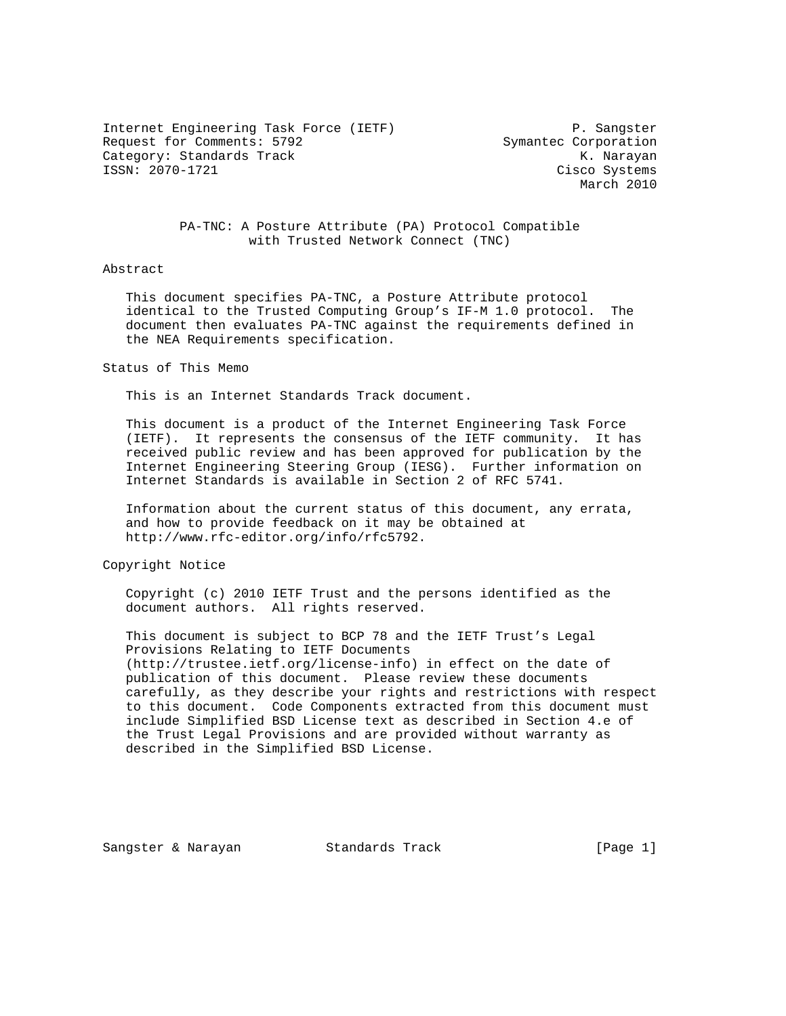Internet Engineering Task Force (IETF) P. Sangster Request for Comments: 5792 Symantec Corporation Category: Standards Track and the Category: Standards Track Category: The Category: Standards Track Category: T<br>
Cisco Systems (Cisco Systems)

Cisco Systems March 2010

 PA-TNC: A Posture Attribute (PA) Protocol Compatible with Trusted Network Connect (TNC)

#### Abstract

 This document specifies PA-TNC, a Posture Attribute protocol identical to the Trusted Computing Group's IF-M 1.0 protocol. The document then evaluates PA-TNC against the requirements defined in the NEA Requirements specification.

#### Status of This Memo

This is an Internet Standards Track document.

 This document is a product of the Internet Engineering Task Force (IETF). It represents the consensus of the IETF community. It has received public review and has been approved for publication by the Internet Engineering Steering Group (IESG). Further information on Internet Standards is available in Section 2 of RFC 5741.

 Information about the current status of this document, any errata, and how to provide feedback on it may be obtained at http://www.rfc-editor.org/info/rfc5792.

Copyright Notice

 Copyright (c) 2010 IETF Trust and the persons identified as the document authors. All rights reserved.

 This document is subject to BCP 78 and the IETF Trust's Legal Provisions Relating to IETF Documents (http://trustee.ietf.org/license-info) in effect on the date of publication of this document. Please review these documents carefully, as they describe your rights and restrictions with respect to this document. Code Components extracted from this document must include Simplified BSD License text as described in Section 4.e of the Trust Legal Provisions and are provided without warranty as described in the Simplified BSD License.

Sangster & Narayan Standards Track [Page 1]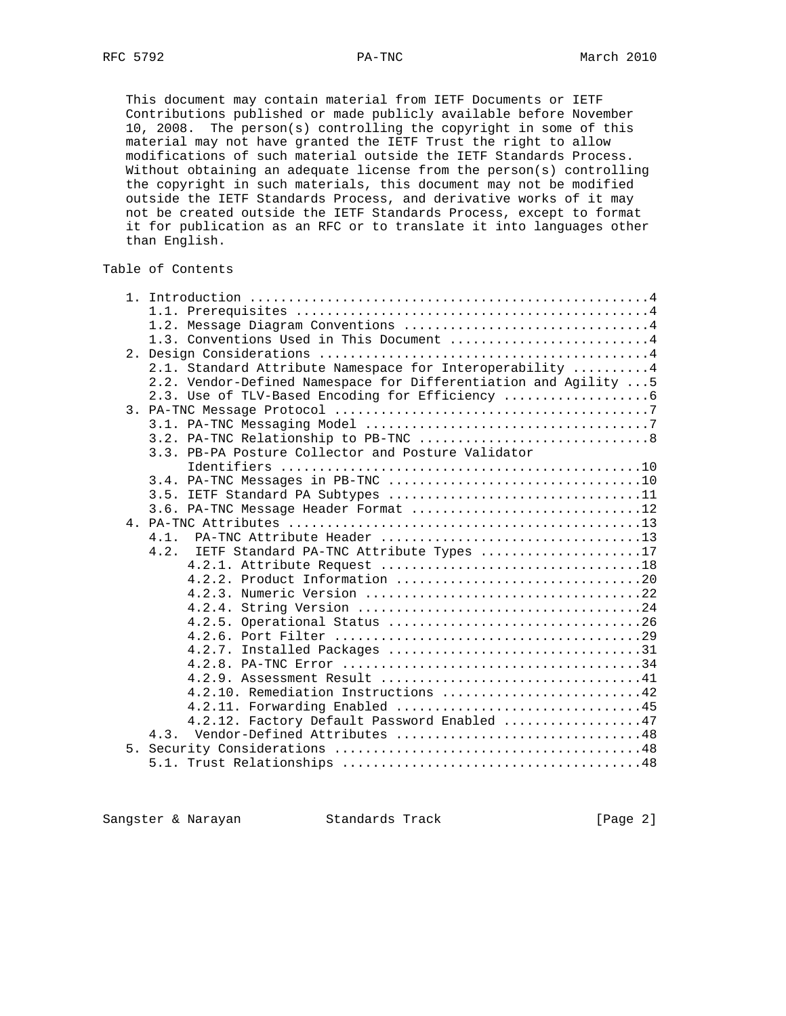This document may contain material from IETF Documents or IETF Contributions published or made publicly available before November 10, 2008. The person(s) controlling the copyright in some of this material may not have granted the IETF Trust the right to allow modifications of such material outside the IETF Standards Process. Without obtaining an adequate license from the person(s) controlling the copyright in such materials, this document may not be modified outside the IETF Standards Process, and derivative works of it may not be created outside the IETF Standards Process, except to format it for publication as an RFC or to translate it into languages other than English.

# Table of Contents

| 1.3. Conventions Used in This Document 4                         |
|------------------------------------------------------------------|
|                                                                  |
| 2.1. Standard Attribute Namespace for Interoperability  4        |
| 2.2. Vendor-Defined Namespace for Differentiation and Agility  5 |
| 2.3. Use of TLV-Based Encoding for Efficiency                    |
|                                                                  |
|                                                                  |
|                                                                  |
| 3.3. PB-PA Posture Collector and Posture Validator               |
|                                                                  |
|                                                                  |
| 3.5. IETF Standard PA Subtypes 11                                |
| 3.6. PA-TNC Message Header Format 12                             |
|                                                                  |
| 4.1.                                                             |
| IETF Standard PA-TNC Attribute Types 17<br>4.2.                  |
|                                                                  |
|                                                                  |
|                                                                  |
|                                                                  |
|                                                                  |
|                                                                  |
| 4.2.7. Installed Packages 31                                     |
|                                                                  |
|                                                                  |
| 4.2.10. Remediation Instructions 42                              |
|                                                                  |
| 4.2.11. Forwarding Enabled 45                                    |
| 4.2.12. Factory Default Password Enabled 47                      |
| 4.3. Vendor-Defined Attributes 48                                |
|                                                                  |
|                                                                  |

Sangster & Narayan Standards Track [Page 2]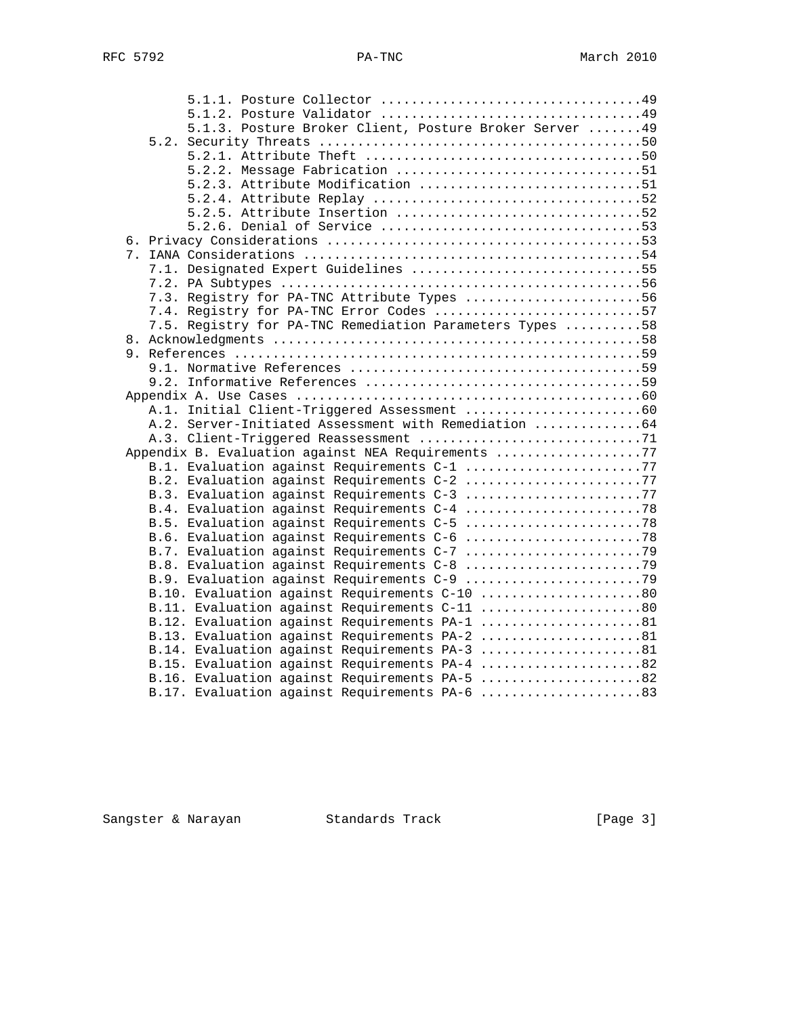| 5.1.3. Posture Broker Client, Posture Broker Server  49                                    |  |
|--------------------------------------------------------------------------------------------|--|
|                                                                                            |  |
|                                                                                            |  |
| 5.2.2. Message Fabrication 51                                                              |  |
| 5.2.3. Attribute Modification 51                                                           |  |
|                                                                                            |  |
| 5.2.5. Attribute Insertion 52                                                              |  |
|                                                                                            |  |
|                                                                                            |  |
|                                                                                            |  |
| 7.1. Designated Expert Guidelines 55                                                       |  |
|                                                                                            |  |
| 7.3. Registry for PA-TNC Attribute Types 56                                                |  |
| 7.4. Registry for PA-TNC Error Codes 57                                                    |  |
| 7.5. Registry for PA-TNC Remediation Parameters Types 58                                   |  |
|                                                                                            |  |
|                                                                                            |  |
|                                                                                            |  |
|                                                                                            |  |
|                                                                                            |  |
|                                                                                            |  |
| A.2. Server-Initiated Assessment with Remediation 64                                       |  |
|                                                                                            |  |
| Appendix B. Evaluation against NEA Requirements 77                                         |  |
| B.1. Evaluation against Requirements C-1 77                                                |  |
| B.2. Evaluation against Requirements C-2 77<br>B.3. Evaluation against Requirements C-3 77 |  |
|                                                                                            |  |
| B.5. Evaluation against Requirements C-5 78                                                |  |
| B.6. Evaluation against Requirements C-6 78                                                |  |
|                                                                                            |  |
|                                                                                            |  |
|                                                                                            |  |
| B.10. Evaluation against Requirements C-10 80                                              |  |
| B.11. Evaluation against Requirements C-11 80                                              |  |
| B.12. Evaluation against Requirements PA-1 81                                              |  |
| B.13. Evaluation against Requirements PA-2 81                                              |  |
| B.14. Evaluation against Requirements PA-3 81                                              |  |
| B.15. Evaluation against Requirements PA-4 82                                              |  |
| B.16. Evaluation against Requirements PA-5 82                                              |  |
| B.17. Evaluation against Requirements PA-6 83                                              |  |

Sangster & Narayan Standards Track (Page 3)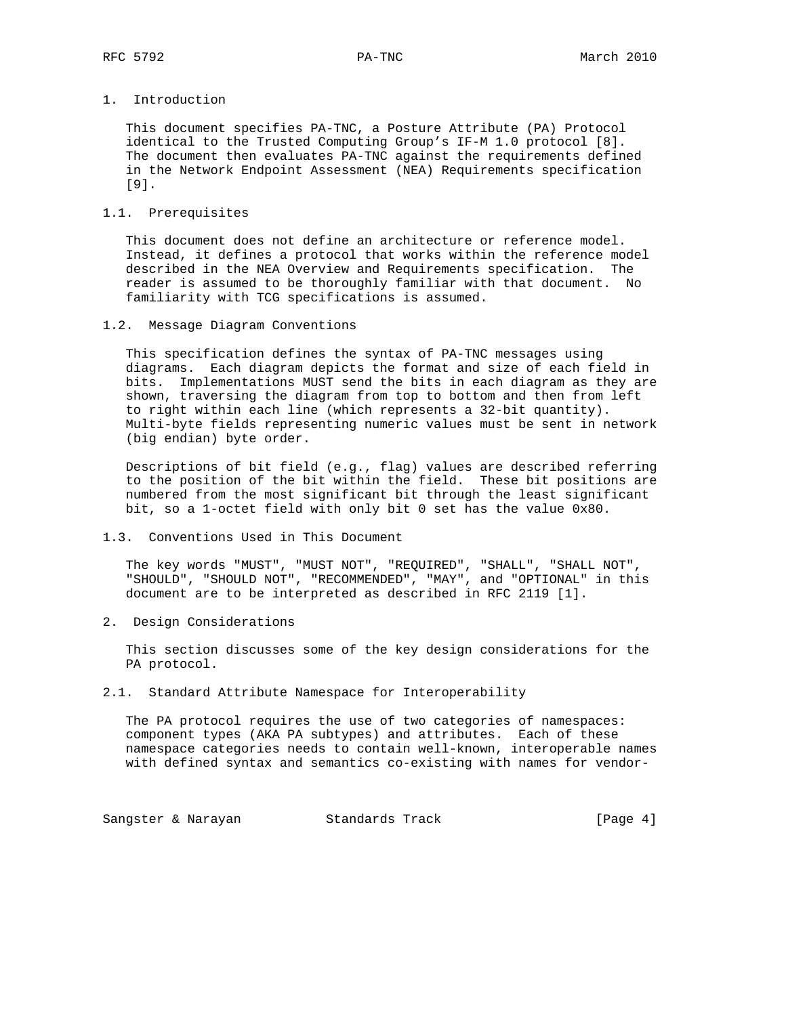## 1. Introduction

 This document specifies PA-TNC, a Posture Attribute (PA) Protocol identical to the Trusted Computing Group's IF-M 1.0 protocol [8]. The document then evaluates PA-TNC against the requirements defined in the Network Endpoint Assessment (NEA) Requirements specification [9].

## 1.1. Prerequisites

 This document does not define an architecture or reference model. Instead, it defines a protocol that works within the reference model described in the NEA Overview and Requirements specification. The reader is assumed to be thoroughly familiar with that document. No familiarity with TCG specifications is assumed.

1.2. Message Diagram Conventions

 This specification defines the syntax of PA-TNC messages using diagrams. Each diagram depicts the format and size of each field in bits. Implementations MUST send the bits in each diagram as they are shown, traversing the diagram from top to bottom and then from left to right within each line (which represents a 32-bit quantity). Multi-byte fields representing numeric values must be sent in network (big endian) byte order.

 Descriptions of bit field (e.g., flag) values are described referring to the position of the bit within the field. These bit positions are numbered from the most significant bit through the least significant bit, so a 1-octet field with only bit 0 set has the value 0x80.

1.3. Conventions Used in This Document

 The key words "MUST", "MUST NOT", "REQUIRED", "SHALL", "SHALL NOT", "SHOULD", "SHOULD NOT", "RECOMMENDED", "MAY", and "OPTIONAL" in this document are to be interpreted as described in RFC 2119 [1].

2. Design Considerations

 This section discusses some of the key design considerations for the PA protocol.

## 2.1. Standard Attribute Namespace for Interoperability

 The PA protocol requires the use of two categories of namespaces: component types (AKA PA subtypes) and attributes. Each of these namespace categories needs to contain well-known, interoperable names with defined syntax and semantics co-existing with names for vendor-

Sangster & Narayan Standards Track (Page 4)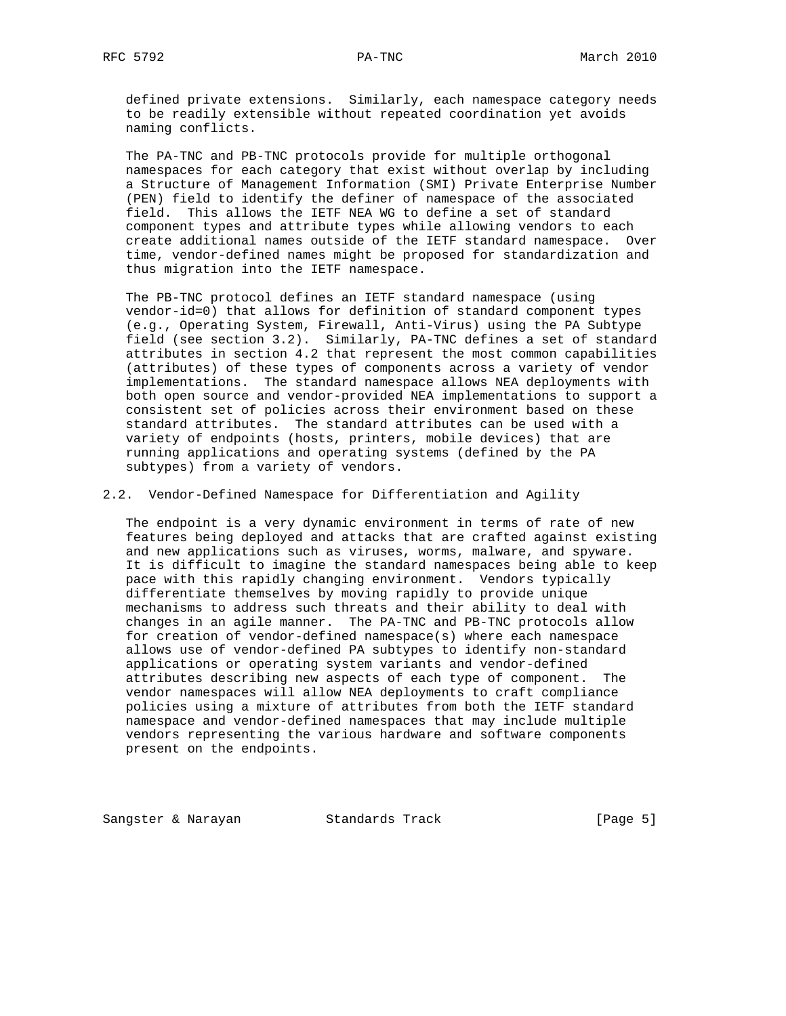defined private extensions. Similarly, each namespace category needs to be readily extensible without repeated coordination yet avoids naming conflicts.

 The PA-TNC and PB-TNC protocols provide for multiple orthogonal namespaces for each category that exist without overlap by including a Structure of Management Information (SMI) Private Enterprise Number (PEN) field to identify the definer of namespace of the associated field. This allows the IETF NEA WG to define a set of standard component types and attribute types while allowing vendors to each create additional names outside of the IETF standard namespace. Over time, vendor-defined names might be proposed for standardization and thus migration into the IETF namespace.

 The PB-TNC protocol defines an IETF standard namespace (using vendor-id=0) that allows for definition of standard component types (e.g., Operating System, Firewall, Anti-Virus) using the PA Subtype field (see section 3.2). Similarly, PA-TNC defines a set of standard attributes in section 4.2 that represent the most common capabilities (attributes) of these types of components across a variety of vendor implementations. The standard namespace allows NEA deployments with both open source and vendor-provided NEA implementations to support a consistent set of policies across their environment based on these standard attributes. The standard attributes can be used with a variety of endpoints (hosts, printers, mobile devices) that are running applications and operating systems (defined by the PA subtypes) from a variety of vendors.

2.2. Vendor-Defined Namespace for Differentiation and Agility

 The endpoint is a very dynamic environment in terms of rate of new features being deployed and attacks that are crafted against existing and new applications such as viruses, worms, malware, and spyware. It is difficult to imagine the standard namespaces being able to keep pace with this rapidly changing environment. Vendors typically differentiate themselves by moving rapidly to provide unique mechanisms to address such threats and their ability to deal with changes in an agile manner. The PA-TNC and PB-TNC protocols allow for creation of vendor-defined namespace(s) where each namespace allows use of vendor-defined PA subtypes to identify non-standard applications or operating system variants and vendor-defined attributes describing new aspects of each type of component. The vendor namespaces will allow NEA deployments to craft compliance policies using a mixture of attributes from both the IETF standard namespace and vendor-defined namespaces that may include multiple vendors representing the various hardware and software components present on the endpoints.

Sangster & Narayan Standards Track [Page 5]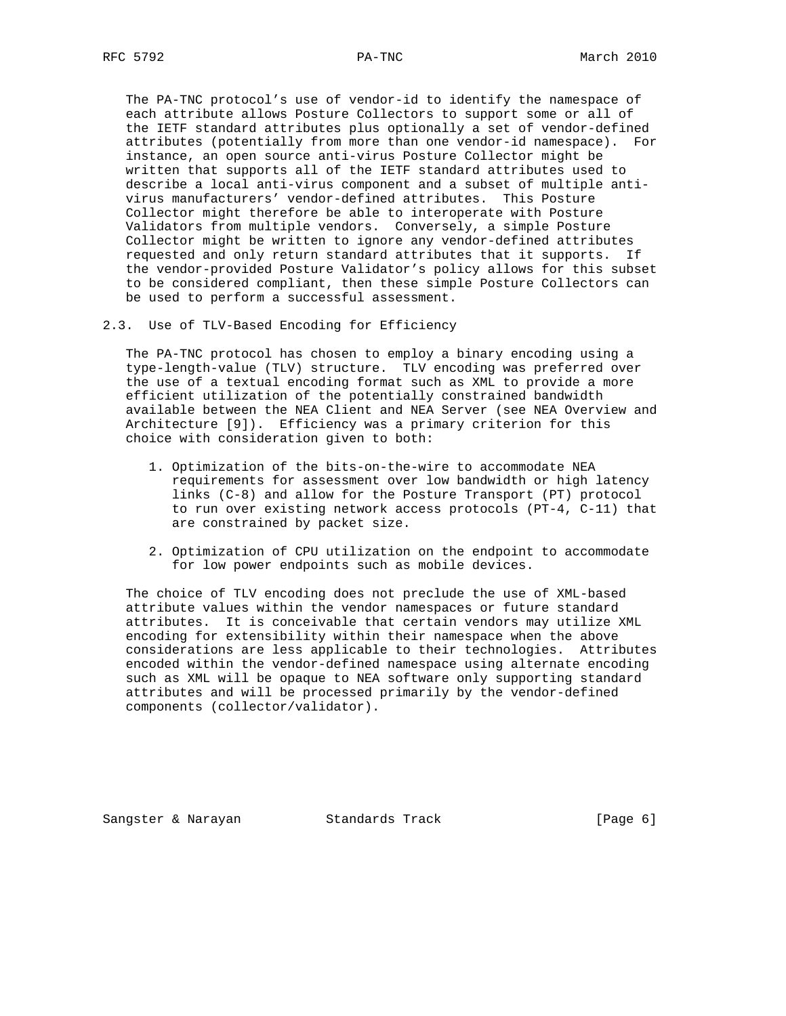The PA-TNC protocol's use of vendor-id to identify the namespace of each attribute allows Posture Collectors to support some or all of the IETF standard attributes plus optionally a set of vendor-defined attributes (potentially from more than one vendor-id namespace). For instance, an open source anti-virus Posture Collector might be written that supports all of the IETF standard attributes used to describe a local anti-virus component and a subset of multiple anti virus manufacturers' vendor-defined attributes. This Posture Collector might therefore be able to interoperate with Posture Validators from multiple vendors. Conversely, a simple Posture Collector might be written to ignore any vendor-defined attributes requested and only return standard attributes that it supports. If the vendor-provided Posture Validator's policy allows for this subset to be considered compliant, then these simple Posture Collectors can be used to perform a successful assessment.

2.3. Use of TLV-Based Encoding for Efficiency

 The PA-TNC protocol has chosen to employ a binary encoding using a type-length-value (TLV) structure. TLV encoding was preferred over the use of a textual encoding format such as XML to provide a more efficient utilization of the potentially constrained bandwidth available between the NEA Client and NEA Server (see NEA Overview and Architecture [9]). Efficiency was a primary criterion for this choice with consideration given to both:

- 1. Optimization of the bits-on-the-wire to accommodate NEA requirements for assessment over low bandwidth or high latency links (C-8) and allow for the Posture Transport (PT) protocol to run over existing network access protocols (PT-4, C-11) that are constrained by packet size.
- 2. Optimization of CPU utilization on the endpoint to accommodate for low power endpoints such as mobile devices.

 The choice of TLV encoding does not preclude the use of XML-based attribute values within the vendor namespaces or future standard attributes. It is conceivable that certain vendors may utilize XML encoding for extensibility within their namespace when the above considerations are less applicable to their technologies. Attributes encoded within the vendor-defined namespace using alternate encoding such as XML will be opaque to NEA software only supporting standard attributes and will be processed primarily by the vendor-defined components (collector/validator).

Sangster & Narayan Standards Track (Page 6)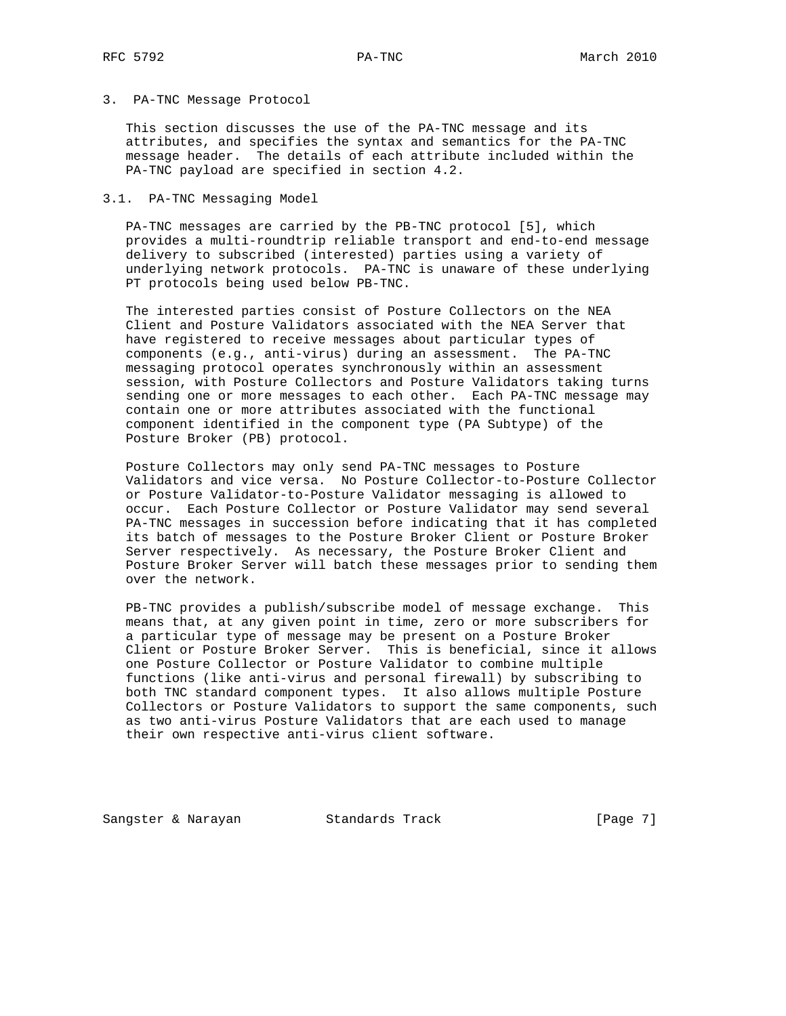## 3. PA-TNC Message Protocol

 This section discusses the use of the PA-TNC message and its attributes, and specifies the syntax and semantics for the PA-TNC message header. The details of each attribute included within the PA-TNC payload are specified in section 4.2.

#### 3.1. PA-TNC Messaging Model

 PA-TNC messages are carried by the PB-TNC protocol [5], which provides a multi-roundtrip reliable transport and end-to-end message delivery to subscribed (interested) parties using a variety of underlying network protocols. PA-TNC is unaware of these underlying PT protocols being used below PB-TNC.

 The interested parties consist of Posture Collectors on the NEA Client and Posture Validators associated with the NEA Server that have registered to receive messages about particular types of components (e.g., anti-virus) during an assessment. The PA-TNC messaging protocol operates synchronously within an assessment session, with Posture Collectors and Posture Validators taking turns sending one or more messages to each other. Each PA-TNC message may contain one or more attributes associated with the functional component identified in the component type (PA Subtype) of the Posture Broker (PB) protocol.

 Posture Collectors may only send PA-TNC messages to Posture Validators and vice versa. No Posture Collector-to-Posture Collector or Posture Validator-to-Posture Validator messaging is allowed to occur. Each Posture Collector or Posture Validator may send several PA-TNC messages in succession before indicating that it has completed its batch of messages to the Posture Broker Client or Posture Broker Server respectively. As necessary, the Posture Broker Client and Posture Broker Server will batch these messages prior to sending them over the network.

 PB-TNC provides a publish/subscribe model of message exchange. This means that, at any given point in time, zero or more subscribers for a particular type of message may be present on a Posture Broker Client or Posture Broker Server. This is beneficial, since it allows one Posture Collector or Posture Validator to combine multiple functions (like anti-virus and personal firewall) by subscribing to both TNC standard component types. It also allows multiple Posture Collectors or Posture Validators to support the same components, such as two anti-virus Posture Validators that are each used to manage their own respective anti-virus client software.

Sangster & Narayan Standards Track (Page 7)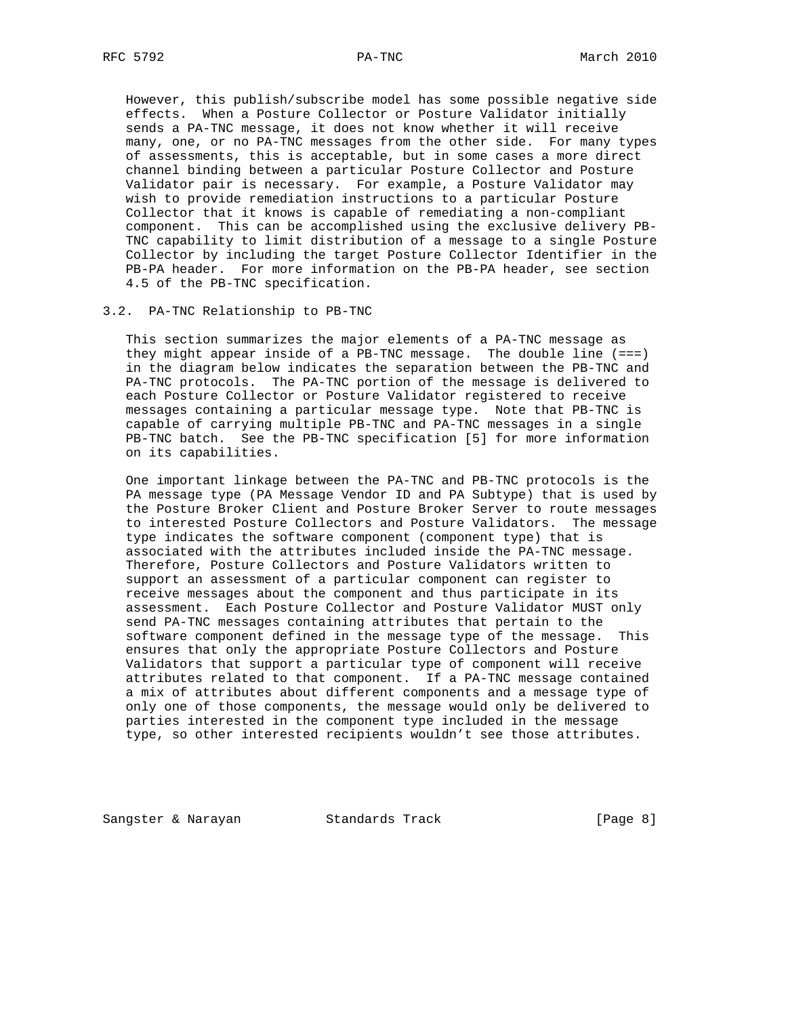However, this publish/subscribe model has some possible negative side effects. When a Posture Collector or Posture Validator initially sends a PA-TNC message, it does not know whether it will receive many, one, or no PA-TNC messages from the other side. For many types of assessments, this is acceptable, but in some cases a more direct channel binding between a particular Posture Collector and Posture Validator pair is necessary. For example, a Posture Validator may wish to provide remediation instructions to a particular Posture Collector that it knows is capable of remediating a non-compliant component. This can be accomplished using the exclusive delivery PB- TNC capability to limit distribution of a message to a single Posture Collector by including the target Posture Collector Identifier in the PB-PA header. For more information on the PB-PA header, see section 4.5 of the PB-TNC specification.

#### 3.2. PA-TNC Relationship to PB-TNC

 This section summarizes the major elements of a PA-TNC message as they might appear inside of a PB-TNC message. The double line (===) in the diagram below indicates the separation between the PB-TNC and PA-TNC protocols. The PA-TNC portion of the message is delivered to each Posture Collector or Posture Validator registered to receive messages containing a particular message type. Note that PB-TNC is capable of carrying multiple PB-TNC and PA-TNC messages in a single PB-TNC batch. See the PB-TNC specification [5] for more information on its capabilities.

 One important linkage between the PA-TNC and PB-TNC protocols is the PA message type (PA Message Vendor ID and PA Subtype) that is used by the Posture Broker Client and Posture Broker Server to route messages to interested Posture Collectors and Posture Validators. The message type indicates the software component (component type) that is associated with the attributes included inside the PA-TNC message. Therefore, Posture Collectors and Posture Validators written to support an assessment of a particular component can register to receive messages about the component and thus participate in its assessment. Each Posture Collector and Posture Validator MUST only send PA-TNC messages containing attributes that pertain to the software component defined in the message type of the message. This ensures that only the appropriate Posture Collectors and Posture Validators that support a particular type of component will receive attributes related to that component. If a PA-TNC message contained a mix of attributes about different components and a message type of only one of those components, the message would only be delivered to parties interested in the component type included in the message type, so other interested recipients wouldn't see those attributes.

Sangster & Narayan Standards Track (Page 8)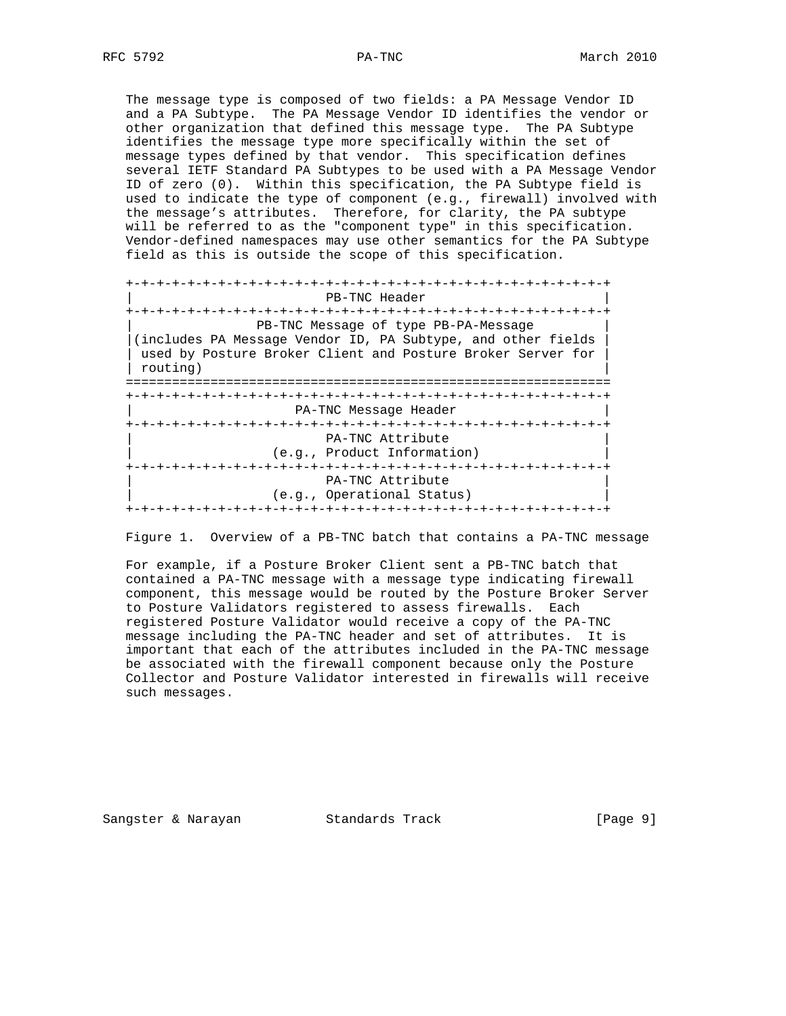The message type is composed of two fields: a PA Message Vendor ID and a PA Subtype. The PA Message Vendor ID identifies the vendor or other organization that defined this message type. The PA Subtype identifies the message type more specifically within the set of message types defined by that vendor. This specification defines several IETF Standard PA Subtypes to be used with a PA Message Vendor ID of zero (0). Within this specification, the PA Subtype field is used to indicate the type of component (e.g., firewall) involved with the message's attributes. Therefore, for clarity, the PA subtype will be referred to as the "component type" in this specification. Vendor-defined namespaces may use other semantics for the PA Subtype field as this is outside the scope of this specification.

 +-+-+-+-+-+-+-+-+-+-+-+-+-+-+-+-+-+-+-+-+-+-+-+-+-+-+-+-+-+-+-+ PB-TNC Header +-+-+-+-+-+-+-+-+-+-+-+-+-+-+-+-+-+-+-+-+-+-+-+-+-+-+-+-+-+-+-+ | PB-TNC Message of type PB-PA-Message | |(includes PA Message Vendor ID, PA Subtype, and other fields | | used by Posture Broker Client and Posture Broker Server for | | routing) | =============================================================== +-+-+-+-+-+-+-+-+-+-+-+-+-+-+-+-+-+-+-+-+-+-+-+-+-+-+-+-+-+-+-+ | PA-TNC Message Header | +-+-+-+-+-+-+-+-+-+-+-+-+-+-+-+-+-+-+-+-+-+-+-+-+-+-+-+-+-+-+-+ PA-TNC Attribute (e.g., Product Information) +-+-+-+-+-+-+-+-+-+-+-+-+-+-+-+-+-+-+-+-+-+-+-+-+-+-+-+-+-+-+-+ PA-TNC Attribute (e.g., Operational Status) +-+-+-+-+-+-+-+-+-+-+-+-+-+-+-+-+-+-+-+-+-+-+-+-+-+-+-+-+-+-+-+

Figure 1. Overview of a PB-TNC batch that contains a PA-TNC message

 For example, if a Posture Broker Client sent a PB-TNC batch that contained a PA-TNC message with a message type indicating firewall component, this message would be routed by the Posture Broker Server to Posture Validators registered to assess firewalls. Each registered Posture Validator would receive a copy of the PA-TNC message including the PA-TNC header and set of attributes. It is important that each of the attributes included in the PA-TNC message be associated with the firewall component because only the Posture Collector and Posture Validator interested in firewalls will receive such messages.

Sangster & Narayan Standards Track [Page 9]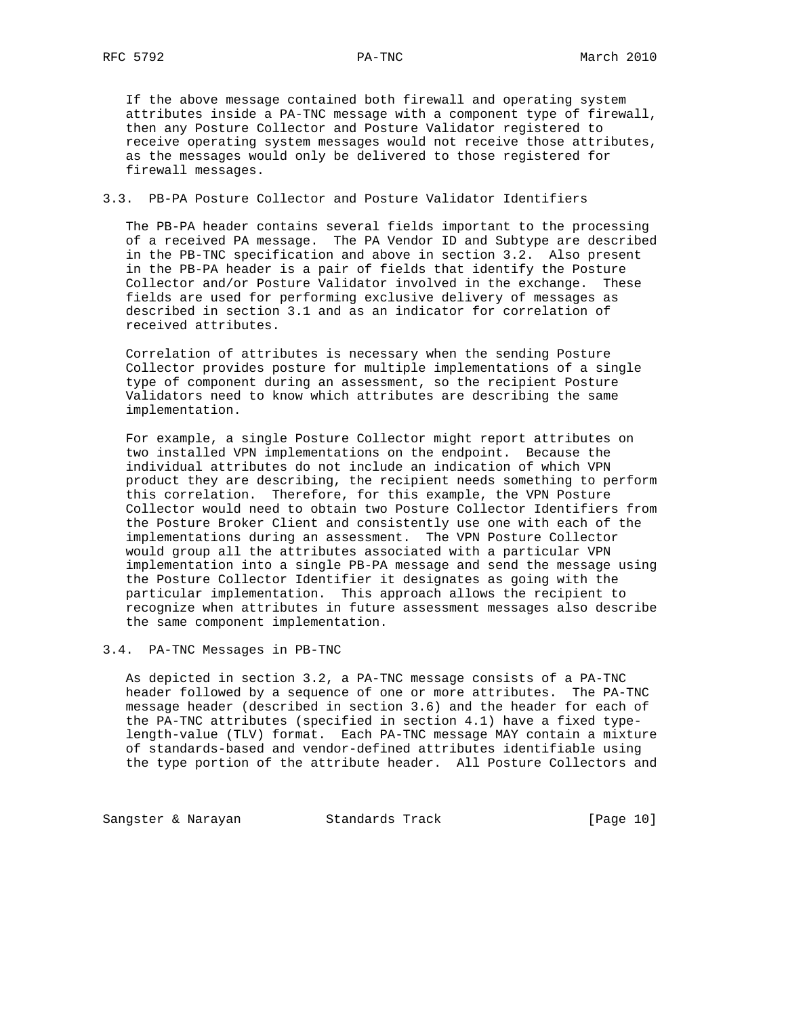If the above message contained both firewall and operating system attributes inside a PA-TNC message with a component type of firewall, then any Posture Collector and Posture Validator registered to receive operating system messages would not receive those attributes, as the messages would only be delivered to those registered for firewall messages.

## 3.3. PB-PA Posture Collector and Posture Validator Identifiers

 The PB-PA header contains several fields important to the processing of a received PA message. The PA Vendor ID and Subtype are described in the PB-TNC specification and above in section 3.2. Also present in the PB-PA header is a pair of fields that identify the Posture Collector and/or Posture Validator involved in the exchange. These fields are used for performing exclusive delivery of messages as described in section 3.1 and as an indicator for correlation of received attributes.

 Correlation of attributes is necessary when the sending Posture Collector provides posture for multiple implementations of a single type of component during an assessment, so the recipient Posture Validators need to know which attributes are describing the same implementation.

 For example, a single Posture Collector might report attributes on two installed VPN implementations on the endpoint. Because the individual attributes do not include an indication of which VPN product they are describing, the recipient needs something to perform this correlation. Therefore, for this example, the VPN Posture Collector would need to obtain two Posture Collector Identifiers from the Posture Broker Client and consistently use one with each of the implementations during an assessment. The VPN Posture Collector would group all the attributes associated with a particular VPN implementation into a single PB-PA message and send the message using the Posture Collector Identifier it designates as going with the particular implementation. This approach allows the recipient to recognize when attributes in future assessment messages also describe the same component implementation.

3.4. PA-TNC Messages in PB-TNC

 As depicted in section 3.2, a PA-TNC message consists of a PA-TNC header followed by a sequence of one or more attributes. The PA-TNC message header (described in section 3.6) and the header for each of the PA-TNC attributes (specified in section 4.1) have a fixed type length-value (TLV) format. Each PA-TNC message MAY contain a mixture of standards-based and vendor-defined attributes identifiable using the type portion of the attribute header. All Posture Collectors and

Sangster & Narayan Standards Track [Page 10]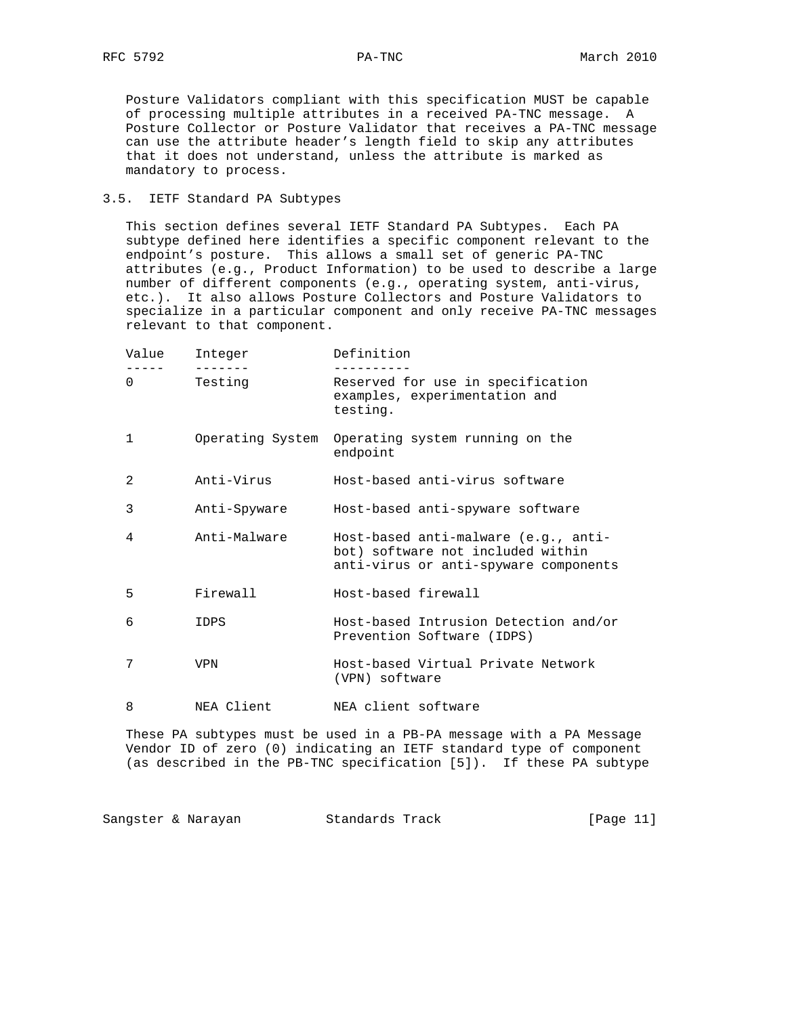Posture Validators compliant with this specification MUST be capable of processing multiple attributes in a received PA-TNC message. A Posture Collector or Posture Validator that receives a PA-TNC message can use the attribute header's length field to skip any attributes that it does not understand, unless the attribute is marked as mandatory to process.

## 3.5. IETF Standard PA Subtypes

 This section defines several IETF Standard PA Subtypes. Each PA subtype defined here identifies a specific component relevant to the endpoint's posture. This allows a small set of generic PA-TNC attributes (e.g., Product Information) to be used to describe a large number of different components (e.g., operating system, anti-virus, etc.). It also allows Posture Collectors and Posture Validators to specialize in a particular component and only receive PA-TNC messages relevant to that component.

| Value    | Integer          | Definition                                                                                                         |
|----------|------------------|--------------------------------------------------------------------------------------------------------------------|
| $\Omega$ | Testing          | Reserved for use in specification<br>examples, experimentation and<br>testing.                                     |
| 1        | Operating System | Operating system running on the<br>endpoint                                                                        |
| 2        | Anti-Virus       | Host-based anti-virus software                                                                                     |
| 3        | Anti-Spyware     | Host-based anti-spyware software                                                                                   |
| 4        | Anti-Malware     | Host-based anti-malware (e.g., anti-<br>bot) software not included within<br>anti-virus or anti-spyware components |
| 5        | Firewall         | Host-based firewall                                                                                                |
| 6        | IDPS             | Host-based Intrusion Detection and/or<br>Prevention Software (IDPS)                                                |
| 7        | <b>VPN</b>       | Host-based Virtual Private Network<br>(VPN) software                                                               |
| 8        | NEA Client       | NEA client software                                                                                                |

 These PA subtypes must be used in a PB-PA message with a PA Message Vendor ID of zero (0) indicating an IETF standard type of component (as described in the PB-TNC specification [5]). If these PA subtype

Sangster & Narayan Standards Track [Page 11]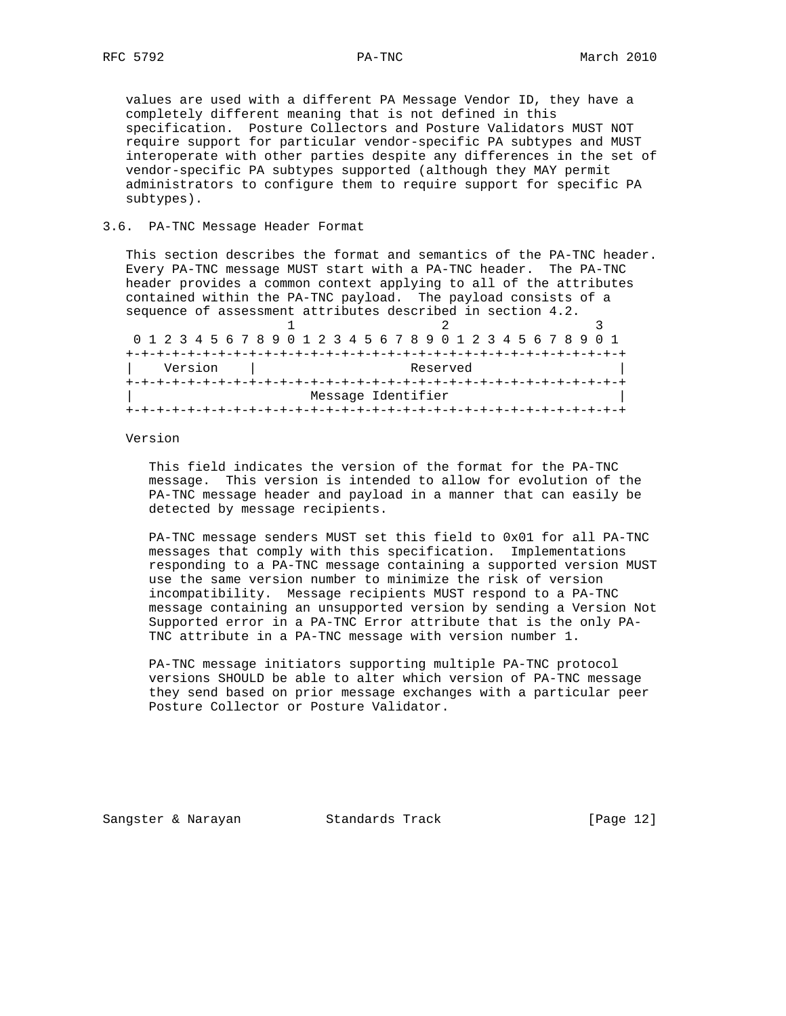values are used with a different PA Message Vendor ID, they have a completely different meaning that is not defined in this specification. Posture Collectors and Posture Validators MUST NOT require support for particular vendor-specific PA subtypes and MUST interoperate with other parties despite any differences in the set of vendor-specific PA subtypes supported (although they MAY permit administrators to configure them to require support for specific PA subtypes).

## 3.6. PA-TNC Message Header Format

 This section describes the format and semantics of the PA-TNC header. Every PA-TNC message MUST start with a PA-TNC header. The PA-TNC header provides a common context applying to all of the attributes contained within the PA-TNC payload. The payload consists of a sequence of assessment attributes described in section 4.2.

|  |  | 0 1 2 3 4 5 6 7 8 9 0 1 2 3 4 5 6 7 8 9 0 1 2 3 4 5 6 7 8 9 0 1 |  |  |  |  |  |  |                    |  |  |  |  |  |  |
|--|--|-----------------------------------------------------------------|--|--|--|--|--|--|--------------------|--|--|--|--|--|--|
|  |  |                                                                 |  |  |  |  |  |  |                    |  |  |  |  |  |  |
|  |  | Version                                                         |  |  |  |  |  |  | Reserved           |  |  |  |  |  |  |
|  |  |                                                                 |  |  |  |  |  |  |                    |  |  |  |  |  |  |
|  |  |                                                                 |  |  |  |  |  |  | Message Identifier |  |  |  |  |  |  |
|  |  |                                                                 |  |  |  |  |  |  |                    |  |  |  |  |  |  |

#### Version

 This field indicates the version of the format for the PA-TNC message. This version is intended to allow for evolution of the PA-TNC message header and payload in a manner that can easily be detected by message recipients.

 PA-TNC message senders MUST set this field to 0x01 for all PA-TNC messages that comply with this specification. Implementations responding to a PA-TNC message containing a supported version MUST use the same version number to minimize the risk of version incompatibility. Message recipients MUST respond to a PA-TNC message containing an unsupported version by sending a Version Not Supported error in a PA-TNC Error attribute that is the only PA- TNC attribute in a PA-TNC message with version number 1.

 PA-TNC message initiators supporting multiple PA-TNC protocol versions SHOULD be able to alter which version of PA-TNC message they send based on prior message exchanges with a particular peer Posture Collector or Posture Validator.

Sangster & Narayan Standards Track [Page 12]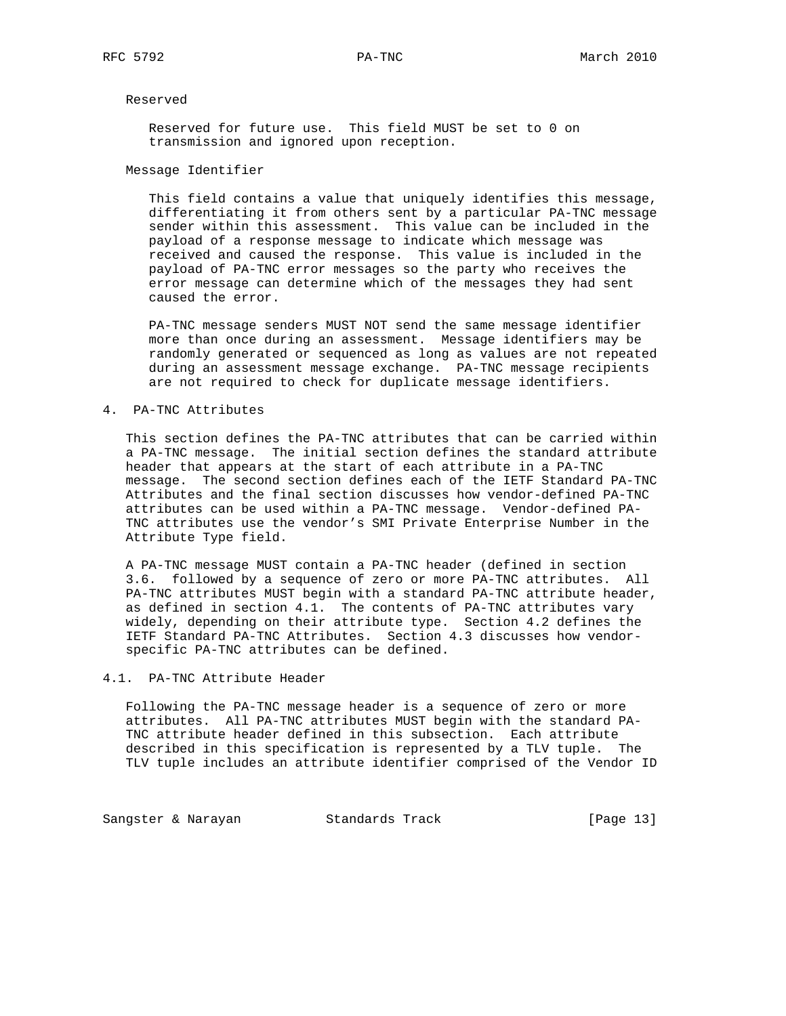## Reserved

 Reserved for future use. This field MUST be set to 0 on transmission and ignored upon reception.

Message Identifier

 This field contains a value that uniquely identifies this message, differentiating it from others sent by a particular PA-TNC message sender within this assessment. This value can be included in the payload of a response message to indicate which message was received and caused the response. This value is included in the payload of PA-TNC error messages so the party who receives the error message can determine which of the messages they had sent caused the error.

 PA-TNC message senders MUST NOT send the same message identifier more than once during an assessment. Message identifiers may be randomly generated or sequenced as long as values are not repeated during an assessment message exchange. PA-TNC message recipients are not required to check for duplicate message identifiers.

## 4. PA-TNC Attributes

 This section defines the PA-TNC attributes that can be carried within a PA-TNC message. The initial section defines the standard attribute header that appears at the start of each attribute in a PA-TNC message. The second section defines each of the IETF Standard PA-TNC Attributes and the final section discusses how vendor-defined PA-TNC attributes can be used within a PA-TNC message. Vendor-defined PA- TNC attributes use the vendor's SMI Private Enterprise Number in the Attribute Type field.

 A PA-TNC message MUST contain a PA-TNC header (defined in section 3.6. followed by a sequence of zero or more PA-TNC attributes. All PA-TNC attributes MUST begin with a standard PA-TNC attribute header, as defined in section 4.1. The contents of PA-TNC attributes vary widely, depending on their attribute type. Section 4.2 defines the IETF Standard PA-TNC Attributes. Section 4.3 discusses how vendor specific PA-TNC attributes can be defined.

## 4.1. PA-TNC Attribute Header

 Following the PA-TNC message header is a sequence of zero or more attributes. All PA-TNC attributes MUST begin with the standard PA- TNC attribute header defined in this subsection. Each attribute described in this specification is represented by a TLV tuple. The TLV tuple includes an attribute identifier comprised of the Vendor ID

Sangster & Narayan Standards Track [Page 13]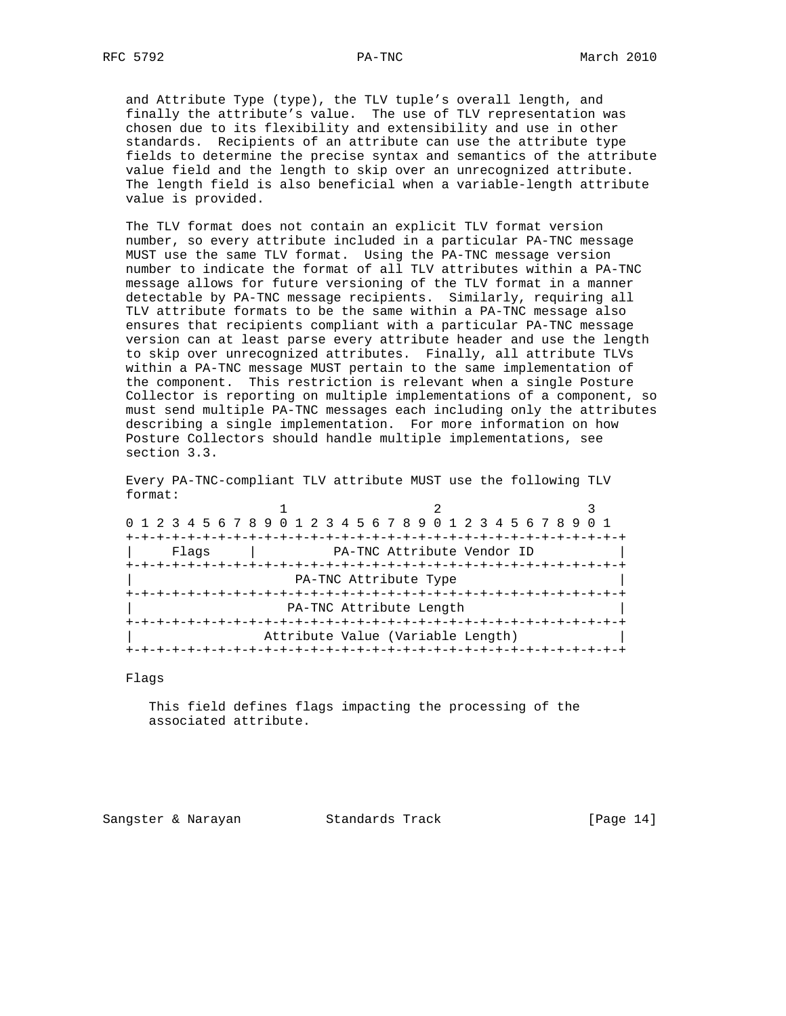and Attribute Type (type), the TLV tuple's overall length, and finally the attribute's value. The use of TLV representation was chosen due to its flexibility and extensibility and use in other standards. Recipients of an attribute can use the attribute type fields to determine the precise syntax and semantics of the attribute value field and the length to skip over an unrecognized attribute. The length field is also beneficial when a variable-length attribute value is provided.

 The TLV format does not contain an explicit TLV format version number, so every attribute included in a particular PA-TNC message MUST use the same TLV format. Using the PA-TNC message version number to indicate the format of all TLV attributes within a PA-TNC message allows for future versioning of the TLV format in a manner detectable by PA-TNC message recipients. Similarly, requiring all TLV attribute formats to be the same within a PA-TNC message also ensures that recipients compliant with a particular PA-TNC message version can at least parse every attribute header and use the length to skip over unrecognized attributes. Finally, all attribute TLVs within a PA-TNC message MUST pertain to the same implementation of the component. This restriction is relevant when a single Posture Collector is reporting on multiple implementations of a component, so must send multiple PA-TNC messages each including only the attributes describing a single implementation. For more information on how Posture Collectors should handle multiple implementations, see section 3.3.

 Every PA-TNC-compliant TLV attribute MUST use the following TLV format:

| 0 1 2 3 4 5 6 7 8 9 0 1 2 3 4 5 6 7 8 9 0 1 2 3 4 5 6 7 8 9 0 1 |                         |                                         |  |
|-----------------------------------------------------------------|-------------------------|-----------------------------------------|--|
|                                                                 |                         | -+-+-+-+-+-+-+-+-+-+-+-+-+-+-+-+-+-+-+- |  |
| Flaqs                                                           |                         | PA-TNC Attribute Vendor ID              |  |
|                                                                 |                         |                                         |  |
|                                                                 | PA-TNC Attribute Type   |                                         |  |
|                                                                 |                         |                                         |  |
|                                                                 | PA-TNC Attribute Length |                                         |  |
|                                                                 |                         |                                         |  |
|                                                                 |                         | Attribute Value (Variable Length)       |  |
|                                                                 |                         |                                         |  |

#### Flags

 This field defines flags impacting the processing of the associated attribute.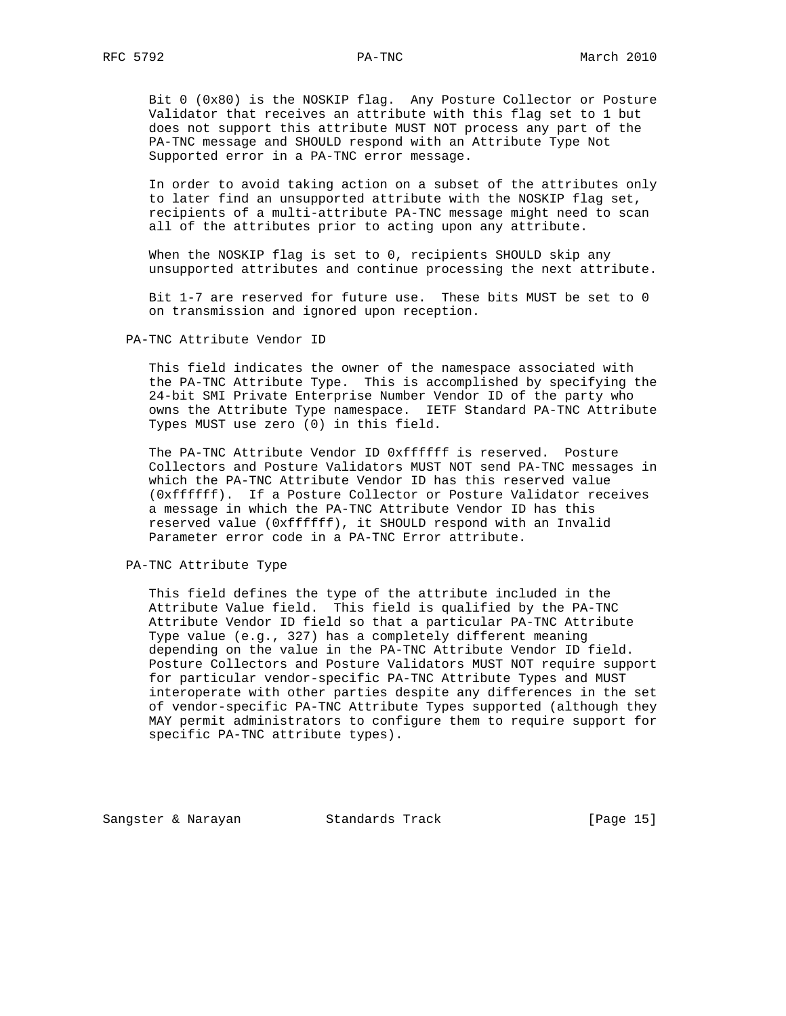Bit 0 (0x80) is the NOSKIP flag. Any Posture Collector or Posture Validator that receives an attribute with this flag set to 1 but does not support this attribute MUST NOT process any part of the PA-TNC message and SHOULD respond with an Attribute Type Not Supported error in a PA-TNC error message.

 In order to avoid taking action on a subset of the attributes only to later find an unsupported attribute with the NOSKIP flag set, recipients of a multi-attribute PA-TNC message might need to scan all of the attributes prior to acting upon any attribute.

When the NOSKIP flag is set to 0, recipients SHOULD skip any unsupported attributes and continue processing the next attribute.

 Bit 1-7 are reserved for future use. These bits MUST be set to 0 on transmission and ignored upon reception.

PA-TNC Attribute Vendor ID

 This field indicates the owner of the namespace associated with the PA-TNC Attribute Type. This is accomplished by specifying the 24-bit SMI Private Enterprise Number Vendor ID of the party who owns the Attribute Type namespace. IETF Standard PA-TNC Attribute Types MUST use zero (0) in this field.

 The PA-TNC Attribute Vendor ID 0xffffff is reserved. Posture Collectors and Posture Validators MUST NOT send PA-TNC messages in which the PA-TNC Attribute Vendor ID has this reserved value (0xffffff). If a Posture Collector or Posture Validator receives a message in which the PA-TNC Attribute Vendor ID has this reserved value (0xffffff), it SHOULD respond with an Invalid Parameter error code in a PA-TNC Error attribute.

PA-TNC Attribute Type

 This field defines the type of the attribute included in the Attribute Value field. This field is qualified by the PA-TNC Attribute Vendor ID field so that a particular PA-TNC Attribute Type value (e.g., 327) has a completely different meaning depending on the value in the PA-TNC Attribute Vendor ID field. Posture Collectors and Posture Validators MUST NOT require support for particular vendor-specific PA-TNC Attribute Types and MUST interoperate with other parties despite any differences in the set of vendor-specific PA-TNC Attribute Types supported (although they MAY permit administrators to configure them to require support for specific PA-TNC attribute types).

Sangster & Narayan Standards Track (Page 15)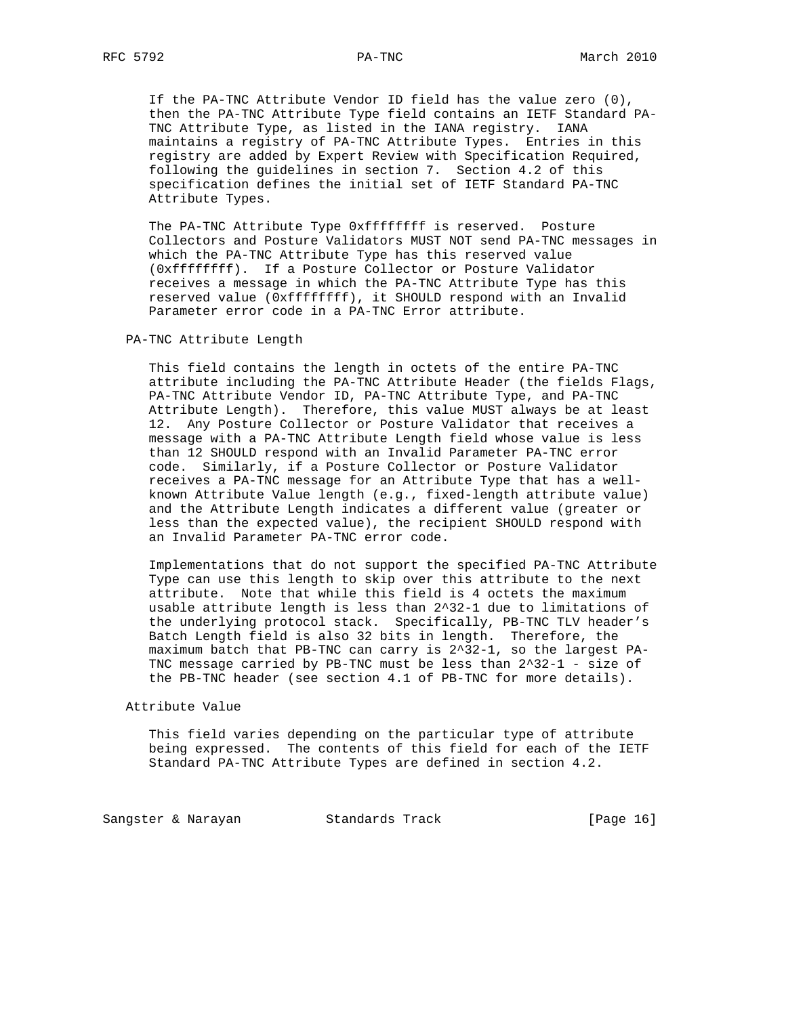If the PA-TNC Attribute Vendor ID field has the value zero (0), then the PA-TNC Attribute Type field contains an IETF Standard PA- TNC Attribute Type, as listed in the IANA registry. IANA maintains a registry of PA-TNC Attribute Types. Entries in this registry are added by Expert Review with Specification Required, following the guidelines in section 7. Section 4.2 of this specification defines the initial set of IETF Standard PA-TNC Attribute Types.

 The PA-TNC Attribute Type 0xffffffff is reserved. Posture Collectors and Posture Validators MUST NOT send PA-TNC messages in which the PA-TNC Attribute Type has this reserved value (0xffffffff). If a Posture Collector or Posture Validator receives a message in which the PA-TNC Attribute Type has this reserved value (0xffffffff), it SHOULD respond with an Invalid Parameter error code in a PA-TNC Error attribute.

PA-TNC Attribute Length

 This field contains the length in octets of the entire PA-TNC attribute including the PA-TNC Attribute Header (the fields Flags, PA-TNC Attribute Vendor ID, PA-TNC Attribute Type, and PA-TNC Attribute Length). Therefore, this value MUST always be at least 12. Any Posture Collector or Posture Validator that receives a message with a PA-TNC Attribute Length field whose value is less than 12 SHOULD respond with an Invalid Parameter PA-TNC error code. Similarly, if a Posture Collector or Posture Validator receives a PA-TNC message for an Attribute Type that has a well known Attribute Value length (e.g., fixed-length attribute value) and the Attribute Length indicates a different value (greater or less than the expected value), the recipient SHOULD respond with an Invalid Parameter PA-TNC error code.

 Implementations that do not support the specified PA-TNC Attribute Type can use this length to skip over this attribute to the next attribute. Note that while this field is 4 octets the maximum usable attribute length is less than 2^32-1 due to limitations of the underlying protocol stack. Specifically, PB-TNC TLV header's Batch Length field is also 32 bits in length. Therefore, the maximum batch that PB-TNC can carry is 2^32-1, so the largest PA- TNC message carried by PB-TNC must be less than 2^32-1 - size of the PB-TNC header (see section 4.1 of PB-TNC for more details).

Attribute Value

 This field varies depending on the particular type of attribute being expressed. The contents of this field for each of the IETF Standard PA-TNC Attribute Types are defined in section 4.2.

Sangster & Narayan Standards Track [Page 16]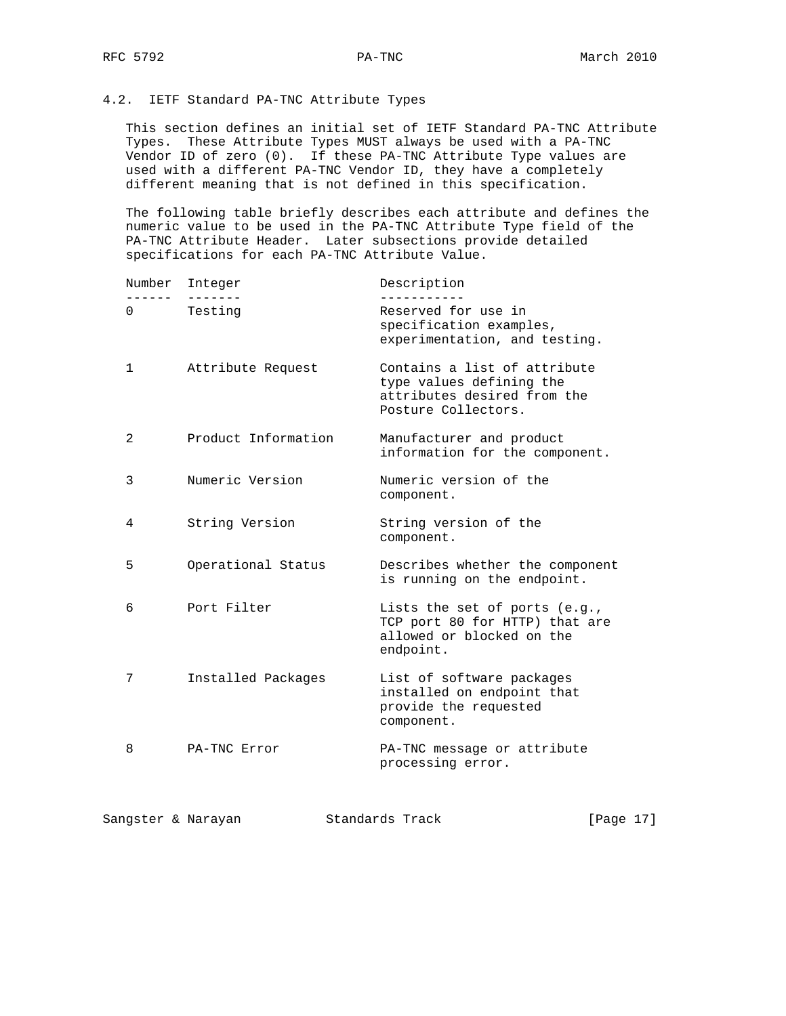## 4.2. IETF Standard PA-TNC Attribute Types

 This section defines an initial set of IETF Standard PA-TNC Attribute Types. These Attribute Types MUST always be used with a PA-TNC Vendor ID of zero (0). If these PA-TNC Attribute Type values are used with a different PA-TNC Vendor ID, they have a completely different meaning that is not defined in this specification.

 The following table briefly describes each attribute and defines the numeric value to be used in the PA-TNC Attribute Type field of the PA-TNC Attribute Header. Later subsections provide detailed specifications for each PA-TNC Attribute Value.

| Number         | Integer             | Description                                                                                                    |
|----------------|---------------------|----------------------------------------------------------------------------------------------------------------|
| 0              | Testing             | Reserved for use in<br>specification examples,<br>experimentation, and testing.                                |
| 1              | Attribute Request   | Contains a list of attribute<br>type values defining the<br>attributes desired from the<br>Posture Collectors. |
| $\overline{2}$ | Product Information | Manufacturer and product<br>information for the component.                                                     |
| 3              | Numeric Version     | Numeric version of the<br>component.                                                                           |
| 4              | String Version      | String version of the<br>component.                                                                            |
| 5              | Operational Status  | Describes whether the component<br>is running on the endpoint.                                                 |
| 6              | Port Filter         | Lists the set of ports (e.g.,<br>TCP port 80 for HTTP) that are<br>allowed or blocked on the<br>endpoint.      |
| 7              | Installed Packages  | List of software packages<br>installed on endpoint that<br>provide the requested<br>component.                 |
| 8              | PA-TNC Error        | PA-TNC message or attribute<br>processing error.                                                               |
|                | Sangster & Narayan  | Standards Track<br>[Page 17]                                                                                   |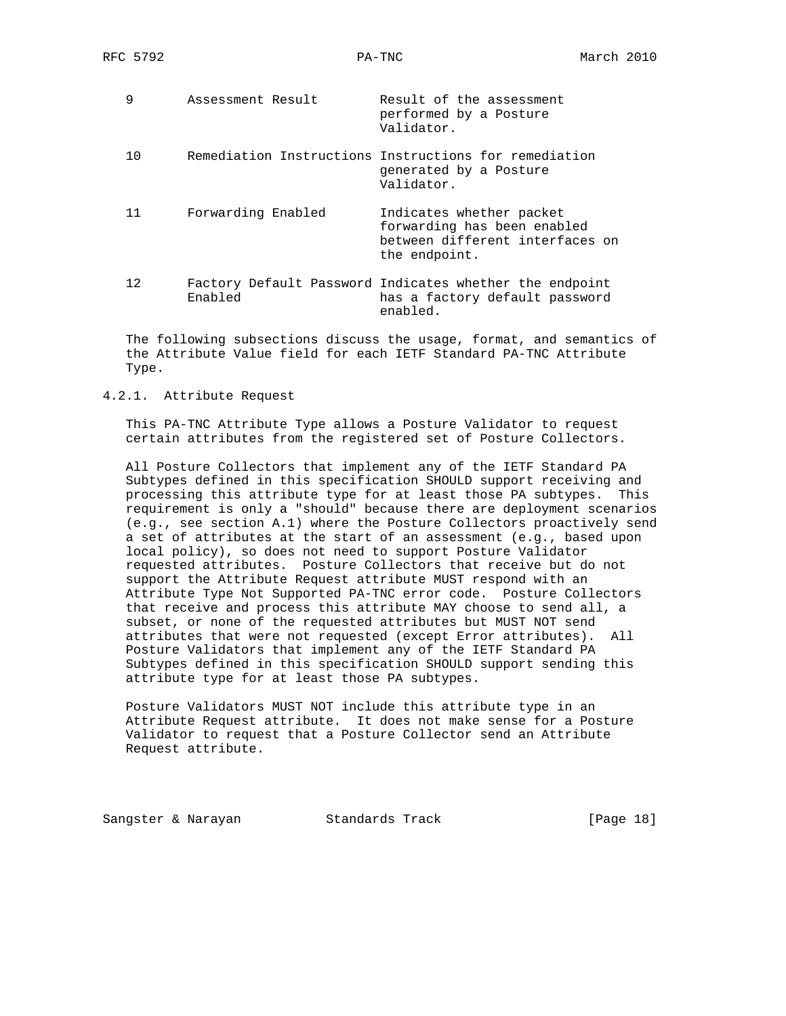| 9   | Assessment Result  | Result of the assessment<br>performed by a Posture<br>Validator.                                            |
|-----|--------------------|-------------------------------------------------------------------------------------------------------------|
| 1 O |                    | Remediation Instructions Instructions for remediation<br>generated by a Posture<br>Validator.               |
| 11  | Forwarding Enabled | Indicates whether packet<br>forwarding has been enabled<br>between different interfaces on<br>the endpoint. |
| 12. | Enabled            | Factory Default Password Indicates whether the endpoint<br>has a factory default password<br>enabled.       |

 The following subsections discuss the usage, format, and semantics of the Attribute Value field for each IETF Standard PA-TNC Attribute Type.

4.2.1. Attribute Request

 This PA-TNC Attribute Type allows a Posture Validator to request certain attributes from the registered set of Posture Collectors.

 All Posture Collectors that implement any of the IETF Standard PA Subtypes defined in this specification SHOULD support receiving and processing this attribute type for at least those PA subtypes. This requirement is only a "should" because there are deployment scenarios (e.g., see section A.1) where the Posture Collectors proactively send a set of attributes at the start of an assessment (e.g., based upon local policy), so does not need to support Posture Validator requested attributes. Posture Collectors that receive but do not support the Attribute Request attribute MUST respond with an Attribute Type Not Supported PA-TNC error code. Posture Collectors that receive and process this attribute MAY choose to send all, a subset, or none of the requested attributes but MUST NOT send attributes that were not requested (except Error attributes). All Posture Validators that implement any of the IETF Standard PA Subtypes defined in this specification SHOULD support sending this attribute type for at least those PA subtypes.

 Posture Validators MUST NOT include this attribute type in an Attribute Request attribute. It does not make sense for a Posture Validator to request that a Posture Collector send an Attribute Request attribute.

Sangster & Narayan Standards Track [Page 18]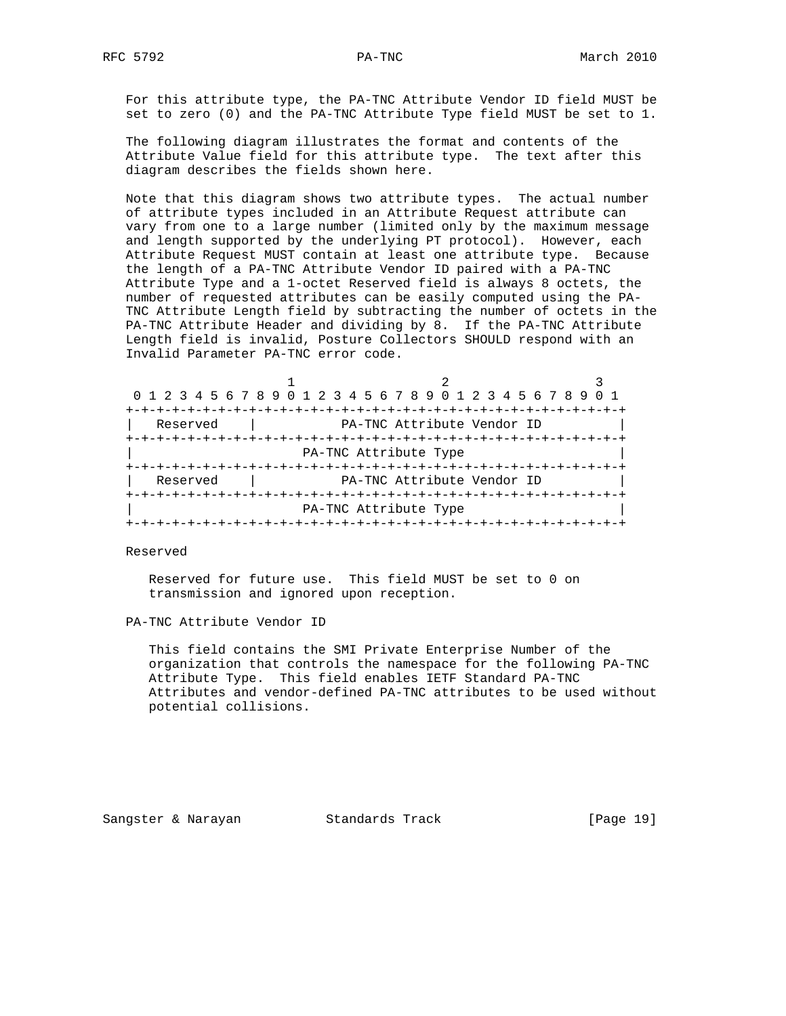For this attribute type, the PA-TNC Attribute Vendor ID field MUST be set to zero (0) and the PA-TNC Attribute Type field MUST be set to 1.

 The following diagram illustrates the format and contents of the Attribute Value field for this attribute type. The text after this diagram describes the fields shown here.

 Note that this diagram shows two attribute types. The actual number of attribute types included in an Attribute Request attribute can vary from one to a large number (limited only by the maximum message and length supported by the underlying PT protocol). However, each Attribute Request MUST contain at least one attribute type. Because the length of a PA-TNC Attribute Vendor ID paired with a PA-TNC Attribute Type and a 1-octet Reserved field is always 8 octets, the number of requested attributes can be easily computed using the PA- TNC Attribute Length field by subtracting the number of octets in the PA-TNC Attribute Header and dividing by 8. If the PA-TNC Attribute Length field is invalid, Posture Collectors SHOULD respond with an Invalid Parameter PA-TNC error code.

| 0 1 2 3 4 5 6 7 8 9 0 1 2 3 4 5 6 7 8 9 0 1 2 3 4 5 6 7 8 9 0 1 |                                         |                            |  |
|-----------------------------------------------------------------|-----------------------------------------|----------------------------|--|
|                                                                 |                                         |                            |  |
| Reserved                                                        |                                         | PA-TNC Attribute Vendor ID |  |
|                                                                 |                                         |                            |  |
|                                                                 | PA-TNC Attribute Type                   |                            |  |
|                                                                 |                                         |                            |  |
| Reserved                                                        |                                         | PA-TNC Attribute Vendor ID |  |
|                                                                 |                                         |                            |  |
|                                                                 | PA-TNC Attribute Type                   |                            |  |
|                                                                 | -+-+-+-+-+-+-+-+-+-+-+-+-+-+-+-+-+-+-+- |                            |  |

Reserved

 Reserved for future use. This field MUST be set to 0 on transmission and ignored upon reception.

PA-TNC Attribute Vendor ID

 This field contains the SMI Private Enterprise Number of the organization that controls the namespace for the following PA-TNC Attribute Type. This field enables IETF Standard PA-TNC Attributes and vendor-defined PA-TNC attributes to be used without potential collisions.

Sangster & Narayan Standards Track [Page 19]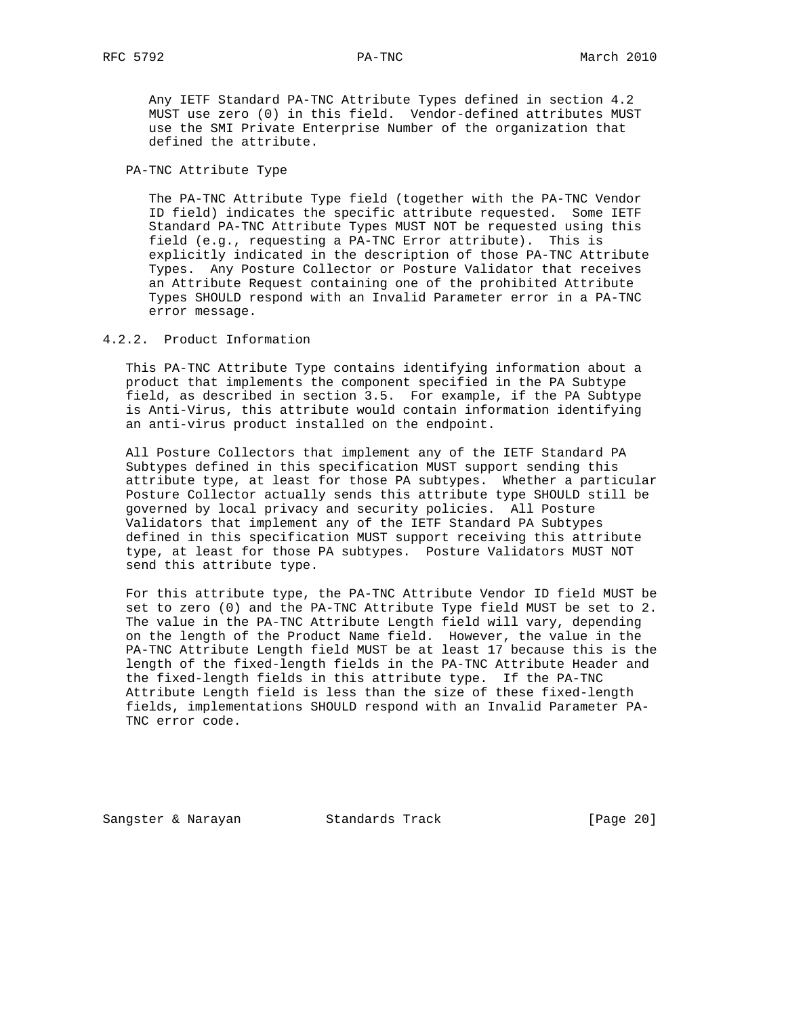Any IETF Standard PA-TNC Attribute Types defined in section 4.2 MUST use zero (0) in this field. Vendor-defined attributes MUST use the SMI Private Enterprise Number of the organization that defined the attribute.

PA-TNC Attribute Type

 The PA-TNC Attribute Type field (together with the PA-TNC Vendor ID field) indicates the specific attribute requested. Some IETF Standard PA-TNC Attribute Types MUST NOT be requested using this field (e.g., requesting a PA-TNC Error attribute). This is explicitly indicated in the description of those PA-TNC Attribute Types. Any Posture Collector or Posture Validator that receives an Attribute Request containing one of the prohibited Attribute Types SHOULD respond with an Invalid Parameter error in a PA-TNC error message.

## 4.2.2. Product Information

 This PA-TNC Attribute Type contains identifying information about a product that implements the component specified in the PA Subtype field, as described in section 3.5. For example, if the PA Subtype is Anti-Virus, this attribute would contain information identifying an anti-virus product installed on the endpoint.

 All Posture Collectors that implement any of the IETF Standard PA Subtypes defined in this specification MUST support sending this attribute type, at least for those PA subtypes. Whether a particular Posture Collector actually sends this attribute type SHOULD still be governed by local privacy and security policies. All Posture Validators that implement any of the IETF Standard PA Subtypes defined in this specification MUST support receiving this attribute type, at least for those PA subtypes. Posture Validators MUST NOT send this attribute type.

 For this attribute type, the PA-TNC Attribute Vendor ID field MUST be set to zero (0) and the PA-TNC Attribute Type field MUST be set to 2. The value in the PA-TNC Attribute Length field will vary, depending on the length of the Product Name field. However, the value in the PA-TNC Attribute Length field MUST be at least 17 because this is the length of the fixed-length fields in the PA-TNC Attribute Header and the fixed-length fields in this attribute type. If the PA-TNC Attribute Length field is less than the size of these fixed-length fields, implementations SHOULD respond with an Invalid Parameter PA- TNC error code.

Sangster & Narayan Standards Track (Page 20)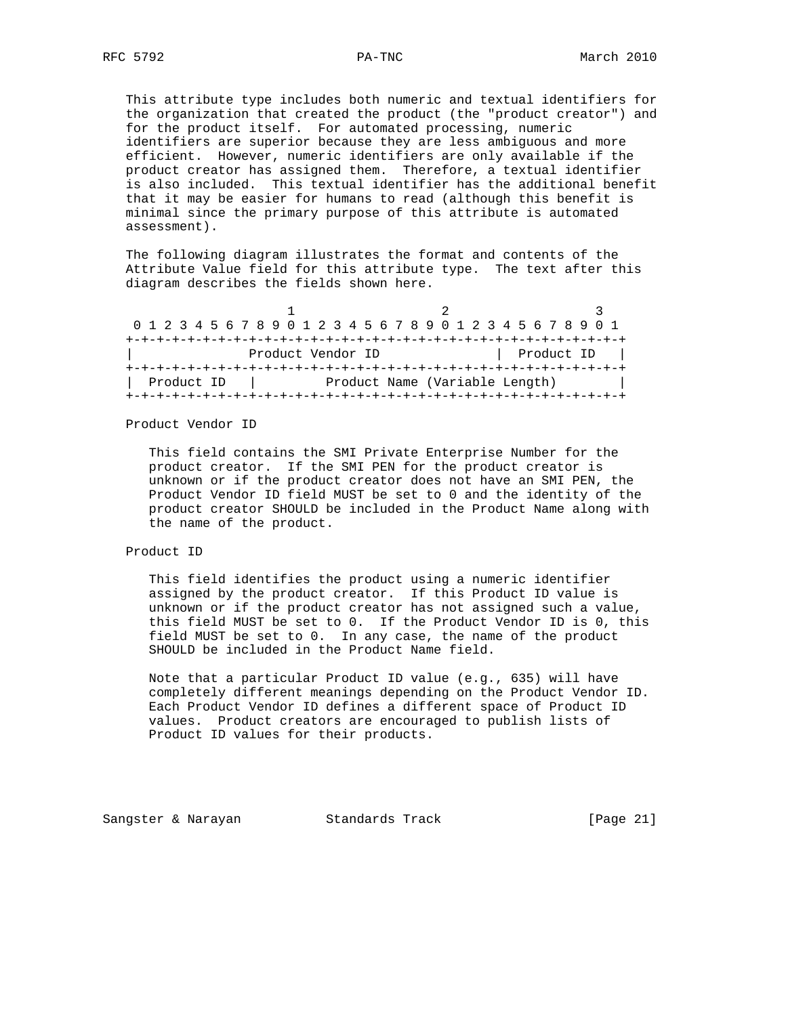This attribute type includes both numeric and textual identifiers for the organization that created the product (the "product creator") and for the product itself. For automated processing, numeric identifiers are superior because they are less ambiguous and more efficient. However, numeric identifiers are only available if the product creator has assigned them. Therefore, a textual identifier is also included. This textual identifier has the additional benefit that it may be easier for humans to read (although this benefit is minimal since the primary purpose of this attribute is automated assessment).

 The following diagram illustrates the format and contents of the Attribute Value field for this attribute type. The text after this diagram describes the fields shown here.

|            |                   | 0 1 2 3 4 5 6 7 8 9 0 1 2 3 4 5 6 7 8 9 0 1 2 3 4 5 6 7 8 9 0 1 |            |
|------------|-------------------|-----------------------------------------------------------------|------------|
|            |                   |                                                                 |            |
|            | Product Vendor ID |                                                                 | Product ID |
|            |                   |                                                                 |            |
| Product ID |                   | Product Name (Variable Length)                                  |            |
|            |                   |                                                                 |            |

Product Vendor ID

 This field contains the SMI Private Enterprise Number for the product creator. If the SMI PEN for the product creator is unknown or if the product creator does not have an SMI PEN, the Product Vendor ID field MUST be set to 0 and the identity of the product creator SHOULD be included in the Product Name along with the name of the product.

#### Product ID

 This field identifies the product using a numeric identifier assigned by the product creator. If this Product ID value is unknown or if the product creator has not assigned such a value, this field MUST be set to 0. If the Product Vendor ID is 0, this field MUST be set to 0. In any case, the name of the product SHOULD be included in the Product Name field.

 Note that a particular Product ID value (e.g., 635) will have completely different meanings depending on the Product Vendor ID. Each Product Vendor ID defines a different space of Product ID values. Product creators are encouraged to publish lists of Product ID values for their products.

Sangster & Narayan Standards Track [Page 21]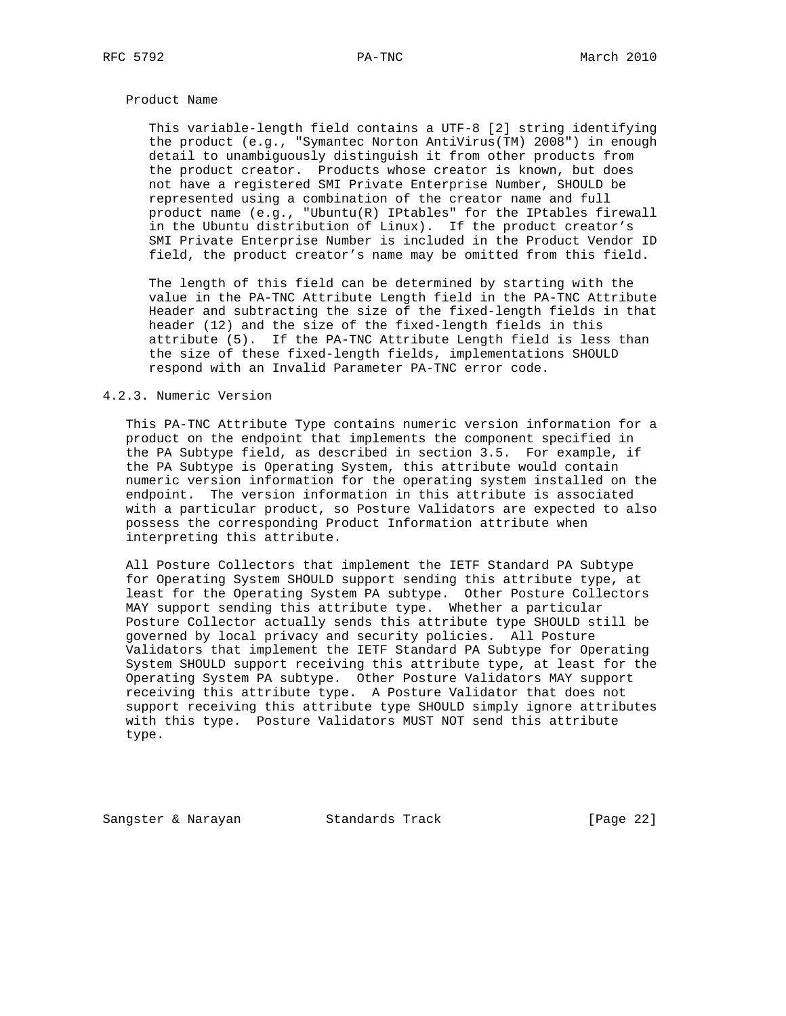## Product Name

 This variable-length field contains a UTF-8 [2] string identifying the product (e.g., "Symantec Norton AntiVirus(TM) 2008") in enough detail to unambiguously distinguish it from other products from the product creator. Products whose creator is known, but does not have a registered SMI Private Enterprise Number, SHOULD be represented using a combination of the creator name and full product name (e.g., "Ubuntu(R) IPtables" for the IPtables firewall in the Ubuntu distribution of Linux). If the product creator's SMI Private Enterprise Number is included in the Product Vendor ID field, the product creator's name may be omitted from this field.

 The length of this field can be determined by starting with the value in the PA-TNC Attribute Length field in the PA-TNC Attribute Header and subtracting the size of the fixed-length fields in that header (12) and the size of the fixed-length fields in this attribute (5). If the PA-TNC Attribute Length field is less than the size of these fixed-length fields, implementations SHOULD respond with an Invalid Parameter PA-TNC error code.

## 4.2.3. Numeric Version

 This PA-TNC Attribute Type contains numeric version information for a product on the endpoint that implements the component specified in the PA Subtype field, as described in section 3.5. For example, if the PA Subtype is Operating System, this attribute would contain numeric version information for the operating system installed on the endpoint. The version information in this attribute is associated with a particular product, so Posture Validators are expected to also possess the corresponding Product Information attribute when interpreting this attribute.

 All Posture Collectors that implement the IETF Standard PA Subtype for Operating System SHOULD support sending this attribute type, at least for the Operating System PA subtype. Other Posture Collectors MAY support sending this attribute type. Whether a particular Posture Collector actually sends this attribute type SHOULD still be governed by local privacy and security policies. All Posture Validators that implement the IETF Standard PA Subtype for Operating System SHOULD support receiving this attribute type, at least for the Operating System PA subtype. Other Posture Validators MAY support receiving this attribute type. A Posture Validator that does not support receiving this attribute type SHOULD simply ignore attributes with this type. Posture Validators MUST NOT send this attribute type.

Sangster & Narayan Standards Track (Page 22)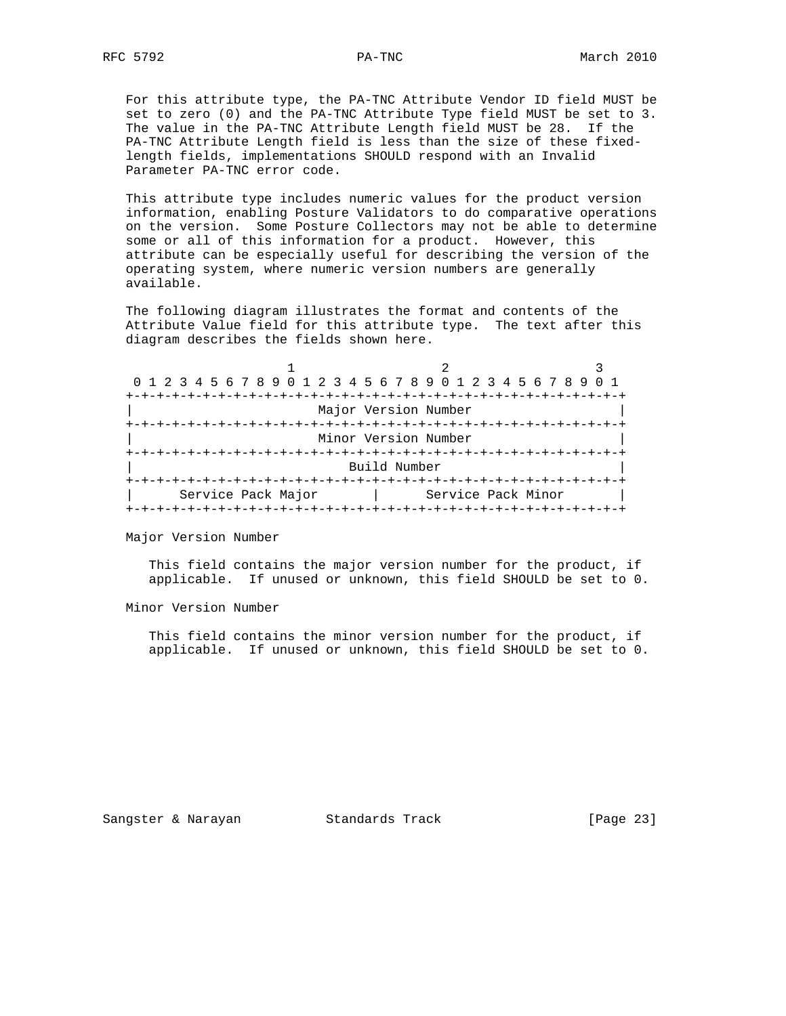For this attribute type, the PA-TNC Attribute Vendor ID field MUST be set to zero (0) and the PA-TNC Attribute Type field MUST be set to 3. The value in the PA-TNC Attribute Length field MUST be 28. If the PA-TNC Attribute Length field is less than the size of these fixed length fields, implementations SHOULD respond with an Invalid Parameter PA-TNC error code.

 This attribute type includes numeric values for the product version information, enabling Posture Validators to do comparative operations on the version. Some Posture Collectors may not be able to determine some or all of this information for a product. However, this attribute can be especially useful for describing the version of the operating system, where numeric version numbers are generally available.

 The following diagram illustrates the format and contents of the Attribute Value field for this attribute type. The text after this diagram describes the fields shown here.

| 0 1 2 3 4 5 6 7 8 9 0 1 2 3 4 5 6 7 8 9 0 1 2 3 4 5 6 7 8 9 0 1 |                      |  |
|-----------------------------------------------------------------|----------------------|--|
|                                                                 |                      |  |
|                                                                 | Major Version Number |  |
|                                                                 | Minor Version Number |  |
|                                                                 | Build Number         |  |
| Service Pack Major                                              | Service Pack Minor   |  |

Major Version Number

 This field contains the major version number for the product, if applicable. If unused or unknown, this field SHOULD be set to 0.

Minor Version Number

 This field contains the minor version number for the product, if applicable. If unused or unknown, this field SHOULD be set to 0.

Sangster & Narayan Standards Track (Page 23)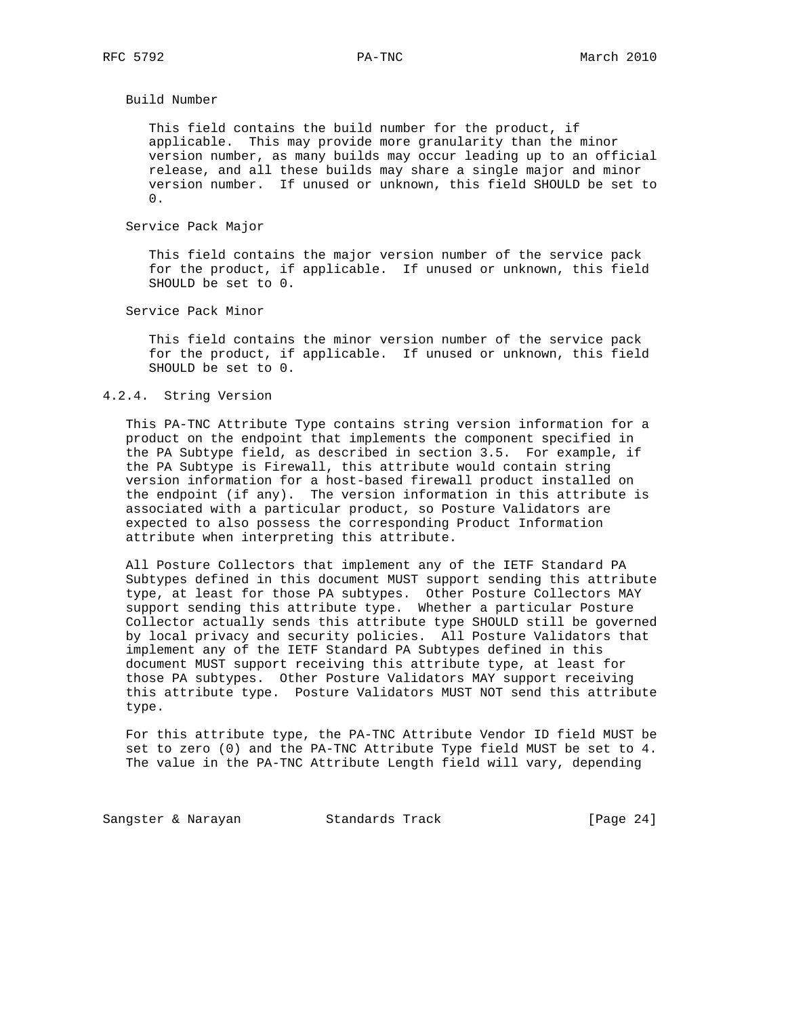Build Number

 This field contains the build number for the product, if applicable. This may provide more granularity than the minor version number, as many builds may occur leading up to an official release, and all these builds may share a single major and minor version number. If unused or unknown, this field SHOULD be set to  $0.$ 

Service Pack Major

 This field contains the major version number of the service pack for the product, if applicable. If unused or unknown, this field SHOULD be set to 0.

Service Pack Minor

 This field contains the minor version number of the service pack for the product, if applicable. If unused or unknown, this field SHOULD be set to 0.

## 4.2.4. String Version

 This PA-TNC Attribute Type contains string version information for a product on the endpoint that implements the component specified in the PA Subtype field, as described in section 3.5. For example, if the PA Subtype is Firewall, this attribute would contain string version information for a host-based firewall product installed on the endpoint (if any). The version information in this attribute is associated with a particular product, so Posture Validators are expected to also possess the corresponding Product Information attribute when interpreting this attribute.

 All Posture Collectors that implement any of the IETF Standard PA Subtypes defined in this document MUST support sending this attribute type, at least for those PA subtypes. Other Posture Collectors MAY support sending this attribute type. Whether a particular Posture Collector actually sends this attribute type SHOULD still be governed by local privacy and security policies. All Posture Validators that implement any of the IETF Standard PA Subtypes defined in this document MUST support receiving this attribute type, at least for those PA subtypes. Other Posture Validators MAY support receiving this attribute type. Posture Validators MUST NOT send this attribute type.

 For this attribute type, the PA-TNC Attribute Vendor ID field MUST be set to zero (0) and the PA-TNC Attribute Type field MUST be set to 4. The value in the PA-TNC Attribute Length field will vary, depending

Sangster & Narayan Standards Track [Page 24]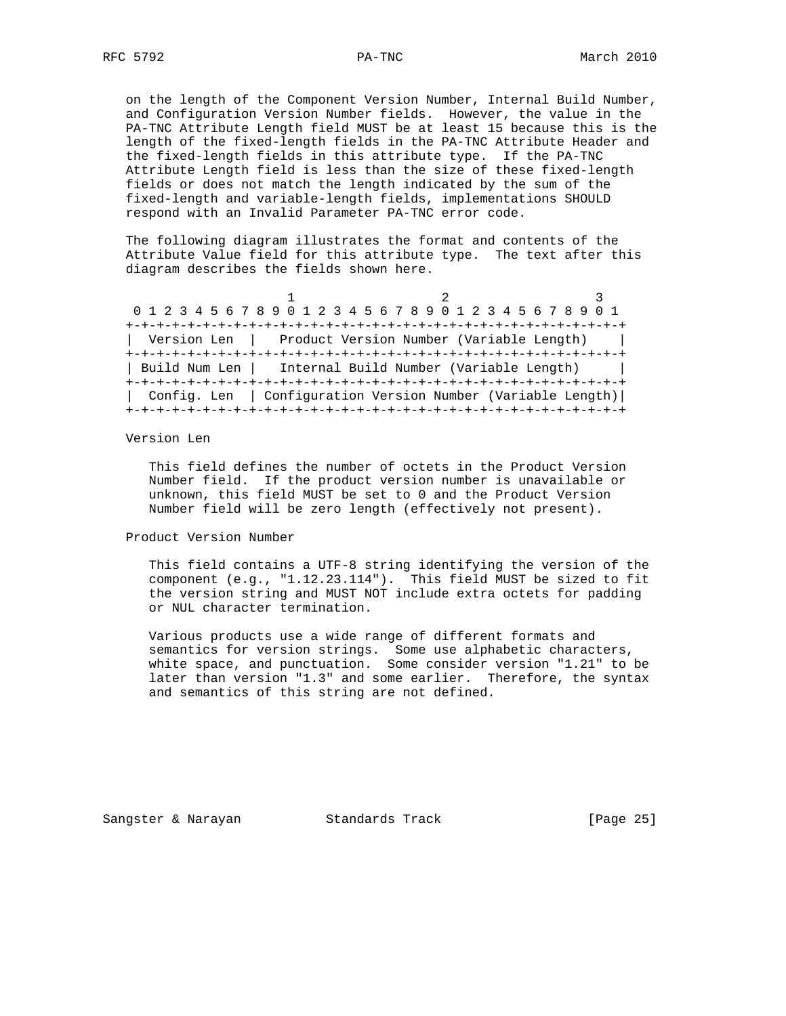on the length of the Component Version Number, Internal Build Number, and Configuration Version Number fields. However, the value in the PA-TNC Attribute Length field MUST be at least 15 because this is the length of the fixed-length fields in the PA-TNC Attribute Header and the fixed-length fields in this attribute type. If the PA-TNC Attribute Length field is less than the size of these fixed-length fields or does not match the length indicated by the sum of the fixed-length and variable-length fields, implementations SHOULD respond with an Invalid Parameter PA-TNC error code.

 The following diagram illustrates the format and contents of the Attribute Value field for this attribute type. The text after this diagram describes the fields shown here.

|  |                                                         | 0 1 2 3 4 5 6 7 8 9 0 1 2 3 4 5 6 7 8 9 0 1 2 3 4 5 6 7 8 9 0 1 |
|--|---------------------------------------------------------|-----------------------------------------------------------------|
|  |                                                         |                                                                 |
|  | Version Len   Product Version Number (Variable Length)  |                                                                 |
|  |                                                         |                                                                 |
|  | Build Num Len   Internal Build Number (Variable Length) |                                                                 |
|  |                                                         |                                                                 |
|  |                                                         | Config. Len   Configuration Version Number (Variable Length)    |
|  |                                                         |                                                                 |

Version Len

 This field defines the number of octets in the Product Version Number field. If the product version number is unavailable or unknown, this field MUST be set to 0 and the Product Version Number field will be zero length (effectively not present).

Product Version Number

 This field contains a UTF-8 string identifying the version of the component (e.g., "1.12.23.114"). This field MUST be sized to fit the version string and MUST NOT include extra octets for padding or NUL character termination.

 Various products use a wide range of different formats and semantics for version strings. Some use alphabetic characters, white space, and punctuation. Some consider version "1.21" to be later than version "1.3" and some earlier. Therefore, the syntax and semantics of this string are not defined.

Sangster & Narayan Standards Track (Page 25)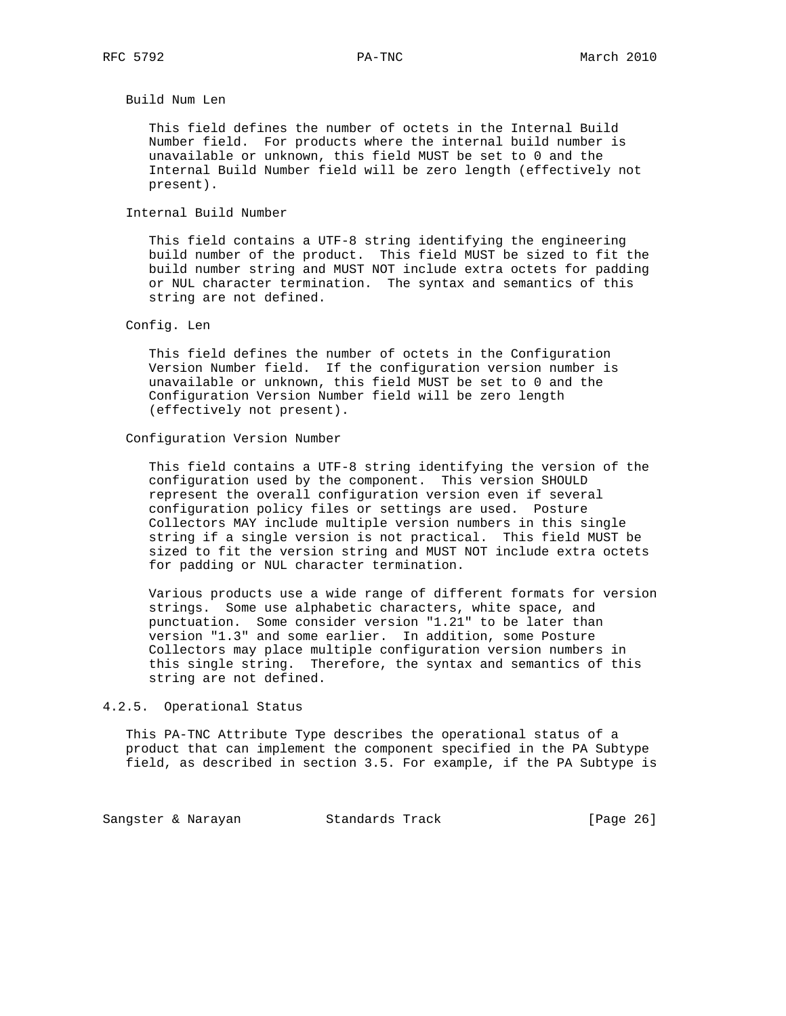Build Num Len

 This field defines the number of octets in the Internal Build Number field. For products where the internal build number is unavailable or unknown, this field MUST be set to 0 and the Internal Build Number field will be zero length (effectively not present).

Internal Build Number

 This field contains a UTF-8 string identifying the engineering build number of the product. This field MUST be sized to fit the build number string and MUST NOT include extra octets for padding or NUL character termination. The syntax and semantics of this string are not defined.

## Config. Len

 This field defines the number of octets in the Configuration Version Number field. If the configuration version number is unavailable or unknown, this field MUST be set to 0 and the Configuration Version Number field will be zero length (effectively not present).

## Configuration Version Number

 This field contains a UTF-8 string identifying the version of the configuration used by the component. This version SHOULD represent the overall configuration version even if several configuration policy files or settings are used. Posture Collectors MAY include multiple version numbers in this single string if a single version is not practical. This field MUST be sized to fit the version string and MUST NOT include extra octets for padding or NUL character termination.

 Various products use a wide range of different formats for version strings. Some use alphabetic characters, white space, and punctuation. Some consider version "1.21" to be later than version "1.3" and some earlier. In addition, some Posture Collectors may place multiple configuration version numbers in this single string. Therefore, the syntax and semantics of this string are not defined.

## 4.2.5. Operational Status

 This PA-TNC Attribute Type describes the operational status of a product that can implement the component specified in the PA Subtype field, as described in section 3.5. For example, if the PA Subtype is

Sangster & Narayan Standards Track [Page 26]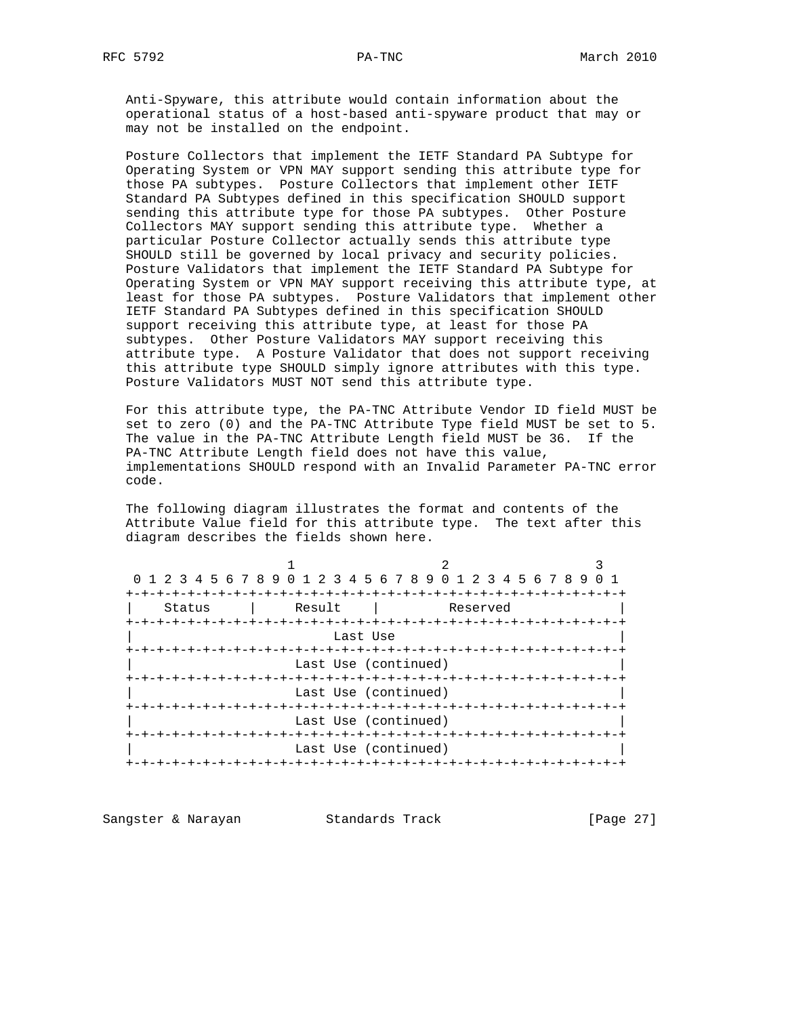Anti-Spyware, this attribute would contain information about the operational status of a host-based anti-spyware product that may or may not be installed on the endpoint.

 Posture Collectors that implement the IETF Standard PA Subtype for Operating System or VPN MAY support sending this attribute type for those PA subtypes. Posture Collectors that implement other IETF Standard PA Subtypes defined in this specification SHOULD support sending this attribute type for those PA subtypes. Other Posture Collectors MAY support sending this attribute type. Whether a particular Posture Collector actually sends this attribute type SHOULD still be governed by local privacy and security policies. Posture Validators that implement the IETF Standard PA Subtype for Operating System or VPN MAY support receiving this attribute type, at least for those PA subtypes. Posture Validators that implement other IETF Standard PA Subtypes defined in this specification SHOULD support receiving this attribute type, at least for those PA subtypes. Other Posture Validators MAY support receiving this attribute type. A Posture Validator that does not support receiving this attribute type SHOULD simply ignore attributes with this type. Posture Validators MUST NOT send this attribute type.

 For this attribute type, the PA-TNC Attribute Vendor ID field MUST be set to zero (0) and the PA-TNC Attribute Type field MUST be set to 5. The value in the PA-TNC Attribute Length field MUST be 36. If the PA-TNC Attribute Length field does not have this value, implementations SHOULD respond with an Invalid Parameter PA-TNC error code.

 The following diagram illustrates the format and contents of the Attribute Value field for this attribute type. The text after this diagram describes the fields shown here.

|          | 0 1 2 3 4 5 6 7 8 9 0 1 2 3 4 5 6 7 8 9 0 1 2 3 4 5 6 7 8 9 |                               |  |  |  |  |  |  |  |
|----------|-------------------------------------------------------------|-------------------------------|--|--|--|--|--|--|--|
|          |                                                             |                               |  |  |  |  |  |  |  |
| Status   | Result                                                      | Reserved                      |  |  |  |  |  |  |  |
|          |                                                             |                               |  |  |  |  |  |  |  |
| Last Use |                                                             |                               |  |  |  |  |  |  |  |
|          |                                                             |                               |  |  |  |  |  |  |  |
|          | Last Use (continued)                                        |                               |  |  |  |  |  |  |  |
|          |                                                             |                               |  |  |  |  |  |  |  |
|          | Last Use (continued)                                        |                               |  |  |  |  |  |  |  |
|          |                                                             |                               |  |  |  |  |  |  |  |
|          | Last Use (continued)                                        |                               |  |  |  |  |  |  |  |
|          |                                                             |                               |  |  |  |  |  |  |  |
|          | Last Use (continued)                                        |                               |  |  |  |  |  |  |  |
|          |                                                             | -+-+-+-+-+-+-+-+-+-+-+-+-+-+- |  |  |  |  |  |  |  |

Sangster & Narayan Standards Track [Page 27]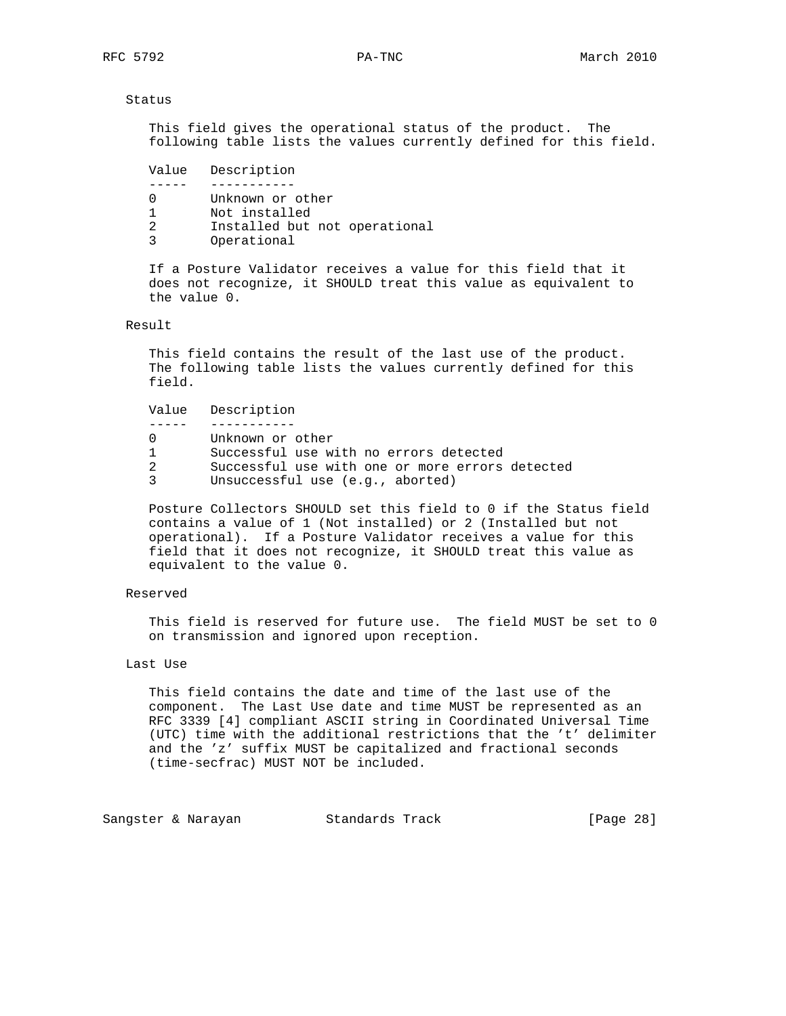#### Status

 This field gives the operational status of the product. The following table lists the values currently defined for this field.

 Value Description ----- ----------- 0 Unknown or other 1 Not installed 2 Installed but not operational 3 Operational

 If a Posture Validator receives a value for this field that it does not recognize, it SHOULD treat this value as equivalent to the value 0.

## Result

 This field contains the result of the last use of the product. The following table lists the values currently defined for this field.

Value Description

 ----- ----------- 0 Unknown or other 1 Successful use with no errors detected 2 Successful use with one or more errors detected

3 Unsuccessful use (e.g., aborted)

 Posture Collectors SHOULD set this field to 0 if the Status field contains a value of 1 (Not installed) or 2 (Installed but not operational). If a Posture Validator receives a value for this field that it does not recognize, it SHOULD treat this value as equivalent to the value 0.

## Reserved

 This field is reserved for future use. The field MUST be set to 0 on transmission and ignored upon reception.

## Last Use

 This field contains the date and time of the last use of the component. The Last Use date and time MUST be represented as an RFC 3339 [4] compliant ASCII string in Coordinated Universal Time (UTC) time with the additional restrictions that the 't' delimiter and the 'z' suffix MUST be capitalized and fractional seconds (time-secfrac) MUST NOT be included.

Sangster & Narayan Standards Track [Page 28]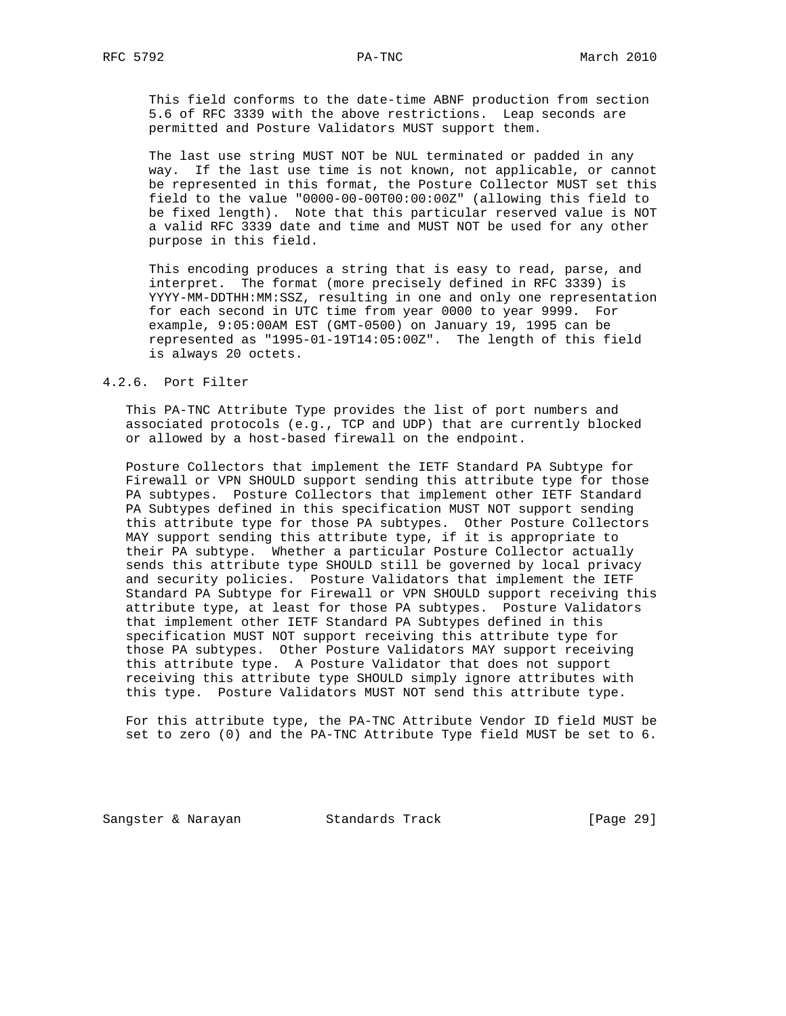This field conforms to the date-time ABNF production from section 5.6 of RFC 3339 with the above restrictions. Leap seconds are permitted and Posture Validators MUST support them.

 The last use string MUST NOT be NUL terminated or padded in any way. If the last use time is not known, not applicable, or cannot be represented in this format, the Posture Collector MUST set this field to the value "0000-00-00T00:00:00Z" (allowing this field to be fixed length). Note that this particular reserved value is NOT a valid RFC 3339 date and time and MUST NOT be used for any other purpose in this field.

 This encoding produces a string that is easy to read, parse, and interpret. The format (more precisely defined in RFC 3339) is YYYY-MM-DDTHH:MM:SSZ, resulting in one and only one representation for each second in UTC time from year 0000 to year 9999. For example, 9:05:00AM EST (GMT-0500) on January 19, 1995 can be represented as "1995-01-19T14:05:00Z". The length of this field is always 20 octets.

## 4.2.6. Port Filter

 This PA-TNC Attribute Type provides the list of port numbers and associated protocols (e.g., TCP and UDP) that are currently blocked or allowed by a host-based firewall on the endpoint.

 Posture Collectors that implement the IETF Standard PA Subtype for Firewall or VPN SHOULD support sending this attribute type for those PA subtypes. Posture Collectors that implement other IETF Standard PA Subtypes defined in this specification MUST NOT support sending this attribute type for those PA subtypes. Other Posture Collectors MAY support sending this attribute type, if it is appropriate to their PA subtype. Whether a particular Posture Collector actually sends this attribute type SHOULD still be governed by local privacy and security policies. Posture Validators that implement the IETF Standard PA Subtype for Firewall or VPN SHOULD support receiving this attribute type, at least for those PA subtypes. Posture Validators that implement other IETF Standard PA Subtypes defined in this specification MUST NOT support receiving this attribute type for those PA subtypes. Other Posture Validators MAY support receiving this attribute type. A Posture Validator that does not support receiving this attribute type SHOULD simply ignore attributes with this type. Posture Validators MUST NOT send this attribute type.

 For this attribute type, the PA-TNC Attribute Vendor ID field MUST be set to zero (0) and the PA-TNC Attribute Type field MUST be set to 6.

Sangster & Narayan Standards Track (Page 29)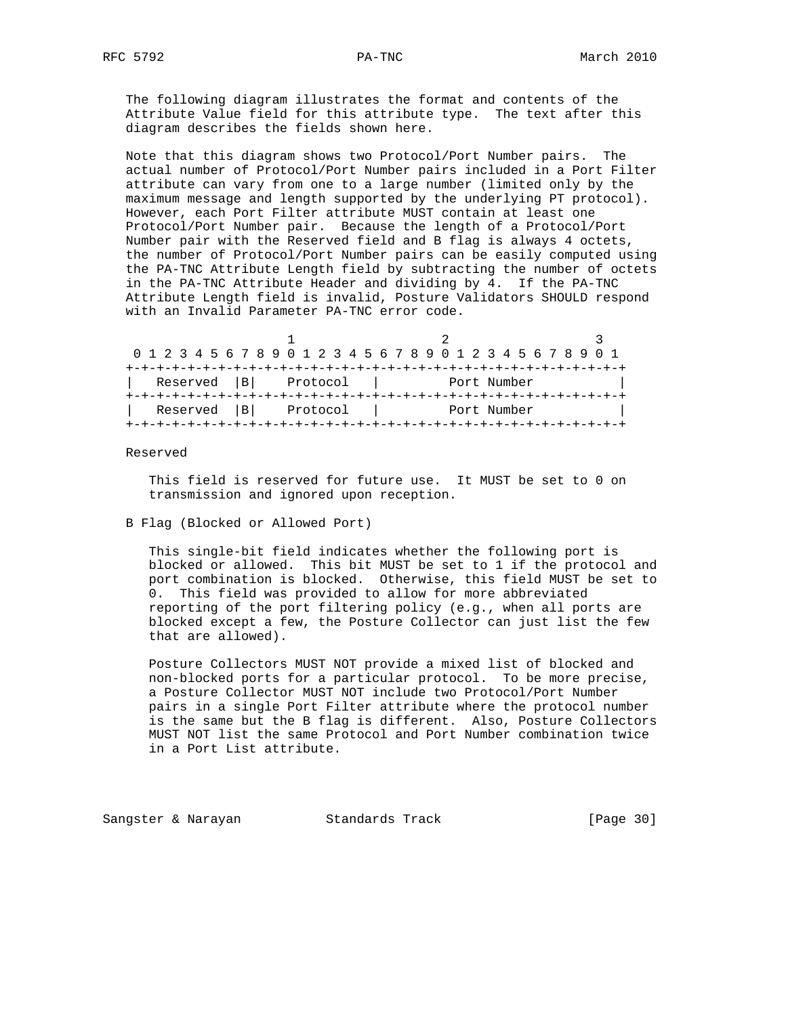The following diagram illustrates the format and contents of the Attribute Value field for this attribute type. The text after this diagram describes the fields shown here.

 Note that this diagram shows two Protocol/Port Number pairs. The actual number of Protocol/Port Number pairs included in a Port Filter attribute can vary from one to a large number (limited only by the maximum message and length supported by the underlying PT protocol). However, each Port Filter attribute MUST contain at least one Protocol/Port Number pair. Because the length of a Protocol/Port Number pair with the Reserved field and B flag is always 4 octets, the number of Protocol/Port Number pairs can be easily computed using the PA-TNC Attribute Length field by subtracting the number of octets in the PA-TNC Attribute Header and dividing by 4. If the PA-TNC Attribute Length field is invalid, Posture Validators SHOULD respond with an Invalid Parameter PA-TNC error code.

|                |          | 0 1 2 3 4 5 6 7 8 9 0 1 2 3 4 5 6 7 8 9 0 1 2 3 4 5 6 7 8 9 0 1 |  |
|----------------|----------|-----------------------------------------------------------------|--|
|                |          |                                                                 |  |
| Reserved  B    | Protocol | Port Number                                                     |  |
|                |          |                                                                 |  |
| Reserved<br> B | Protocol | Port Number                                                     |  |
|                |          |                                                                 |  |

Reserved

 This field is reserved for future use. It MUST be set to 0 on transmission and ignored upon reception.

#### B Flag (Blocked or Allowed Port)

 This single-bit field indicates whether the following port is blocked or allowed. This bit MUST be set to 1 if the protocol and port combination is blocked. Otherwise, this field MUST be set to 0. This field was provided to allow for more abbreviated reporting of the port filtering policy (e.g., when all ports are blocked except a few, the Posture Collector can just list the few that are allowed).

 Posture Collectors MUST NOT provide a mixed list of blocked and non-blocked ports for a particular protocol. To be more precise, a Posture Collector MUST NOT include two Protocol/Port Number pairs in a single Port Filter attribute where the protocol number is the same but the B flag is different. Also, Posture Collectors MUST NOT list the same Protocol and Port Number combination twice in a Port List attribute.

Sangster & Narayan Standards Track [Page 30]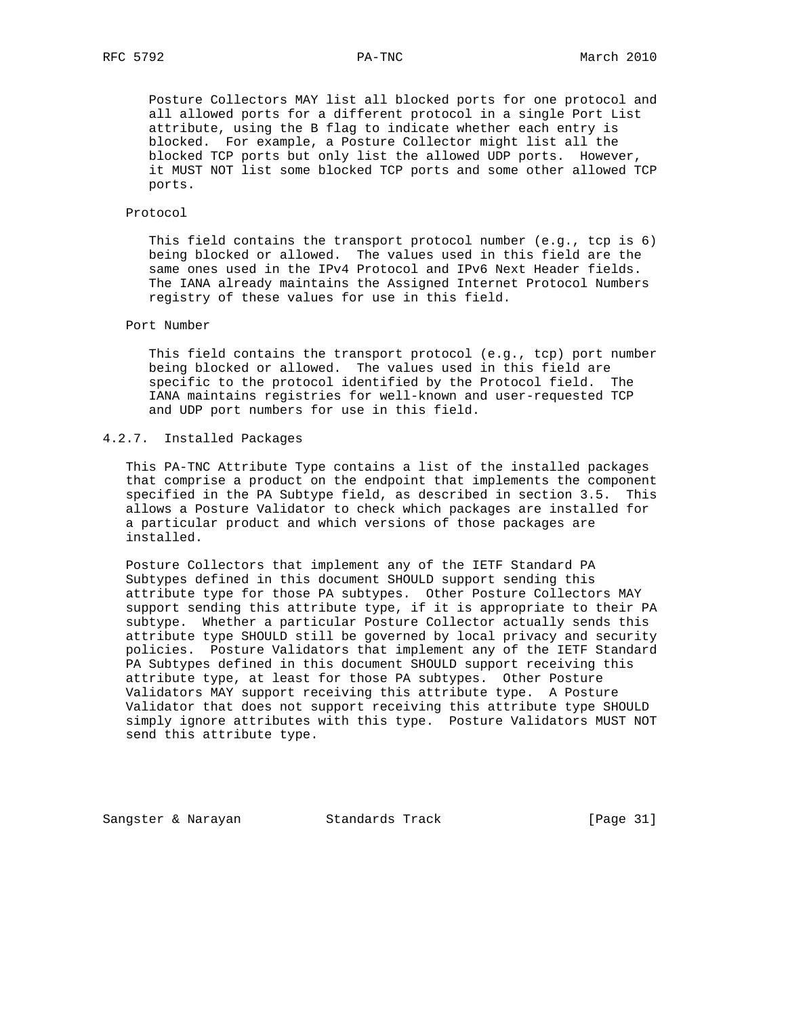Posture Collectors MAY list all blocked ports for one protocol and all allowed ports for a different protocol in a single Port List attribute, using the B flag to indicate whether each entry is blocked. For example, a Posture Collector might list all the blocked TCP ports but only list the allowed UDP ports. However, it MUST NOT list some blocked TCP ports and some other allowed TCP ports.

#### Protocol

 This field contains the transport protocol number (e.g., tcp is 6) being blocked or allowed. The values used in this field are the same ones used in the IPv4 Protocol and IPv6 Next Header fields. The IANA already maintains the Assigned Internet Protocol Numbers registry of these values for use in this field.

## Port Number

 This field contains the transport protocol (e.g., tcp) port number being blocked or allowed. The values used in this field are specific to the protocol identified by the Protocol field. The IANA maintains registries for well-known and user-requested TCP and UDP port numbers for use in this field.

## 4.2.7. Installed Packages

 This PA-TNC Attribute Type contains a list of the installed packages that comprise a product on the endpoint that implements the component specified in the PA Subtype field, as described in section 3.5. This allows a Posture Validator to check which packages are installed for a particular product and which versions of those packages are installed.

 Posture Collectors that implement any of the IETF Standard PA Subtypes defined in this document SHOULD support sending this attribute type for those PA subtypes. Other Posture Collectors MAY support sending this attribute type, if it is appropriate to their PA subtype. Whether a particular Posture Collector actually sends this attribute type SHOULD still be governed by local privacy and security policies. Posture Validators that implement any of the IETF Standard PA Subtypes defined in this document SHOULD support receiving this attribute type, at least for those PA subtypes. Other Posture Validators MAY support receiving this attribute type. A Posture Validator that does not support receiving this attribute type SHOULD simply ignore attributes with this type. Posture Validators MUST NOT send this attribute type.

Sangster & Narayan Standards Track (Page 31)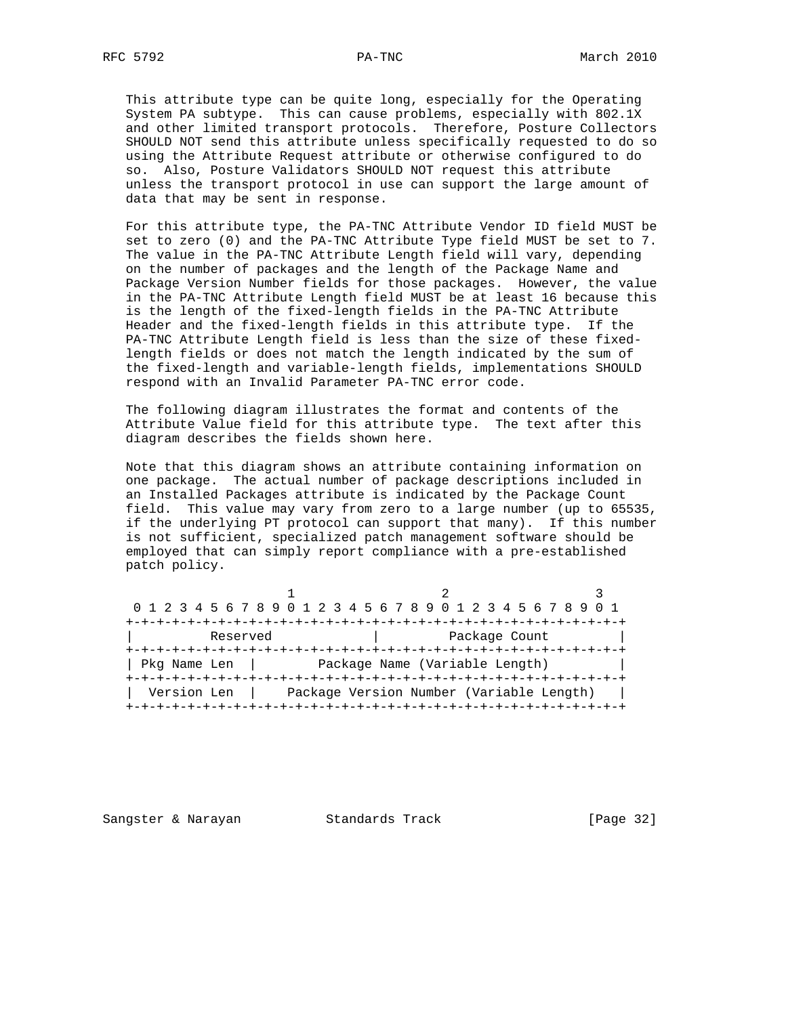This attribute type can be quite long, especially for the Operating System PA subtype. This can cause problems, especially with 802.1X and other limited transport protocols. Therefore, Posture Collectors SHOULD NOT send this attribute unless specifically requested to do so using the Attribute Request attribute or otherwise configured to do so. Also, Posture Validators SHOULD NOT request this attribute unless the transport protocol in use can support the large amount of data that may be sent in response.

 For this attribute type, the PA-TNC Attribute Vendor ID field MUST be set to zero (0) and the PA-TNC Attribute Type field MUST be set to 7. The value in the PA-TNC Attribute Length field will vary, depending on the number of packages and the length of the Package Name and Package Version Number fields for those packages. However, the value in the PA-TNC Attribute Length field MUST be at least 16 because this is the length of the fixed-length fields in the PA-TNC Attribute Header and the fixed-length fields in this attribute type. If the PA-TNC Attribute Length field is less than the size of these fixed length fields or does not match the length indicated by the sum of the fixed-length and variable-length fields, implementations SHOULD respond with an Invalid Parameter PA-TNC error code.

 The following diagram illustrates the format and contents of the Attribute Value field for this attribute type. The text after this diagram describes the fields shown here.

 Note that this diagram shows an attribute containing information on one package. The actual number of package descriptions included in an Installed Packages attribute is indicated by the Package Count field. This value may vary from zero to a large number (up to 65535, if the underlying PT protocol can support that many). If this number is not sufficient, specialized patch management software should be employed that can simply report compliance with a pre-established patch policy.

| 0 1 2 3 4 5 6 7 8 9 0 1 2 3 4 5 6 7 8 9 0 1 2 3 4 5 6 7 8 9 0 1 |                                |                                          |  |
|-----------------------------------------------------------------|--------------------------------|------------------------------------------|--|
|                                                                 | --+-+-+-+-+-+-+-+-+-+-+-+-+-+- |                                          |  |
| Reserved                                                        |                                | Package Count                            |  |
| Pkg Name Len                                                    |                                | Package Name (Variable Length)           |  |
| Version Len                                                     |                                | Package Version Number (Variable Length) |  |

Sangster & Narayan Standards Track [Page 32]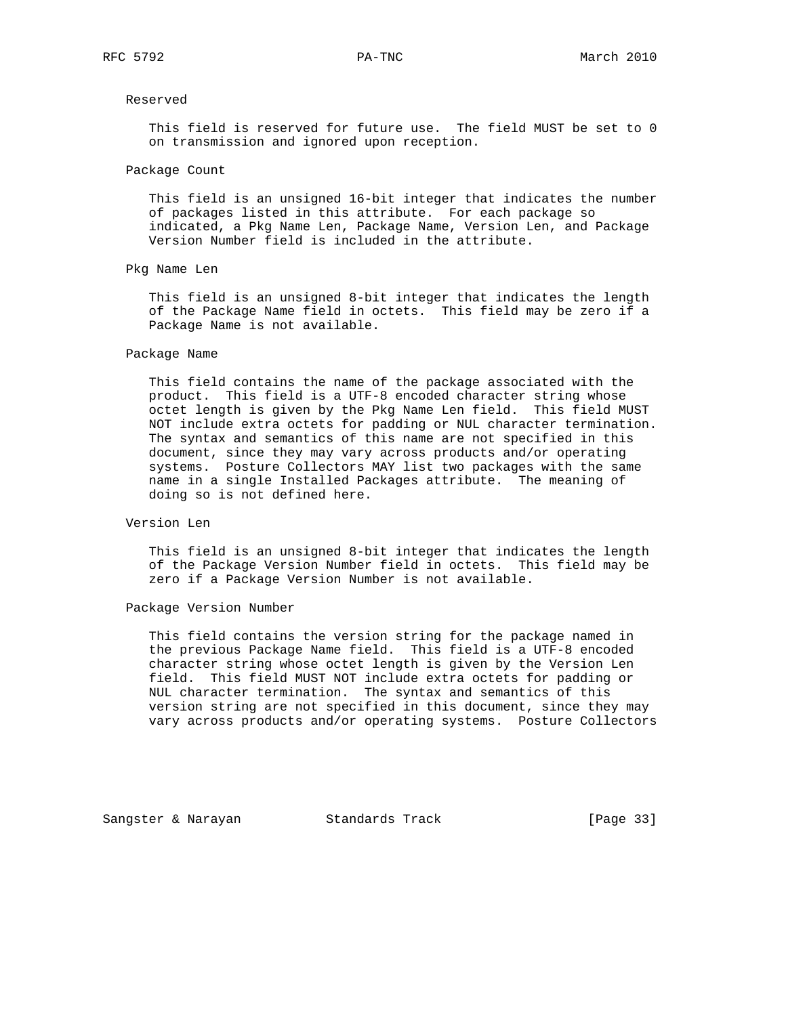## Reserved

 This field is reserved for future use. The field MUST be set to 0 on transmission and ignored upon reception.

#### Package Count

 This field is an unsigned 16-bit integer that indicates the number of packages listed in this attribute. For each package so indicated, a Pkg Name Len, Package Name, Version Len, and Package Version Number field is included in the attribute.

#### Pkg Name Len

 This field is an unsigned 8-bit integer that indicates the length of the Package Name field in octets. This field may be zero if a Package Name is not available.

#### Package Name

 This field contains the name of the package associated with the product. This field is a UTF-8 encoded character string whose octet length is given by the Pkg Name Len field. This field MUST NOT include extra octets for padding or NUL character termination. The syntax and semantics of this name are not specified in this document, since they may vary across products and/or operating systems. Posture Collectors MAY list two packages with the same name in a single Installed Packages attribute. The meaning of doing so is not defined here.

## Version Len

 This field is an unsigned 8-bit integer that indicates the length of the Package Version Number field in octets. This field may be zero if a Package Version Number is not available.

Package Version Number

 This field contains the version string for the package named in the previous Package Name field. This field is a UTF-8 encoded character string whose octet length is given by the Version Len field. This field MUST NOT include extra octets for padding or NUL character termination. The syntax and semantics of this version string are not specified in this document, since they may vary across products and/or operating systems. Posture Collectors

Sangster & Narayan Standards Track [Page 33]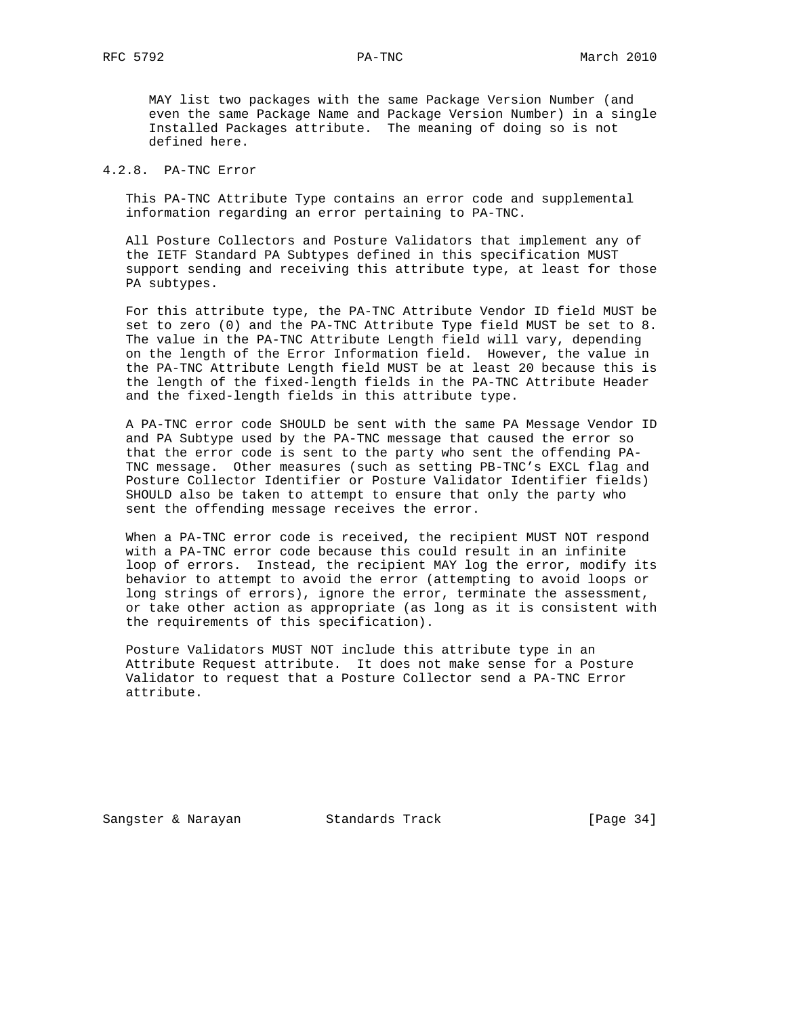MAY list two packages with the same Package Version Number (and even the same Package Name and Package Version Number) in a single Installed Packages attribute. The meaning of doing so is not defined here.

## 4.2.8. PA-TNC Error

 This PA-TNC Attribute Type contains an error code and supplemental information regarding an error pertaining to PA-TNC.

 All Posture Collectors and Posture Validators that implement any of the IETF Standard PA Subtypes defined in this specification MUST support sending and receiving this attribute type, at least for those PA subtypes.

 For this attribute type, the PA-TNC Attribute Vendor ID field MUST be set to zero (0) and the PA-TNC Attribute Type field MUST be set to 8. The value in the PA-TNC Attribute Length field will vary, depending on the length of the Error Information field. However, the value in the PA-TNC Attribute Length field MUST be at least 20 because this is the length of the fixed-length fields in the PA-TNC Attribute Header and the fixed-length fields in this attribute type.

 A PA-TNC error code SHOULD be sent with the same PA Message Vendor ID and PA Subtype used by the PA-TNC message that caused the error so that the error code is sent to the party who sent the offending PA- TNC message. Other measures (such as setting PB-TNC's EXCL flag and Posture Collector Identifier or Posture Validator Identifier fields) SHOULD also be taken to attempt to ensure that only the party who sent the offending message receives the error.

 When a PA-TNC error code is received, the recipient MUST NOT respond with a PA-TNC error code because this could result in an infinite loop of errors. Instead, the recipient MAY log the error, modify its behavior to attempt to avoid the error (attempting to avoid loops or long strings of errors), ignore the error, terminate the assessment, or take other action as appropriate (as long as it is consistent with the requirements of this specification).

 Posture Validators MUST NOT include this attribute type in an Attribute Request attribute. It does not make sense for a Posture Validator to request that a Posture Collector send a PA-TNC Error attribute.

Sangster & Narayan Standards Track [Page 34]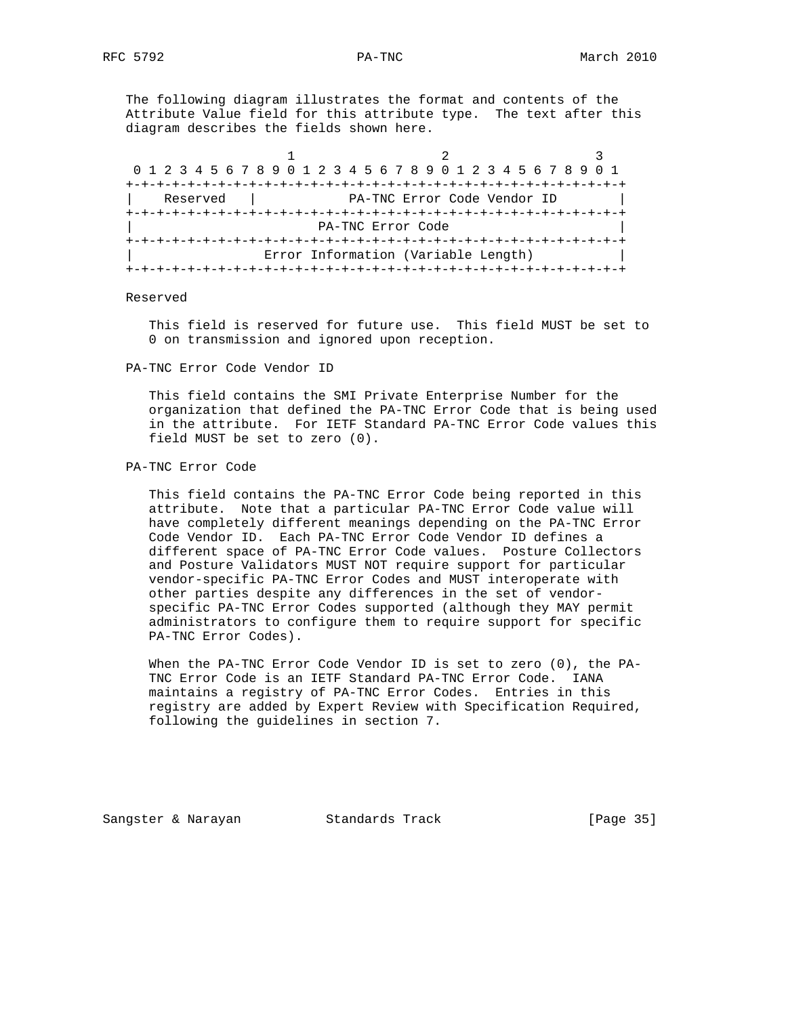The following diagram illustrates the format and contents of the Attribute Value field for this attribute type. The text after this diagram describes the fields shown here.

| 0 1 2 3 4 5 6 7 8 9 0 1 2 3 4 5 6 7 8 9 0 1 2 3 4 5 6 7 8 9 0 1 |                                     |                             |  |
|-----------------------------------------------------------------|-------------------------------------|-----------------------------|--|
|                                                                 | -+-+-+-+-+-+-+-+-+-+-+-+            |                             |  |
| Reserved                                                        |                                     | PA-TNC Error Code Vendor ID |  |
|                                                                 |                                     |                             |  |
| PA-TNC Error Code                                               |                                     |                             |  |
|                                                                 |                                     |                             |  |
|                                                                 | Error Information (Variable Length) |                             |  |
|                                                                 |                                     |                             |  |

#### Reserved

 This field is reserved for future use. This field MUST be set to 0 on transmission and ignored upon reception.

PA-TNC Error Code Vendor ID

 This field contains the SMI Private Enterprise Number for the organization that defined the PA-TNC Error Code that is being used in the attribute. For IETF Standard PA-TNC Error Code values this field MUST be set to zero (0).

#### PA-TNC Error Code

 This field contains the PA-TNC Error Code being reported in this attribute. Note that a particular PA-TNC Error Code value will have completely different meanings depending on the PA-TNC Error Code Vendor ID. Each PA-TNC Error Code Vendor ID defines a different space of PA-TNC Error Code values. Posture Collectors and Posture Validators MUST NOT require support for particular vendor-specific PA-TNC Error Codes and MUST interoperate with other parties despite any differences in the set of vendor specific PA-TNC Error Codes supported (although they MAY permit administrators to configure them to require support for specific PA-TNC Error Codes).

 When the PA-TNC Error Code Vendor ID is set to zero (0), the PA- TNC Error Code is an IETF Standard PA-TNC Error Code. IANA maintains a registry of PA-TNC Error Codes. Entries in this registry are added by Expert Review with Specification Required, following the guidelines in section 7.

Sangster & Narayan Standards Track [Page 35]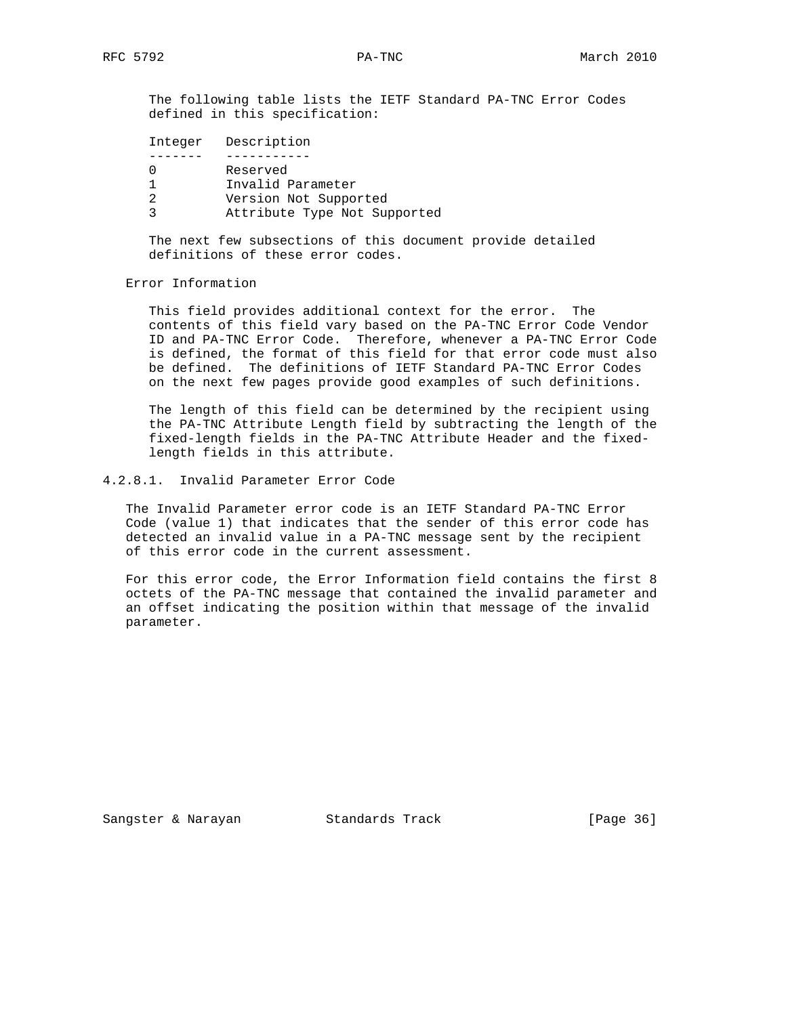The following table lists the IETF Standard PA-TNC Error Codes defined in this specification:

|  | Integer Description          |
|--|------------------------------|
|  |                              |
|  | Reserved                     |
|  | Invalid Parameter            |
|  | Version Not Supported        |
|  | Attribute Type Not Supported |
|  |                              |

 The next few subsections of this document provide detailed definitions of these error codes.

## Error Information

 This field provides additional context for the error. The contents of this field vary based on the PA-TNC Error Code Vendor ID and PA-TNC Error Code. Therefore, whenever a PA-TNC Error Code is defined, the format of this field for that error code must also be defined. The definitions of IETF Standard PA-TNC Error Codes on the next few pages provide good examples of such definitions.

 The length of this field can be determined by the recipient using the PA-TNC Attribute Length field by subtracting the length of the fixed-length fields in the PA-TNC Attribute Header and the fixed length fields in this attribute.

#### 4.2.8.1. Invalid Parameter Error Code

 The Invalid Parameter error code is an IETF Standard PA-TNC Error Code (value 1) that indicates that the sender of this error code has detected an invalid value in a PA-TNC message sent by the recipient of this error code in the current assessment.

 For this error code, the Error Information field contains the first 8 octets of the PA-TNC message that contained the invalid parameter and an offset indicating the position within that message of the invalid parameter.

Sangster & Narayan Standards Track (Page 36)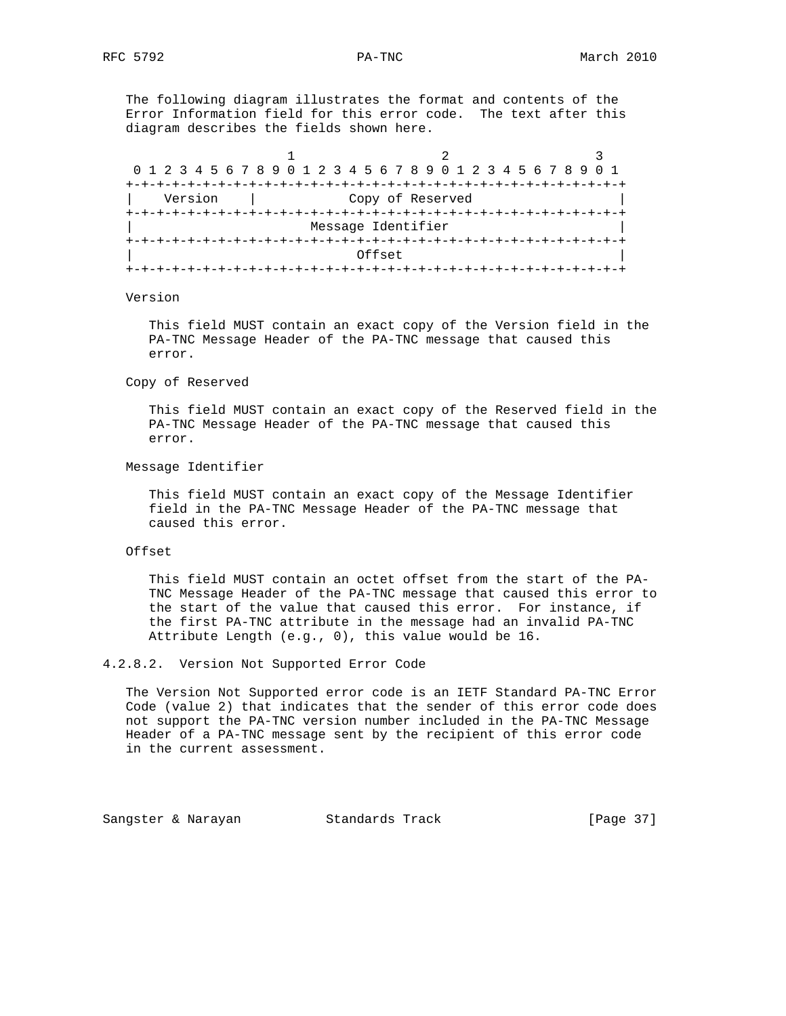The following diagram illustrates the format and contents of the Error Information field for this error code. The text after this diagram describes the fields shown here.

| 0 1 2 3 4 5 6 7 8 9 0 1 2 3 4 5 6 7 8 9 0 1 2 3 4 5 6 7 8 9 0 1 |                                 |  |
|-----------------------------------------------------------------|---------------------------------|--|
|                                                                 |                                 |  |
| Version                                                         | Copy of Reserved                |  |
|                                                                 | +-+-+-+-+-+-+-+-+-+-+-+-+-+-+-+ |  |
|                                                                 | Message Identifier              |  |
|                                                                 | -+-+-+-+-+-+-+-+-+-+-+-         |  |
|                                                                 | Offset                          |  |
|                                                                 |                                 |  |

#### Version

 This field MUST contain an exact copy of the Version field in the PA-TNC Message Header of the PA-TNC message that caused this error.

Copy of Reserved

 This field MUST contain an exact copy of the Reserved field in the PA-TNC Message Header of the PA-TNC message that caused this error.

Message Identifier

 This field MUST contain an exact copy of the Message Identifier field in the PA-TNC Message Header of the PA-TNC message that caused this error.

#### Offset

 This field MUST contain an octet offset from the start of the PA- TNC Message Header of the PA-TNC message that caused this error to the start of the value that caused this error. For instance, if the first PA-TNC attribute in the message had an invalid PA-TNC Attribute Length (e.g., 0), this value would be 16.

4.2.8.2. Version Not Supported Error Code

 The Version Not Supported error code is an IETF Standard PA-TNC Error Code (value 2) that indicates that the sender of this error code does not support the PA-TNC version number included in the PA-TNC Message Header of a PA-TNC message sent by the recipient of this error code in the current assessment.

Sangster & Narayan Standards Track [Page 37]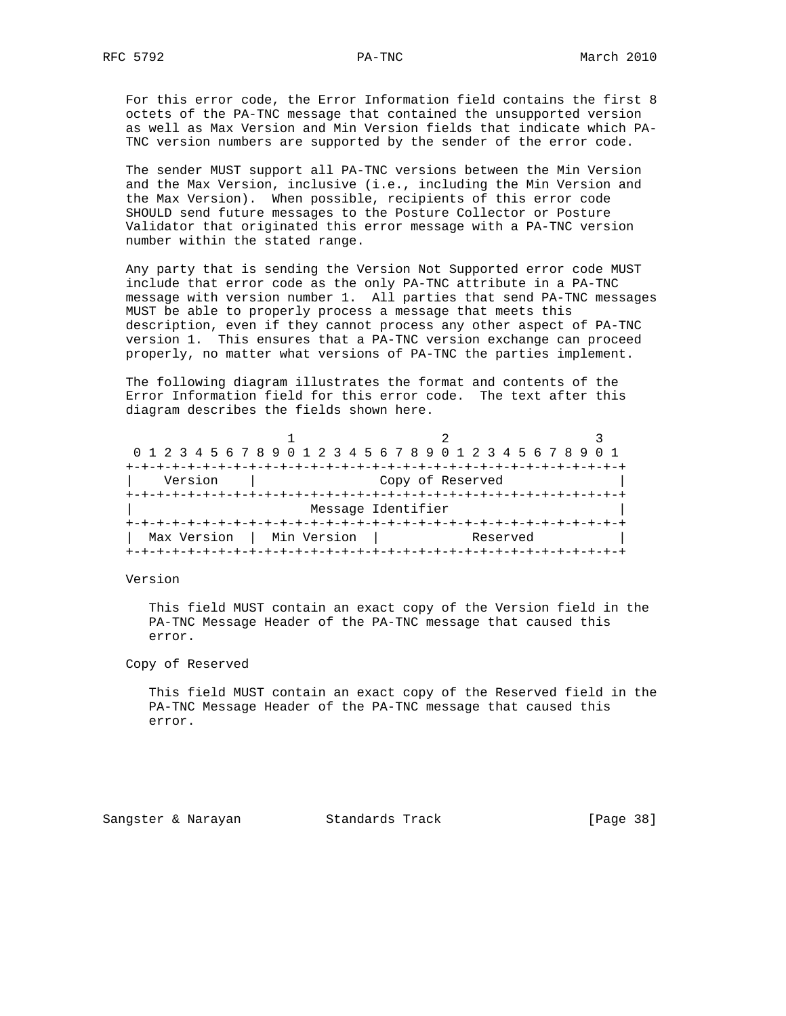For this error code, the Error Information field contains the first 8 octets of the PA-TNC message that contained the unsupported version as well as Max Version and Min Version fields that indicate which PA- TNC version numbers are supported by the sender of the error code.

 The sender MUST support all PA-TNC versions between the Min Version and the Max Version, inclusive (i.e., including the Min Version and the Max Version). When possible, recipients of this error code SHOULD send future messages to the Posture Collector or Posture Validator that originated this error message with a PA-TNC version number within the stated range.

 Any party that is sending the Version Not Supported error code MUST include that error code as the only PA-TNC attribute in a PA-TNC message with version number 1. All parties that send PA-TNC messages MUST be able to properly process a message that meets this description, even if they cannot process any other aspect of PA-TNC version 1. This ensures that a PA-TNC version exchange can proceed properly, no matter what versions of PA-TNC the parties implement.

 The following diagram illustrates the format and contents of the Error Information field for this error code. The text after this diagram describes the fields shown here.

|             |             | 0 1 2 3 4 5 6 7 8 9 0 1 2 3 4 5 6 7 8 9 0 1 2 3 4 5 6 7 8 9 0 1 |          |
|-------------|-------------|-----------------------------------------------------------------|----------|
|             |             |                                                                 |          |
| Version     |             | Copy of Reserved                                                |          |
|             |             |                                                                 |          |
|             |             | Message Identifier                                              |          |
|             |             |                                                                 |          |
| Max Version | Min Version |                                                                 | Reserved |
|             |             |                                                                 |          |

Version

 This field MUST contain an exact copy of the Version field in the PA-TNC Message Header of the PA-TNC message that caused this error.

Copy of Reserved

 This field MUST contain an exact copy of the Reserved field in the PA-TNC Message Header of the PA-TNC message that caused this error.

Sangster & Narayan Standards Track [Page 38]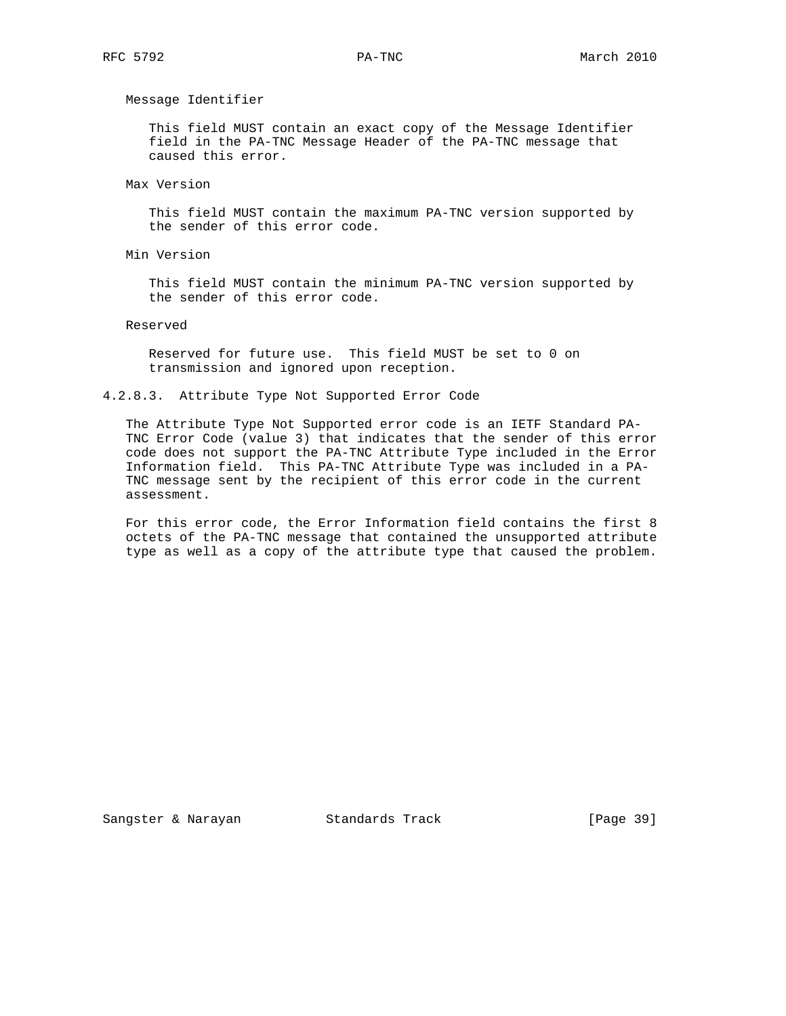Message Identifier

 This field MUST contain an exact copy of the Message Identifier field in the PA-TNC Message Header of the PA-TNC message that caused this error.

Max Version

 This field MUST contain the maximum PA-TNC version supported by the sender of this error code.

Min Version

 This field MUST contain the minimum PA-TNC version supported by the sender of this error code.

Reserved

 Reserved for future use. This field MUST be set to 0 on transmission and ignored upon reception.

4.2.8.3. Attribute Type Not Supported Error Code

 The Attribute Type Not Supported error code is an IETF Standard PA- TNC Error Code (value 3) that indicates that the sender of this error code does not support the PA-TNC Attribute Type included in the Error Information field. This PA-TNC Attribute Type was included in a PA- TNC message sent by the recipient of this error code in the current assessment.

 For this error code, the Error Information field contains the first 8 octets of the PA-TNC message that contained the unsupported attribute type as well as a copy of the attribute type that caused the problem.

Sangster & Narayan Standards Track (Page 39)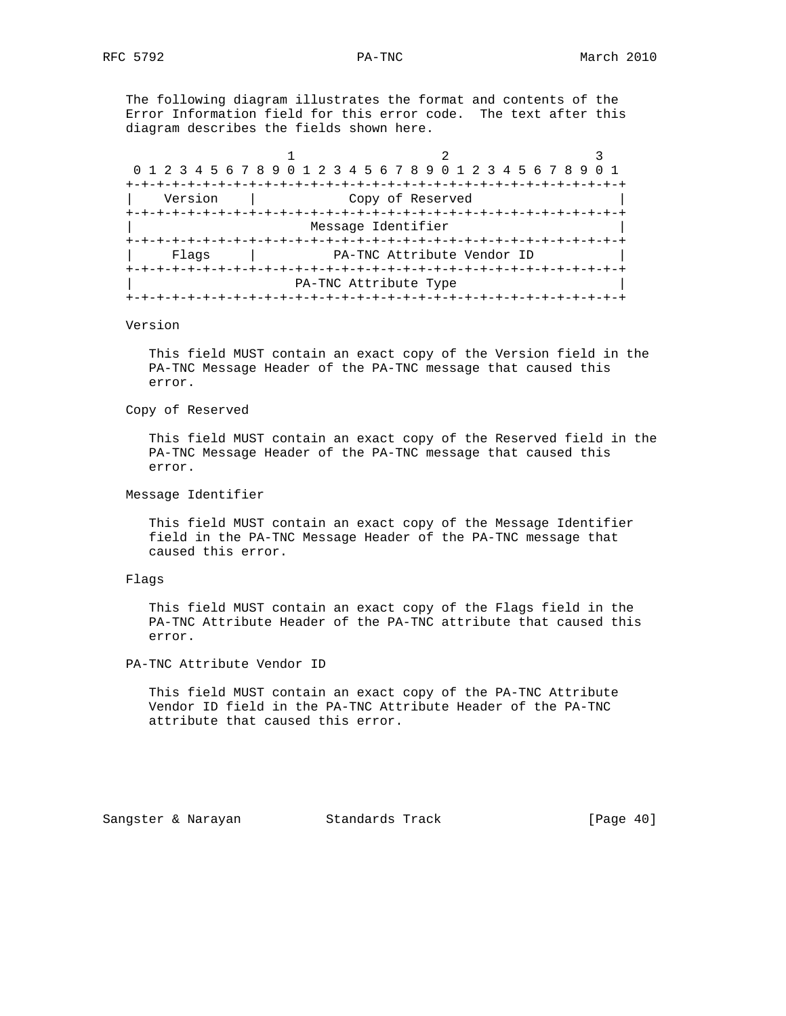The following diagram illustrates the format and contents of the Error Information field for this error code. The text after this diagram describes the fields shown here.

|         | 0 1 2 3 4 5 6 7 8 9 0 1 2 3 4 5 6 7 8 9 0 1 2 3 4 5 6 7 8 9 |                    |  |
|---------|-------------------------------------------------------------|--------------------|--|
|         | +-+-+-+-+-+-+-+-+-                                          | +-+-+-+-+-+-+-+-+- |  |
| Version | Copy of Reserved                                            |                    |  |
|         |                                                             |                    |  |
|         | Message Identifier                                          |                    |  |
|         |                                                             |                    |  |
| Flaqs   | PA-TNC Attribute Vendor ID                                  |                    |  |
|         |                                                             |                    |  |
|         | PA-TNC Attribute Type                                       |                    |  |
|         |                                                             |                    |  |

## Version

 This field MUST contain an exact copy of the Version field in the PA-TNC Message Header of the PA-TNC message that caused this error.

#### Copy of Reserved

 This field MUST contain an exact copy of the Reserved field in the PA-TNC Message Header of the PA-TNC message that caused this error.

### Message Identifier

 This field MUST contain an exact copy of the Message Identifier field in the PA-TNC Message Header of the PA-TNC message that caused this error.

## Flags

 This field MUST contain an exact copy of the Flags field in the PA-TNC Attribute Header of the PA-TNC attribute that caused this error.

## PA-TNC Attribute Vendor ID

 This field MUST contain an exact copy of the PA-TNC Attribute Vendor ID field in the PA-TNC Attribute Header of the PA-TNC attribute that caused this error.

Sangster & Narayan Standards Track [Page 40]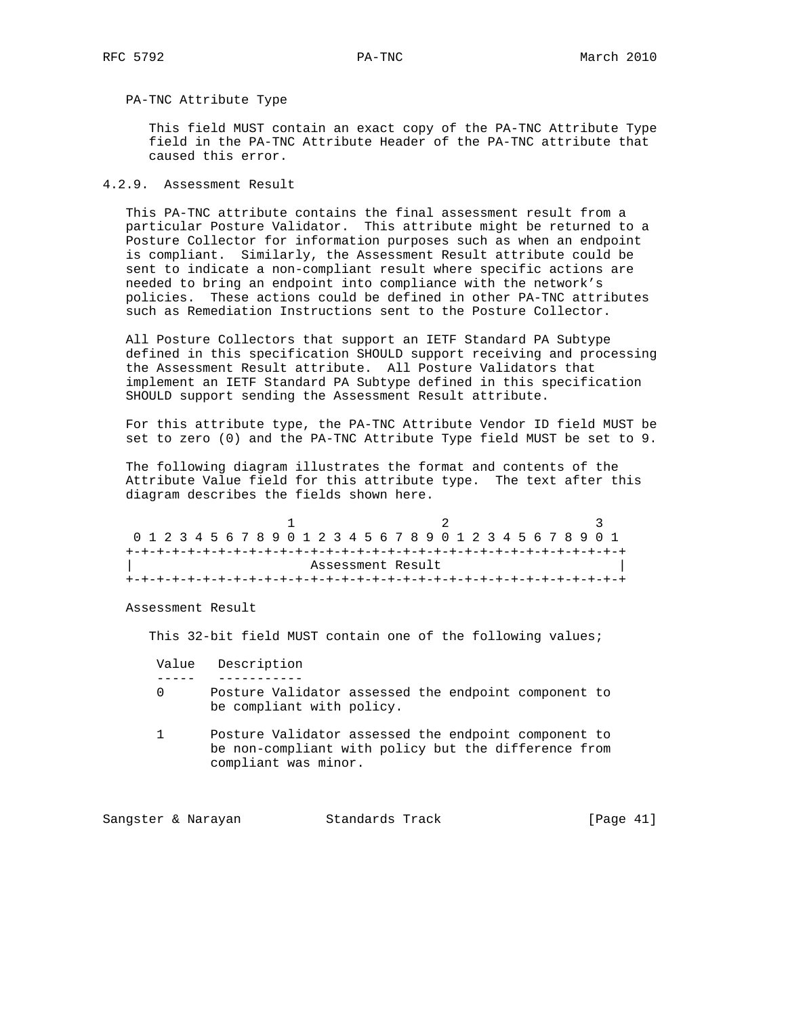## PA-TNC Attribute Type

 This field MUST contain an exact copy of the PA-TNC Attribute Type field in the PA-TNC Attribute Header of the PA-TNC attribute that caused this error.

## 4.2.9. Assessment Result

 This PA-TNC attribute contains the final assessment result from a particular Posture Validator. This attribute might be returned to a Posture Collector for information purposes such as when an endpoint is compliant. Similarly, the Assessment Result attribute could be sent to indicate a non-compliant result where specific actions are needed to bring an endpoint into compliance with the network's policies. These actions could be defined in other PA-TNC attributes such as Remediation Instructions sent to the Posture Collector.

 All Posture Collectors that support an IETF Standard PA Subtype defined in this specification SHOULD support receiving and processing the Assessment Result attribute. All Posture Validators that implement an IETF Standard PA Subtype defined in this specification SHOULD support sending the Assessment Result attribute.

 For this attribute type, the PA-TNC Attribute Vendor ID field MUST be set to zero (0) and the PA-TNC Attribute Type field MUST be set to 9.

 The following diagram illustrates the format and contents of the Attribute Value field for this attribute type. The text after this diagram describes the fields shown here.

|  |  |  |  |  |  |  | 0 1 2 3 4 5 6 7 8 9 0 1 2 3 4 5 6 7 8 9 0 1 2 3 4 5 6 7 8 9 0 1 |  |  |  |  |  |  |  |  |  |
|--|--|--|--|--|--|--|-----------------------------------------------------------------|--|--|--|--|--|--|--|--|--|
|  |  |  |  |  |  |  |                                                                 |  |  |  |  |  |  |  |  |  |
|  |  |  |  |  |  |  | Assessment Result                                               |  |  |  |  |  |  |  |  |  |
|  |  |  |  |  |  |  |                                                                 |  |  |  |  |  |  |  |  |  |

Assessment Result

This 32-bit field MUST contain one of the following values;

- Value Description
- ----- -----------
	- 0 Posture Validator assessed the endpoint component to be compliant with policy.
	- 1 Posture Validator assessed the endpoint component to be non-compliant with policy but the difference from compliant was minor.

Sangster & Narayan Standards Track [Page 41]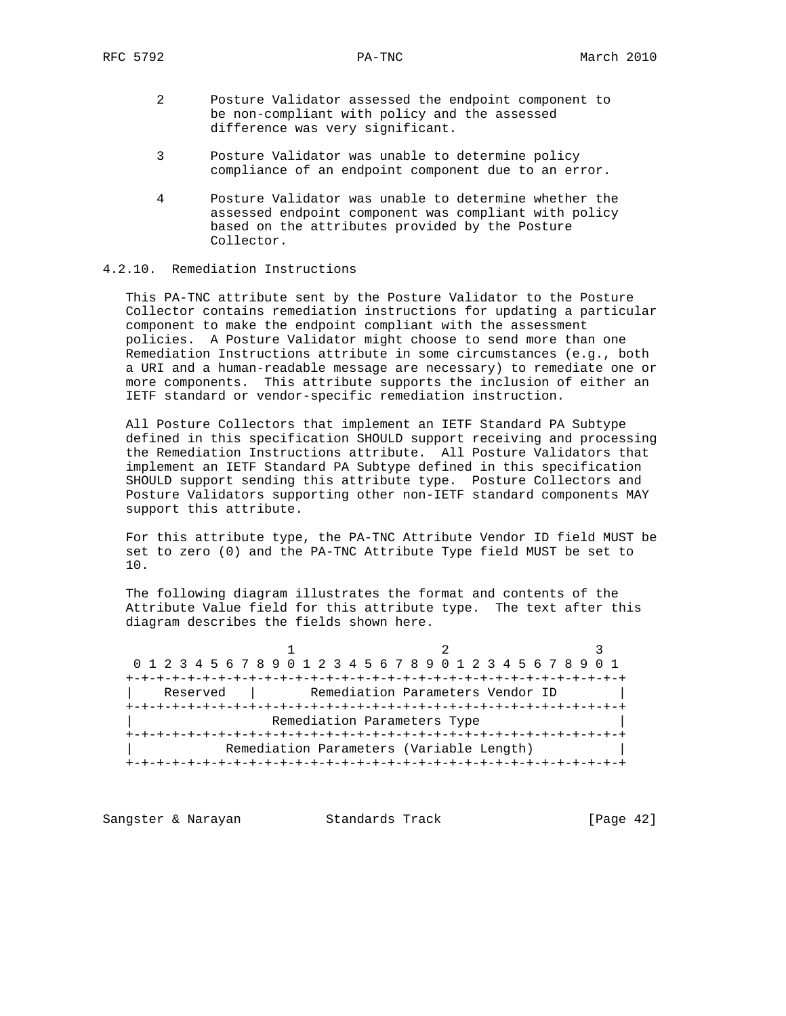- 2 Posture Validator assessed the endpoint component to be non-compliant with policy and the assessed difference was very significant.
- 3 Posture Validator was unable to determine policy compliance of an endpoint component due to an error.
- 4 Posture Validator was unable to determine whether the assessed endpoint component was compliant with policy based on the attributes provided by the Posture Collector.

# 4.2.10. Remediation Instructions

 This PA-TNC attribute sent by the Posture Validator to the Posture Collector contains remediation instructions for updating a particular component to make the endpoint compliant with the assessment policies. A Posture Validator might choose to send more than one Remediation Instructions attribute in some circumstances (e.g., both a URI and a human-readable message are necessary) to remediate one or more components. This attribute supports the inclusion of either an IETF standard or vendor-specific remediation instruction.

 All Posture Collectors that implement an IETF Standard PA Subtype defined in this specification SHOULD support receiving and processing the Remediation Instructions attribute. All Posture Validators that implement an IETF Standard PA Subtype defined in this specification SHOULD support sending this attribute type. Posture Collectors and Posture Validators supporting other non-IETF standard components MAY support this attribute.

 For this attribute type, the PA-TNC Attribute Vendor ID field MUST be set to zero (0) and the PA-TNC Attribute Type field MUST be set to 10.

 The following diagram illustrates the format and contents of the Attribute Value field for this attribute type. The text after this diagram describes the fields shown here.

1 2 3 0 1 2 3 4 5 6 7 8 9 0 1 2 3 4 5 6 7 8 9 0 1 2 3 4 5 6 7 8 9 0 1 +-+-+-+-+-+-+-+-+-+-+-+-+-+-+-+-+-+-+-+-+-+-+-+-+-+-+-+-+-+-+-+-+ | Reserved | Remediation Parameters Vendor ID +-+-+-+-+-+-+-+-+-+-+-+-+-+-+-+-+-+-+-+-+-+-+-+-+-+-+-+-+-+-+-+-+ Remediation Parameters Type +-+-+-+-+-+-+-+-+-+-+-+-+-+-+-+-+-+-+-+-+-+-+-+-+-+-+-+-+-+-+-+-+ Remediation Parameters (Variable Length) +-+-+-+-+-+-+-+-+-+-+-+-+-+-+-+-+-+-+-+-+-+-+-+-+-+-+-+-+-+-+-+-+

Sangster & Narayan Standards Track (Page 42)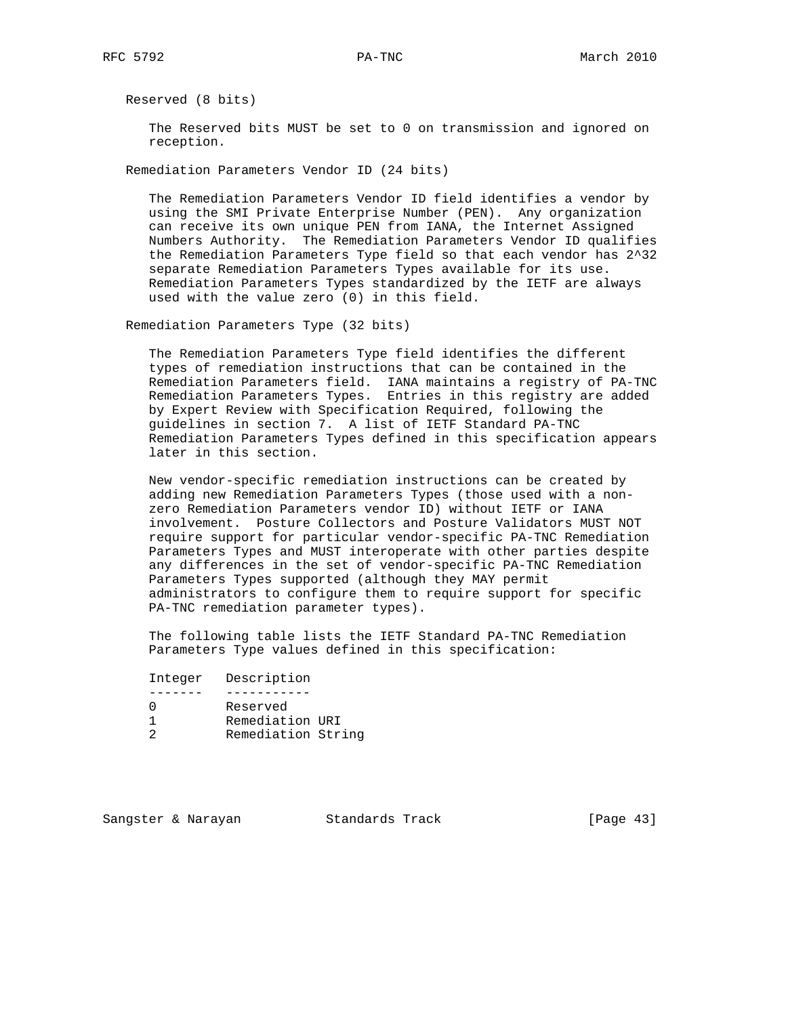Reserved (8 bits)

 The Reserved bits MUST be set to 0 on transmission and ignored on reception.

Remediation Parameters Vendor ID (24 bits)

 The Remediation Parameters Vendor ID field identifies a vendor by using the SMI Private Enterprise Number (PEN). Any organization can receive its own unique PEN from IANA, the Internet Assigned Numbers Authority. The Remediation Parameters Vendor ID qualifies the Remediation Parameters Type field so that each vendor has 2^32 separate Remediation Parameters Types available for its use. Remediation Parameters Types standardized by the IETF are always used with the value zero (0) in this field.

Remediation Parameters Type (32 bits)

 The Remediation Parameters Type field identifies the different types of remediation instructions that can be contained in the Remediation Parameters field. IANA maintains a registry of PA-TNC Remediation Parameters Types. Entries in this registry are added by Expert Review with Specification Required, following the guidelines in section 7. A list of IETF Standard PA-TNC Remediation Parameters Types defined in this specification appears later in this section.

 New vendor-specific remediation instructions can be created by adding new Remediation Parameters Types (those used with a non zero Remediation Parameters vendor ID) without IETF or IANA involvement. Posture Collectors and Posture Validators MUST NOT require support for particular vendor-specific PA-TNC Remediation Parameters Types and MUST interoperate with other parties despite any differences in the set of vendor-specific PA-TNC Remediation Parameters Types supported (although they MAY permit administrators to configure them to require support for specific PA-TNC remediation parameter types).

 The following table lists the IETF Standard PA-TNC Remediation Parameters Type values defined in this specification:

Integer Description

|  | Reserved           |  |
|--|--------------------|--|
|  | Remediation URI    |  |
|  | Remediation String |  |
|  |                    |  |

Sangster & Narayan Standards Track [Page 43]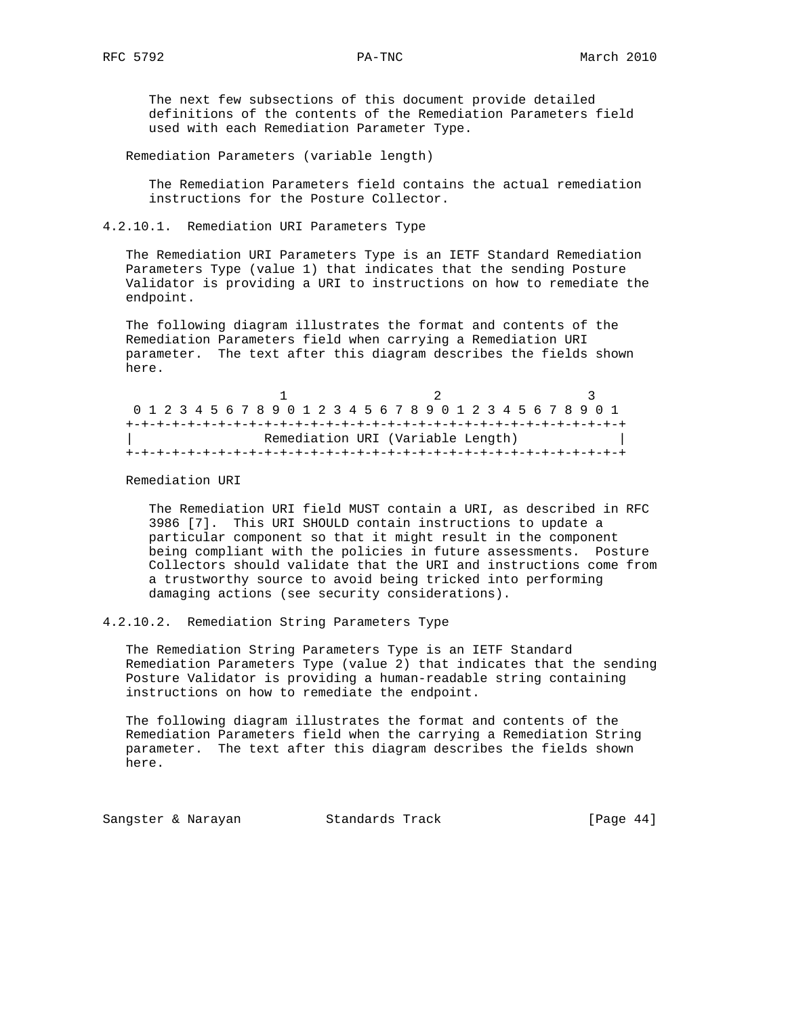The next few subsections of this document provide detailed definitions of the contents of the Remediation Parameters field used with each Remediation Parameter Type.

Remediation Parameters (variable length)

 The Remediation Parameters field contains the actual remediation instructions for the Posture Collector.

4.2.10.1. Remediation URI Parameters Type

 The Remediation URI Parameters Type is an IETF Standard Remediation Parameters Type (value 1) that indicates that the sending Posture Validator is providing a URI to instructions on how to remediate the endpoint.

 The following diagram illustrates the format and contents of the Remediation Parameters field when carrying a Remediation URI parameter. The text after this diagram describes the fields shown here.

|  |  |  |  |  |  |  |  |  | 0 1 2 3 4 5 6 7 8 9 0 1 2 3 4 5 6 7 8 9 0 1 2 3 4 5 6 7 8 9 0 1 |  |  |  |  |  |  |  |  |  |  |  |  |  |  |  |  |  |
|--|--|--|--|--|--|--|--|--|-----------------------------------------------------------------|--|--|--|--|--|--|--|--|--|--|--|--|--|--|--|--|--|
|  |  |  |  |  |  |  |  |  |                                                                 |  |  |  |  |  |  |  |  |  |  |  |  |  |  |  |  |  |
|  |  |  |  |  |  |  |  |  | Remediation URI (Variable Length)                               |  |  |  |  |  |  |  |  |  |  |  |  |  |  |  |  |  |
|  |  |  |  |  |  |  |  |  |                                                                 |  |  |  |  |  |  |  |  |  |  |  |  |  |  |  |  |  |

Remediation URI

 The Remediation URI field MUST contain a URI, as described in RFC 3986 [7]. This URI SHOULD contain instructions to update a particular component so that it might result in the component being compliant with the policies in future assessments. Posture Collectors should validate that the URI and instructions come from a trustworthy source to avoid being tricked into performing damaging actions (see security considerations).

4.2.10.2. Remediation String Parameters Type

 The Remediation String Parameters Type is an IETF Standard Remediation Parameters Type (value 2) that indicates that the sending Posture Validator is providing a human-readable string containing instructions on how to remediate the endpoint.

 The following diagram illustrates the format and contents of the Remediation Parameters field when the carrying a Remediation String parameter. The text after this diagram describes the fields shown here.

Sangster & Narayan Standards Track [Page 44]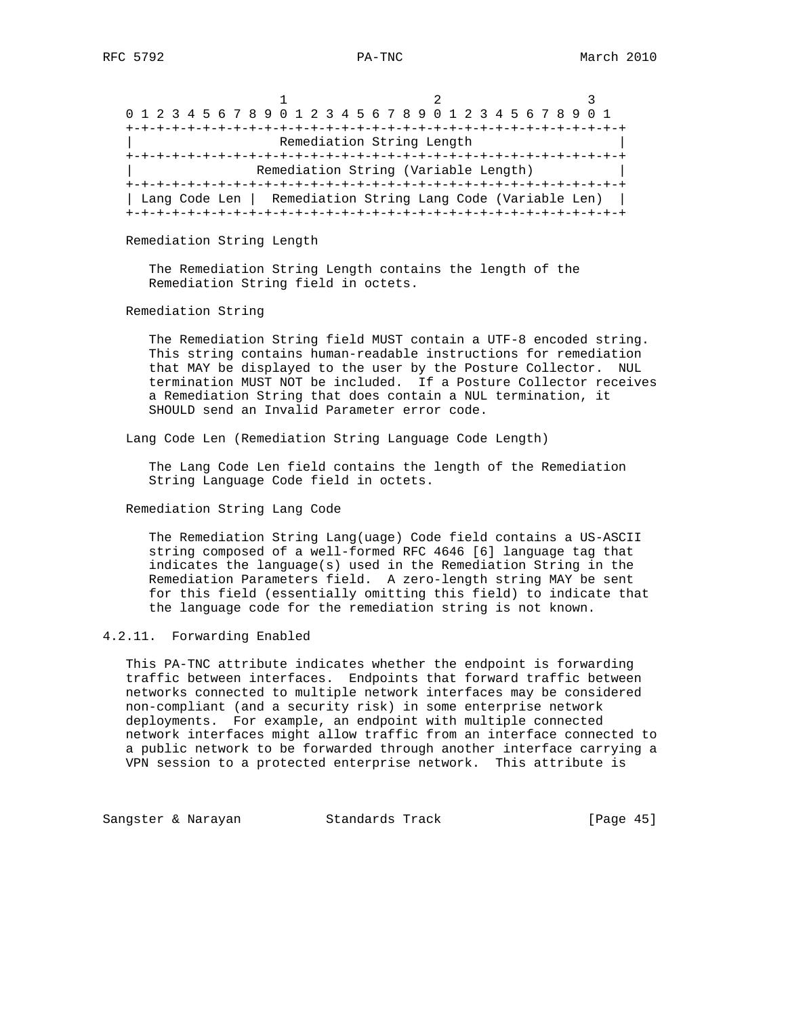| 0 1 2 3 4 5 6 7 8 9 0 1 2 3 4 5 6 7 8 9 0 1 2 3 4 5 6 7 8 9 0 1 |                                      |  |
|-----------------------------------------------------------------|--------------------------------------|--|
|                                                                 |                                      |  |
|                                                                 | Remediation String Length            |  |
|                                                                 |                                      |  |
|                                                                 | Remediation String (Variable Length) |  |
|                                                                 |                                      |  |
| Lang Code Len   Remediation String Lang Code (Variable Len)     |                                      |  |
|                                                                 |                                      |  |

### Remediation String Length

 The Remediation String Length contains the length of the Remediation String field in octets.

## Remediation String

 The Remediation String field MUST contain a UTF-8 encoded string. This string contains human-readable instructions for remediation that MAY be displayed to the user by the Posture Collector. NUL termination MUST NOT be included. If a Posture Collector receives a Remediation String that does contain a NUL termination, it SHOULD send an Invalid Parameter error code.

Lang Code Len (Remediation String Language Code Length)

 The Lang Code Len field contains the length of the Remediation String Language Code field in octets.

## Remediation String Lang Code

 The Remediation String Lang(uage) Code field contains a US-ASCII string composed of a well-formed RFC 4646 [6] language tag that indicates the language(s) used in the Remediation String in the Remediation Parameters field. A zero-length string MAY be sent for this field (essentially omitting this field) to indicate that the language code for the remediation string is not known.

## 4.2.11. Forwarding Enabled

 This PA-TNC attribute indicates whether the endpoint is forwarding traffic between interfaces. Endpoints that forward traffic between networks connected to multiple network interfaces may be considered non-compliant (and a security risk) in some enterprise network deployments. For example, an endpoint with multiple connected network interfaces might allow traffic from an interface connected to a public network to be forwarded through another interface carrying a VPN session to a protected enterprise network. This attribute is

Sangster & Narayan Standards Track [Page 45]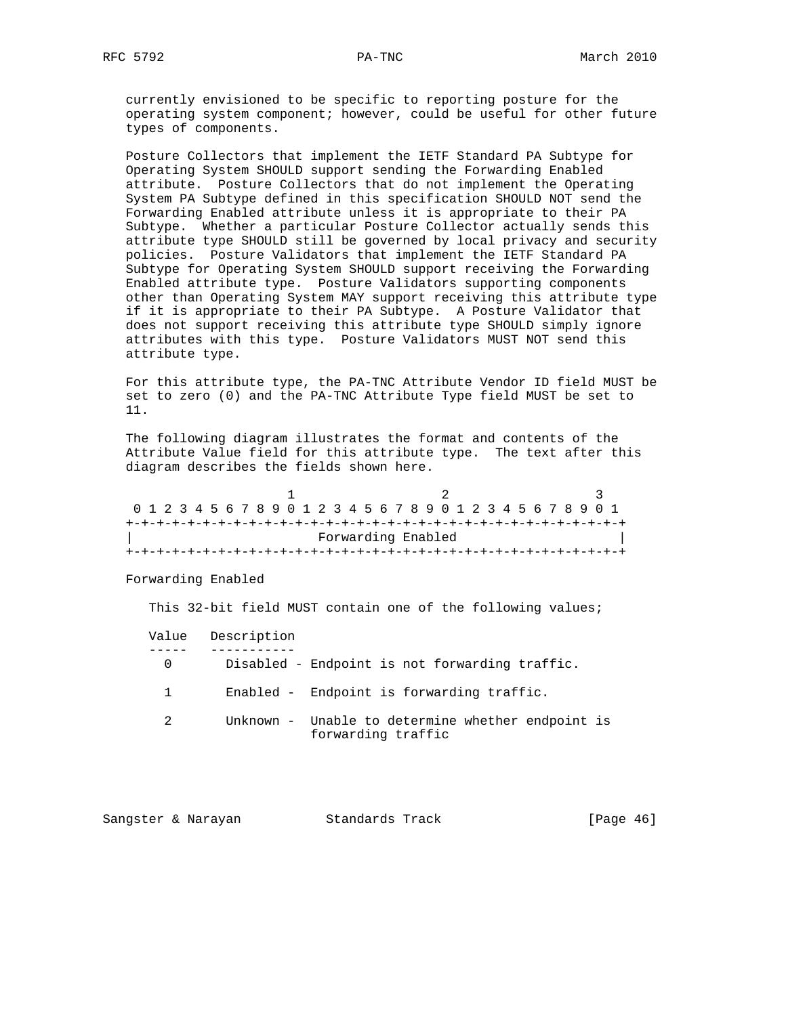currently envisioned to be specific to reporting posture for the operating system component; however, could be useful for other future types of components.

 Posture Collectors that implement the IETF Standard PA Subtype for Operating System SHOULD support sending the Forwarding Enabled attribute. Posture Collectors that do not implement the Operating System PA Subtype defined in this specification SHOULD NOT send the Forwarding Enabled attribute unless it is appropriate to their PA Subtype. Whether a particular Posture Collector actually sends this attribute type SHOULD still be governed by local privacy and security policies. Posture Validators that implement the IETF Standard PA Subtype for Operating System SHOULD support receiving the Forwarding Enabled attribute type. Posture Validators supporting components other than Operating System MAY support receiving this attribute type if it is appropriate to their PA Subtype. A Posture Validator that does not support receiving this attribute type SHOULD simply ignore attributes with this type. Posture Validators MUST NOT send this attribute type.

 For this attribute type, the PA-TNC Attribute Vendor ID field MUST be set to zero (0) and the PA-TNC Attribute Type field MUST be set to 11.

 The following diagram illustrates the format and contents of the Attribute Value field for this attribute type. The text after this diagram describes the fields shown here.

|  |  |  |  |  |  |  |                    |  |  |  | 0 1 2 3 4 5 6 7 8 9 0 1 2 3 4 5 6 7 8 9 0 1 2 3 4 5 6 7 8 9 0 1 |  |  |  |  |  |
|--|--|--|--|--|--|--|--------------------|--|--|--|-----------------------------------------------------------------|--|--|--|--|--|
|  |  |  |  |  |  |  |                    |  |  |  |                                                                 |  |  |  |  |  |
|  |  |  |  |  |  |  | Forwarding Enabled |  |  |  |                                                                 |  |  |  |  |  |
|  |  |  |  |  |  |  |                    |  |  |  |                                                                 |  |  |  |  |  |

Forwarding Enabled

This 32-bit field MUST contain one of the following values;

|             | Value Description                                                       |
|-------------|-------------------------------------------------------------------------|
| $\mathbf 0$ | Disabled - Endpoint is not forwarding traffic.                          |
|             | Enabled - Endpoint is forwarding traffic.                               |
|             | Unknown - Unable to determine whether endpoint is<br>forwarding traffic |

| Standards Track<br>Sangster & Narayan | [Page $46$ ] |  |
|---------------------------------------|--------------|--|
|---------------------------------------|--------------|--|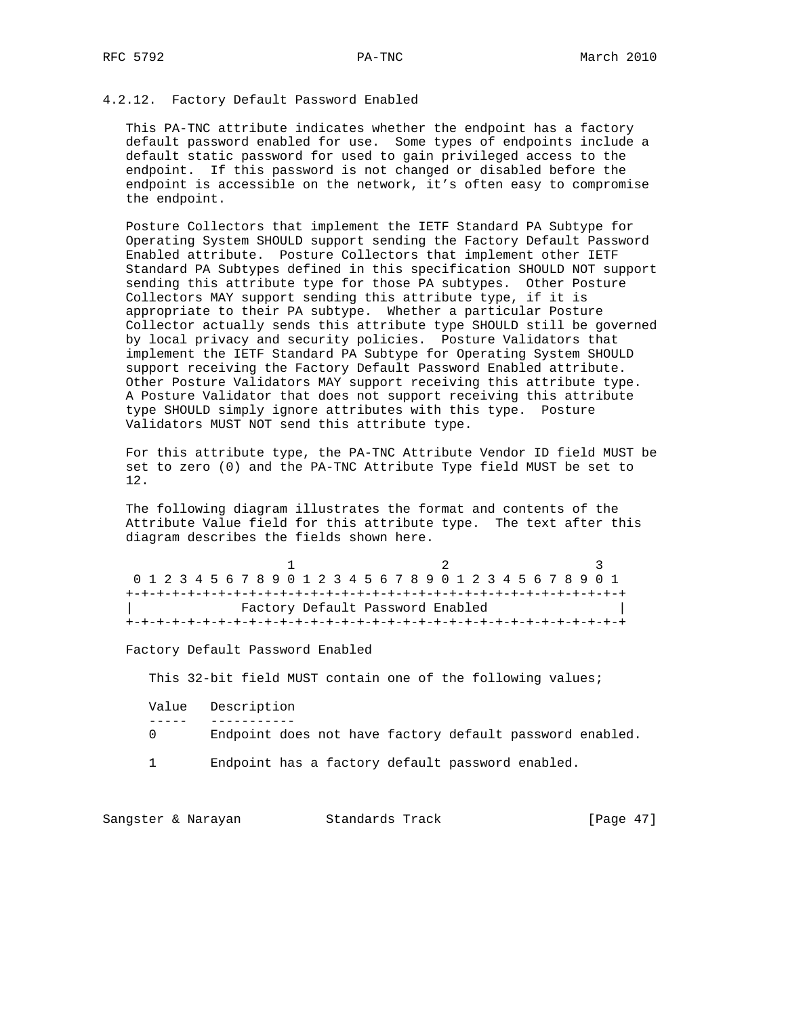## 4.2.12. Factory Default Password Enabled

 This PA-TNC attribute indicates whether the endpoint has a factory default password enabled for use. Some types of endpoints include a default static password for used to gain privileged access to the endpoint. If this password is not changed or disabled before the endpoint is accessible on the network, it's often easy to compromise the endpoint.

 Posture Collectors that implement the IETF Standard PA Subtype for Operating System SHOULD support sending the Factory Default Password Enabled attribute. Posture Collectors that implement other IETF Standard PA Subtypes defined in this specification SHOULD NOT support sending this attribute type for those PA subtypes. Other Posture Collectors MAY support sending this attribute type, if it is appropriate to their PA subtype. Whether a particular Posture Collector actually sends this attribute type SHOULD still be governed by local privacy and security policies. Posture Validators that implement the IETF Standard PA Subtype for Operating System SHOULD support receiving the Factory Default Password Enabled attribute. Other Posture Validators MAY support receiving this attribute type. A Posture Validator that does not support receiving this attribute type SHOULD simply ignore attributes with this type. Posture Validators MUST NOT send this attribute type.

 For this attribute type, the PA-TNC Attribute Vendor ID field MUST be set to zero (0) and the PA-TNC Attribute Type field MUST be set to 12.

 The following diagram illustrates the format and contents of the Attribute Value field for this attribute type. The text after this diagram describes the fields shown here.

1 2 3 0 1 2 3 4 5 6 7 8 9 0 1 2 3 4 5 6 7 8 9 0 1 2 3 4 5 6 7 8 9 0 1 +-+-+-+-+-+-+-+-+-+-+-+-+-+-+-+-+-+-+-+-+-+-+-+-+-+-+-+-+-+-+-+-+ | Factory Default Password Enabled | +-+-+-+-+-+-+-+-+-+-+-+-+-+-+-+-+-+-+-+-+-+-+-+-+-+-+-+-+-+-+-+-+

Factory Default Password Enabled

This 32-bit field MUST contain one of the following values;

|   | Value Description                                        |
|---|----------------------------------------------------------|
|   |                                                          |
| ( | Endpoint does not have factory default password enabled. |
|   | Endpoint has a factory default password enabled.         |

Sangster & Narayan Standards Track [Page 47]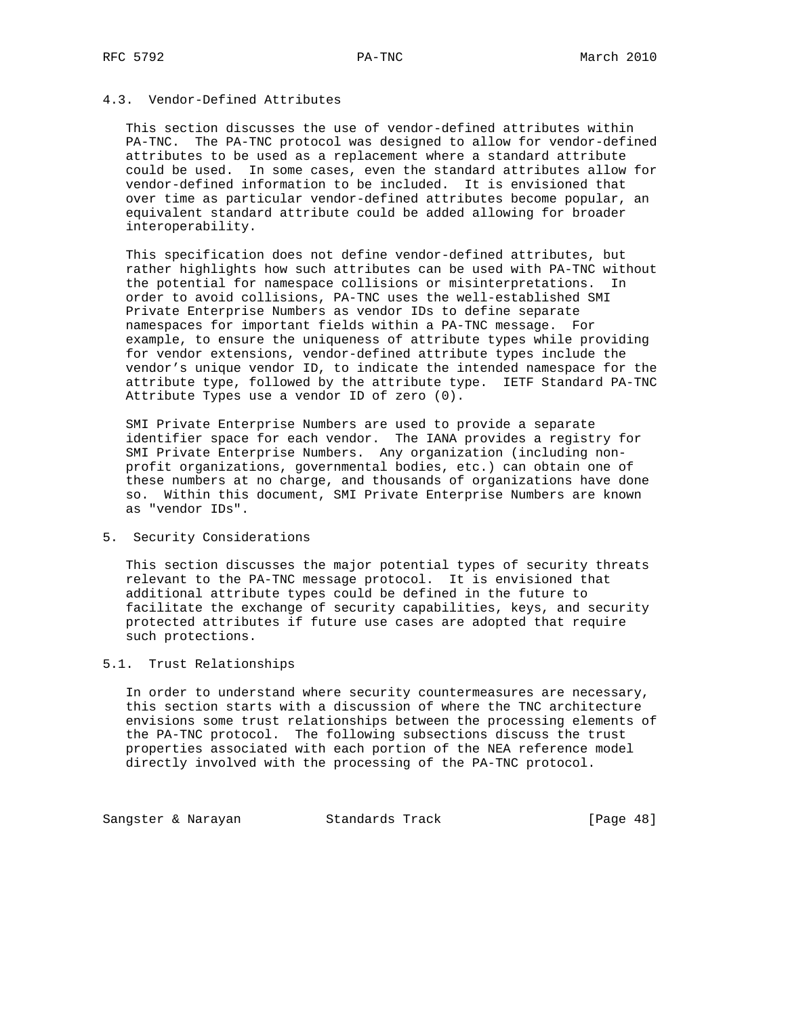## 4.3. Vendor-Defined Attributes

 This section discusses the use of vendor-defined attributes within PA-TNC. The PA-TNC protocol was designed to allow for vendor-defined attributes to be used as a replacement where a standard attribute could be used. In some cases, even the standard attributes allow for vendor-defined information to be included. It is envisioned that over time as particular vendor-defined attributes become popular, an equivalent standard attribute could be added allowing for broader interoperability.

 This specification does not define vendor-defined attributes, but rather highlights how such attributes can be used with PA-TNC without the potential for namespace collisions or misinterpretations. In order to avoid collisions, PA-TNC uses the well-established SMI Private Enterprise Numbers as vendor IDs to define separate namespaces for important fields within a PA-TNC message. For example, to ensure the uniqueness of attribute types while providing for vendor extensions, vendor-defined attribute types include the vendor's unique vendor ID, to indicate the intended namespace for the attribute type, followed by the attribute type. IETF Standard PA-TNC Attribute Types use a vendor ID of zero (0).

 SMI Private Enterprise Numbers are used to provide a separate identifier space for each vendor. The IANA provides a registry for SMI Private Enterprise Numbers. Any organization (including non profit organizations, governmental bodies, etc.) can obtain one of these numbers at no charge, and thousands of organizations have done so. Within this document, SMI Private Enterprise Numbers are known as "vendor IDs".

5. Security Considerations

 This section discusses the major potential types of security threats relevant to the PA-TNC message protocol. It is envisioned that additional attribute types could be defined in the future to facilitate the exchange of security capabilities, keys, and security protected attributes if future use cases are adopted that require such protections.

## 5.1. Trust Relationships

 In order to understand where security countermeasures are necessary, this section starts with a discussion of where the TNC architecture envisions some trust relationships between the processing elements of the PA-TNC protocol. The following subsections discuss the trust properties associated with each portion of the NEA reference model directly involved with the processing of the PA-TNC protocol.

Sangster & Narayan Standards Track (Page 48)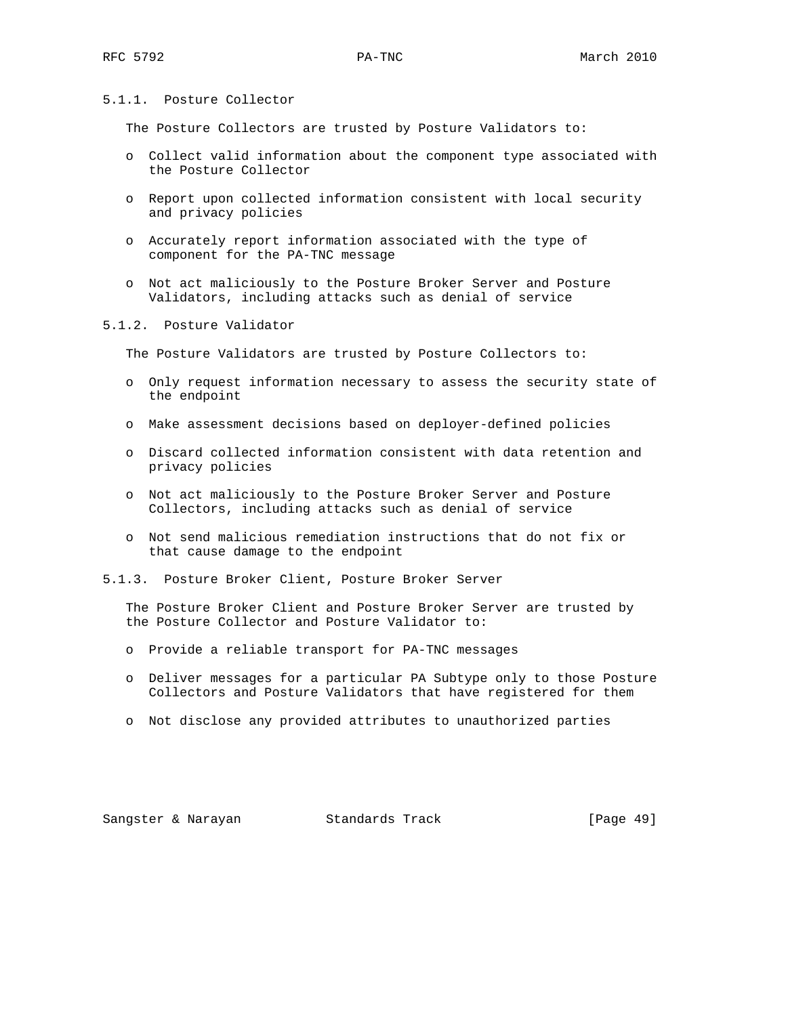# 5.1.1. Posture Collector

The Posture Collectors are trusted by Posture Validators to:

- o Collect valid information about the component type associated with the Posture Collector
- o Report upon collected information consistent with local security and privacy policies
- o Accurately report information associated with the type of component for the PA-TNC message
- o Not act maliciously to the Posture Broker Server and Posture Validators, including attacks such as denial of service

## 5.1.2. Posture Validator

The Posture Validators are trusted by Posture Collectors to:

- o Only request information necessary to assess the security state of the endpoint
- o Make assessment decisions based on deployer-defined policies
- o Discard collected information consistent with data retention and privacy policies
- o Not act maliciously to the Posture Broker Server and Posture Collectors, including attacks such as denial of service
- o Not send malicious remediation instructions that do not fix or that cause damage to the endpoint
- 5.1.3. Posture Broker Client, Posture Broker Server

 The Posture Broker Client and Posture Broker Server are trusted by the Posture Collector and Posture Validator to:

- o Provide a reliable transport for PA-TNC messages
- o Deliver messages for a particular PA Subtype only to those Posture Collectors and Posture Validators that have registered for them
- o Not disclose any provided attributes to unauthorized parties

Sangster & Narayan Standards Track [Page 49]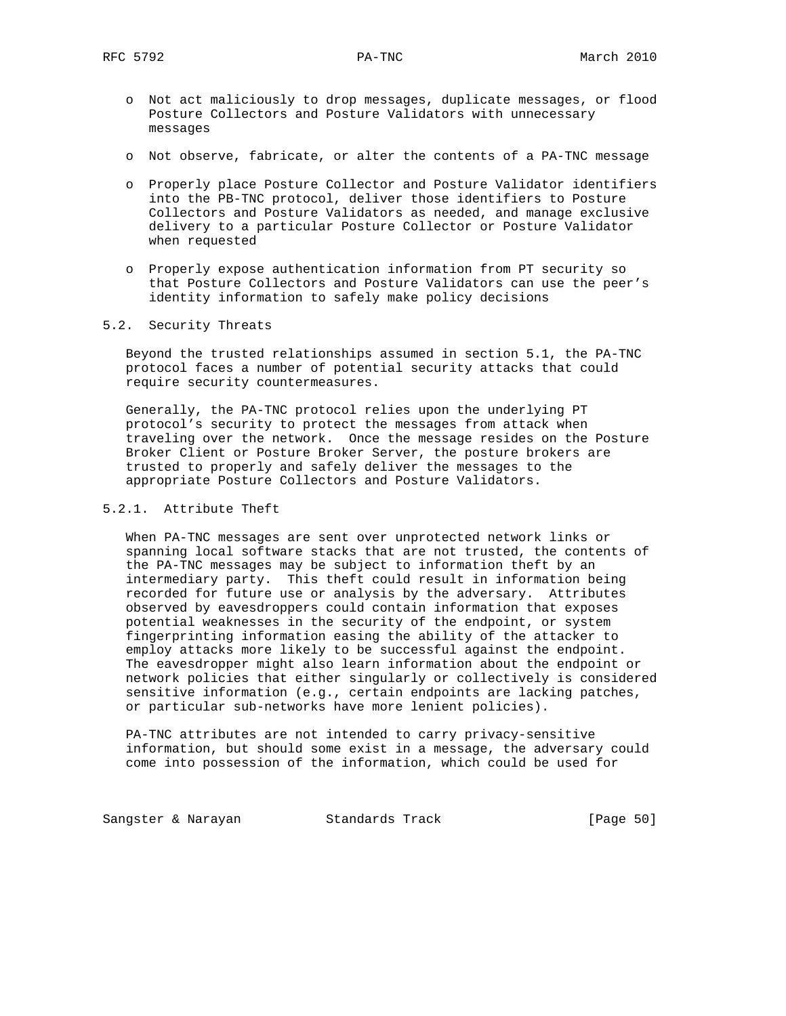- o Not act maliciously to drop messages, duplicate messages, or flood Posture Collectors and Posture Validators with unnecessary messages
- o Not observe, fabricate, or alter the contents of a PA-TNC message
- o Properly place Posture Collector and Posture Validator identifiers into the PB-TNC protocol, deliver those identifiers to Posture Collectors and Posture Validators as needed, and manage exclusive delivery to a particular Posture Collector or Posture Validator when requested
- o Properly expose authentication information from PT security so that Posture Collectors and Posture Validators can use the peer's identity information to safely make policy decisions

5.2. Security Threats

 Beyond the trusted relationships assumed in section 5.1, the PA-TNC protocol faces a number of potential security attacks that could require security countermeasures.

 Generally, the PA-TNC protocol relies upon the underlying PT protocol's security to protect the messages from attack when traveling over the network. Once the message resides on the Posture Broker Client or Posture Broker Server, the posture brokers are trusted to properly and safely deliver the messages to the appropriate Posture Collectors and Posture Validators.

# 5.2.1. Attribute Theft

 When PA-TNC messages are sent over unprotected network links or spanning local software stacks that are not trusted, the contents of the PA-TNC messages may be subject to information theft by an intermediary party. This theft could result in information being recorded for future use or analysis by the adversary. Attributes observed by eavesdroppers could contain information that exposes potential weaknesses in the security of the endpoint, or system fingerprinting information easing the ability of the attacker to employ attacks more likely to be successful against the endpoint. The eavesdropper might also learn information about the endpoint or network policies that either singularly or collectively is considered sensitive information (e.g., certain endpoints are lacking patches, or particular sub-networks have more lenient policies).

 PA-TNC attributes are not intended to carry privacy-sensitive information, but should some exist in a message, the adversary could come into possession of the information, which could be used for

Sangster & Narayan Standards Track [Page 50]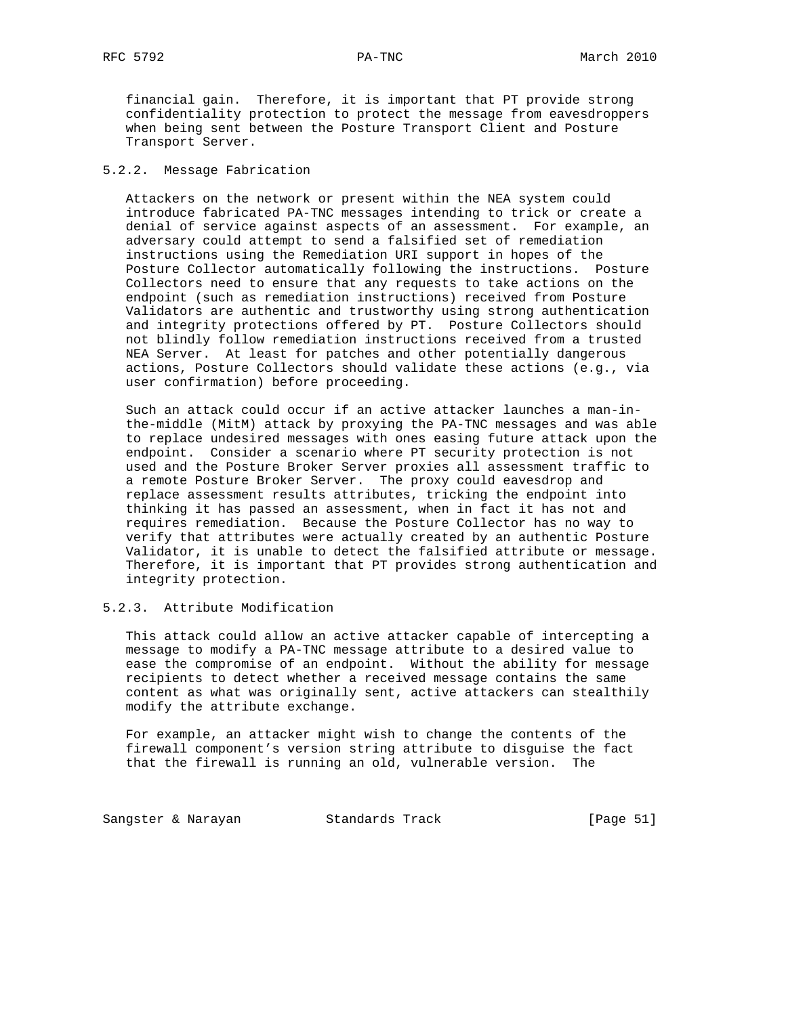financial gain. Therefore, it is important that PT provide strong confidentiality protection to protect the message from eavesdroppers when being sent between the Posture Transport Client and Posture Transport Server.

## 5.2.2. Message Fabrication

 Attackers on the network or present within the NEA system could introduce fabricated PA-TNC messages intending to trick or create a denial of service against aspects of an assessment. For example, an adversary could attempt to send a falsified set of remediation instructions using the Remediation URI support in hopes of the Posture Collector automatically following the instructions. Posture Collectors need to ensure that any requests to take actions on the endpoint (such as remediation instructions) received from Posture Validators are authentic and trustworthy using strong authentication and integrity protections offered by PT. Posture Collectors should not blindly follow remediation instructions received from a trusted NEA Server. At least for patches and other potentially dangerous actions, Posture Collectors should validate these actions (e.g., via user confirmation) before proceeding.

 Such an attack could occur if an active attacker launches a man-in the-middle (MitM) attack by proxying the PA-TNC messages and was able to replace undesired messages with ones easing future attack upon the endpoint. Consider a scenario where PT security protection is not used and the Posture Broker Server proxies all assessment traffic to a remote Posture Broker Server. The proxy could eavesdrop and replace assessment results attributes, tricking the endpoint into thinking it has passed an assessment, when in fact it has not and requires remediation. Because the Posture Collector has no way to verify that attributes were actually created by an authentic Posture Validator, it is unable to detect the falsified attribute or message. Therefore, it is important that PT provides strong authentication and integrity protection.

# 5.2.3. Attribute Modification

 This attack could allow an active attacker capable of intercepting a message to modify a PA-TNC message attribute to a desired value to ease the compromise of an endpoint. Without the ability for message recipients to detect whether a received message contains the same content as what was originally sent, active attackers can stealthily modify the attribute exchange.

 For example, an attacker might wish to change the contents of the firewall component's version string attribute to disguise the fact that the firewall is running an old, vulnerable version. The

Sangster & Narayan Standards Track [Page 51]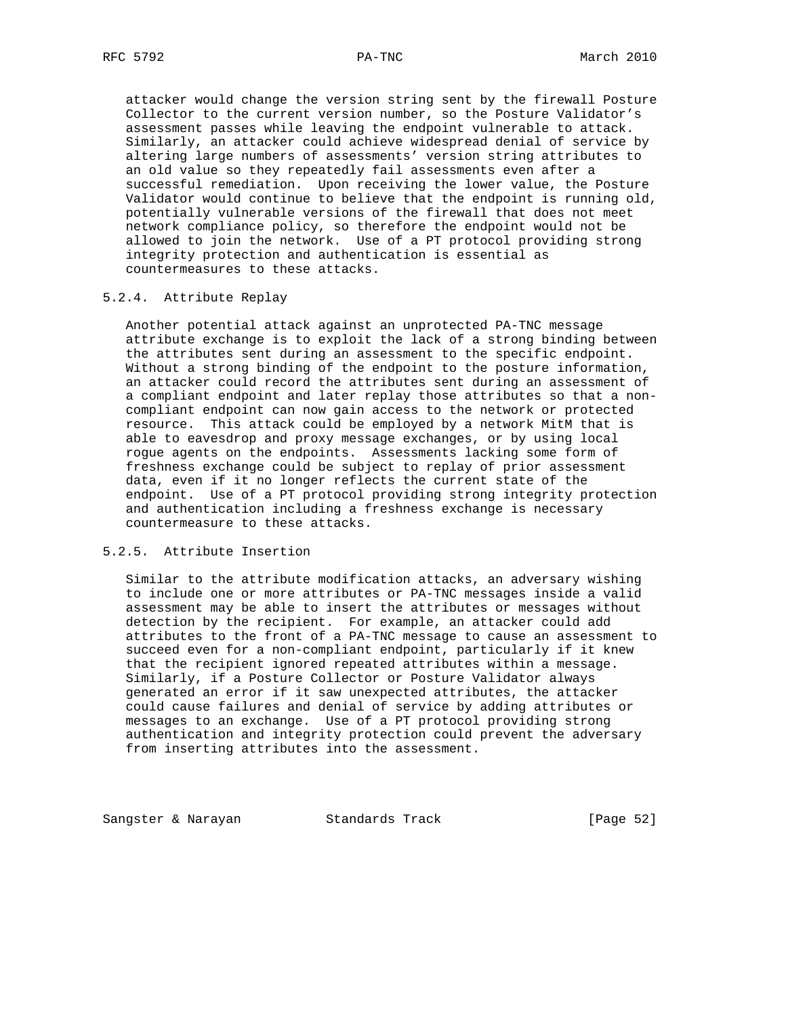attacker would change the version string sent by the firewall Posture Collector to the current version number, so the Posture Validator's assessment passes while leaving the endpoint vulnerable to attack. Similarly, an attacker could achieve widespread denial of service by altering large numbers of assessments' version string attributes to an old value so they repeatedly fail assessments even after a successful remediation. Upon receiving the lower value, the Posture Validator would continue to believe that the endpoint is running old, potentially vulnerable versions of the firewall that does not meet network compliance policy, so therefore the endpoint would not be allowed to join the network. Use of a PT protocol providing strong integrity protection and authentication is essential as countermeasures to these attacks.

## 5.2.4. Attribute Replay

 Another potential attack against an unprotected PA-TNC message attribute exchange is to exploit the lack of a strong binding between the attributes sent during an assessment to the specific endpoint. Without a strong binding of the endpoint to the posture information, an attacker could record the attributes sent during an assessment of a compliant endpoint and later replay those attributes so that a non compliant endpoint can now gain access to the network or protected resource. This attack could be employed by a network MitM that is able to eavesdrop and proxy message exchanges, or by using local rogue agents on the endpoints. Assessments lacking some form of freshness exchange could be subject to replay of prior assessment data, even if it no longer reflects the current state of the endpoint. Use of a PT protocol providing strong integrity protection and authentication including a freshness exchange is necessary countermeasure to these attacks.

## 5.2.5. Attribute Insertion

 Similar to the attribute modification attacks, an adversary wishing to include one or more attributes or PA-TNC messages inside a valid assessment may be able to insert the attributes or messages without detection by the recipient. For example, an attacker could add attributes to the front of a PA-TNC message to cause an assessment to succeed even for a non-compliant endpoint, particularly if it knew that the recipient ignored repeated attributes within a message. Similarly, if a Posture Collector or Posture Validator always generated an error if it saw unexpected attributes, the attacker could cause failures and denial of service by adding attributes or messages to an exchange. Use of a PT protocol providing strong authentication and integrity protection could prevent the adversary from inserting attributes into the assessment.

Sangster & Narayan Standards Track [Page 52]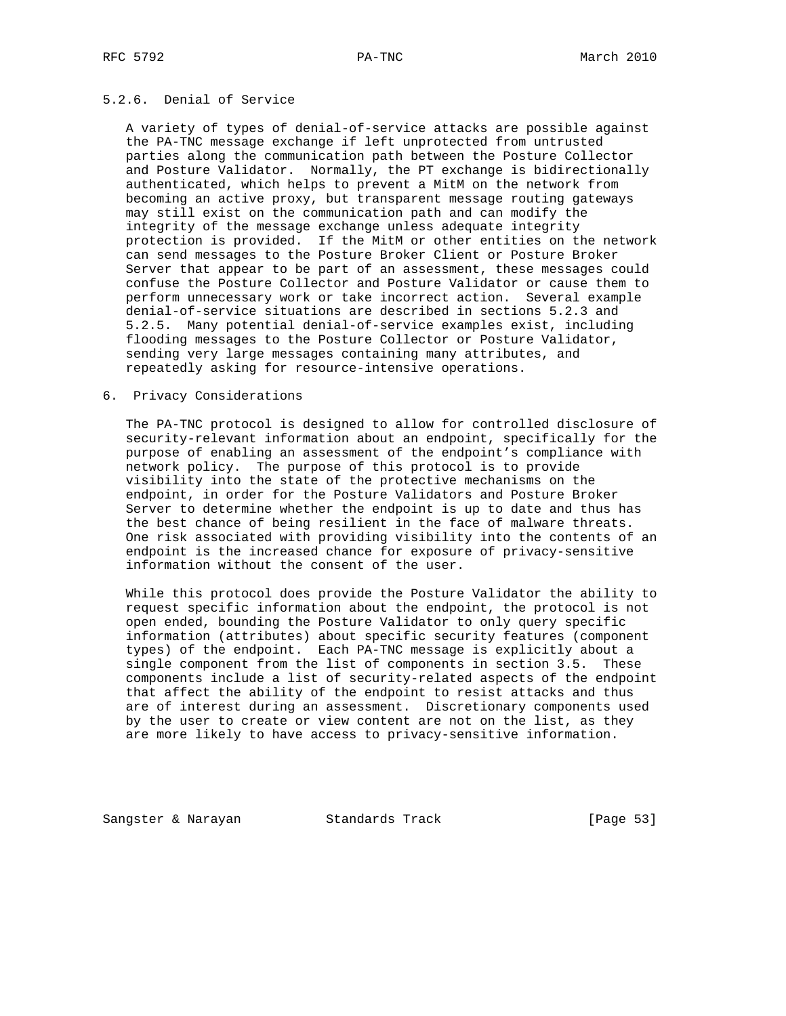## 5.2.6. Denial of Service

 A variety of types of denial-of-service attacks are possible against the PA-TNC message exchange if left unprotected from untrusted parties along the communication path between the Posture Collector and Posture Validator. Normally, the PT exchange is bidirectionally authenticated, which helps to prevent a MitM on the network from becoming an active proxy, but transparent message routing gateways may still exist on the communication path and can modify the integrity of the message exchange unless adequate integrity protection is provided. If the MitM or other entities on the network can send messages to the Posture Broker Client or Posture Broker Server that appear to be part of an assessment, these messages could confuse the Posture Collector and Posture Validator or cause them to perform unnecessary work or take incorrect action. Several example denial-of-service situations are described in sections 5.2.3 and 5.2.5. Many potential denial-of-service examples exist, including flooding messages to the Posture Collector or Posture Validator, sending very large messages containing many attributes, and repeatedly asking for resource-intensive operations.

## 6. Privacy Considerations

 The PA-TNC protocol is designed to allow for controlled disclosure of security-relevant information about an endpoint, specifically for the purpose of enabling an assessment of the endpoint's compliance with network policy. The purpose of this protocol is to provide visibility into the state of the protective mechanisms on the endpoint, in order for the Posture Validators and Posture Broker Server to determine whether the endpoint is up to date and thus has the best chance of being resilient in the face of malware threats. One risk associated with providing visibility into the contents of an endpoint is the increased chance for exposure of privacy-sensitive information without the consent of the user.

 While this protocol does provide the Posture Validator the ability to request specific information about the endpoint, the protocol is not open ended, bounding the Posture Validator to only query specific information (attributes) about specific security features (component types) of the endpoint. Each PA-TNC message is explicitly about a single component from the list of components in section 3.5. These components include a list of security-related aspects of the endpoint that affect the ability of the endpoint to resist attacks and thus are of interest during an assessment. Discretionary components used by the user to create or view content are not on the list, as they are more likely to have access to privacy-sensitive information.

Sangster & Narayan Standards Track [Page 53]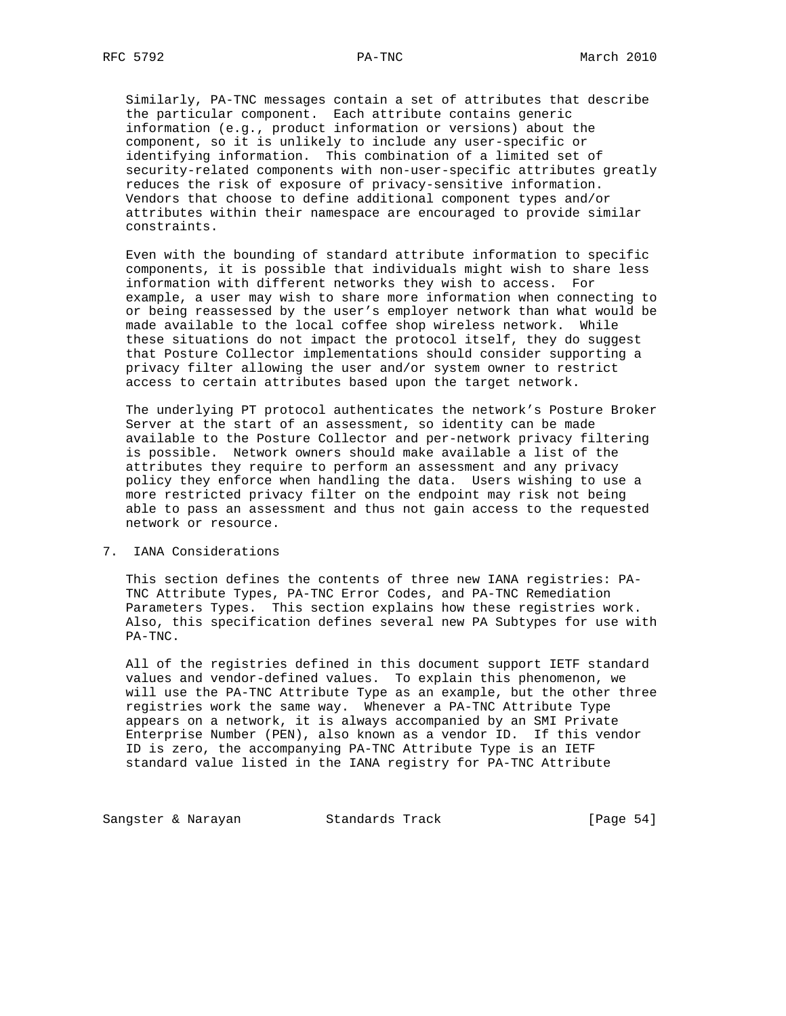Similarly, PA-TNC messages contain a set of attributes that describe the particular component. Each attribute contains generic information (e.g., product information or versions) about the component, so it is unlikely to include any user-specific or identifying information. This combination of a limited set of security-related components with non-user-specific attributes greatly reduces the risk of exposure of privacy-sensitive information. Vendors that choose to define additional component types and/or attributes within their namespace are encouraged to provide similar constraints.

 Even with the bounding of standard attribute information to specific components, it is possible that individuals might wish to share less information with different networks they wish to access. For example, a user may wish to share more information when connecting to or being reassessed by the user's employer network than what would be made available to the local coffee shop wireless network. While these situations do not impact the protocol itself, they do suggest that Posture Collector implementations should consider supporting a privacy filter allowing the user and/or system owner to restrict access to certain attributes based upon the target network.

 The underlying PT protocol authenticates the network's Posture Broker Server at the start of an assessment, so identity can be made available to the Posture Collector and per-network privacy filtering is possible. Network owners should make available a list of the attributes they require to perform an assessment and any privacy policy they enforce when handling the data. Users wishing to use a more restricted privacy filter on the endpoint may risk not being able to pass an assessment and thus not gain access to the requested network or resource.

## 7. IANA Considerations

 This section defines the contents of three new IANA registries: PA- TNC Attribute Types, PA-TNC Error Codes, and PA-TNC Remediation Parameters Types. This section explains how these registries work. Also, this specification defines several new PA Subtypes for use with PA-TNC.

 All of the registries defined in this document support IETF standard values and vendor-defined values. To explain this phenomenon, we will use the PA-TNC Attribute Type as an example, but the other three registries work the same way. Whenever a PA-TNC Attribute Type appears on a network, it is always accompanied by an SMI Private Enterprise Number (PEN), also known as a vendor ID. If this vendor ID is zero, the accompanying PA-TNC Attribute Type is an IETF standard value listed in the IANA registry for PA-TNC Attribute

Sangster & Narayan Standards Track [Page 54]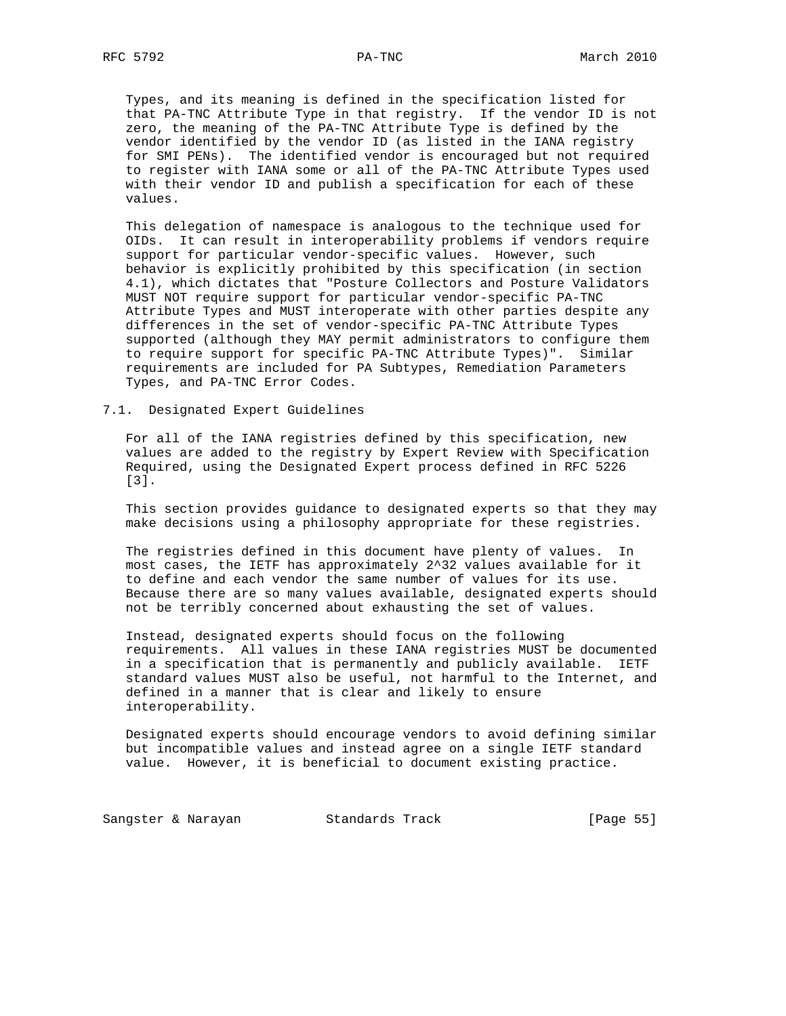Types, and its meaning is defined in the specification listed for that PA-TNC Attribute Type in that registry. If the vendor ID is not zero, the meaning of the PA-TNC Attribute Type is defined by the vendor identified by the vendor ID (as listed in the IANA registry for SMI PENs). The identified vendor is encouraged but not required to register with IANA some or all of the PA-TNC Attribute Types used with their vendor ID and publish a specification for each of these values.

 This delegation of namespace is analogous to the technique used for OIDs. It can result in interoperability problems if vendors require support for particular vendor-specific values. However, such behavior is explicitly prohibited by this specification (in section 4.1), which dictates that "Posture Collectors and Posture Validators MUST NOT require support for particular vendor-specific PA-TNC Attribute Types and MUST interoperate with other parties despite any differences in the set of vendor-specific PA-TNC Attribute Types supported (although they MAY permit administrators to configure them to require support for specific PA-TNC Attribute Types)". Similar requirements are included for PA Subtypes, Remediation Parameters Types, and PA-TNC Error Codes.

7.1. Designated Expert Guidelines

 For all of the IANA registries defined by this specification, new values are added to the registry by Expert Review with Specification Required, using the Designated Expert process defined in RFC 5226 [3].

 This section provides guidance to designated experts so that they may make decisions using a philosophy appropriate for these registries.

 The registries defined in this document have plenty of values. In most cases, the IETF has approximately 2^32 values available for it to define and each vendor the same number of values for its use. Because there are so many values available, designated experts should not be terribly concerned about exhausting the set of values.

 Instead, designated experts should focus on the following requirements. All values in these IANA registries MUST be documented in a specification that is permanently and publicly available. IETF standard values MUST also be useful, not harmful to the Internet, and defined in a manner that is clear and likely to ensure interoperability.

 Designated experts should encourage vendors to avoid defining similar but incompatible values and instead agree on a single IETF standard value. However, it is beneficial to document existing practice.

Sangster & Narayan Standards Track [Page 55]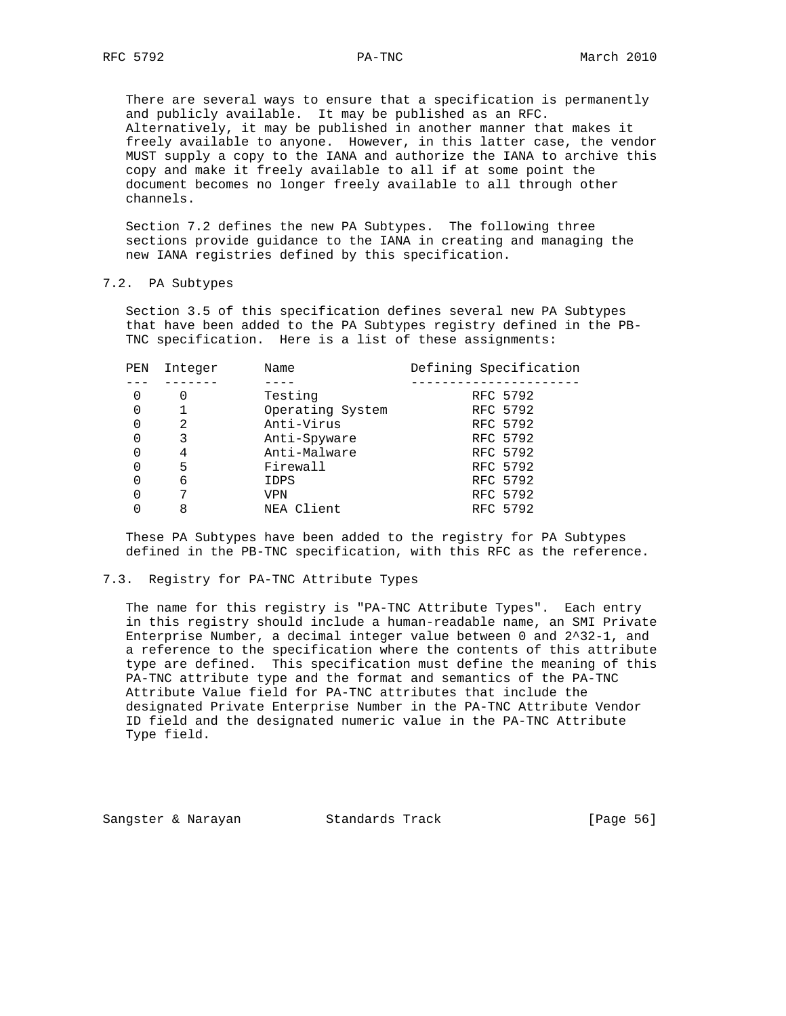There are several ways to ensure that a specification is permanently and publicly available. It may be published as an RFC. Alternatively, it may be published in another manner that makes it freely available to anyone. However, in this latter case, the vendor MUST supply a copy to the IANA and authorize the IANA to archive this copy and make it freely available to all if at some point the document becomes no longer freely available to all through other channels.

 Section 7.2 defines the new PA Subtypes. The following three sections provide guidance to the IANA in creating and managing the new IANA registries defined by this specification.

## 7.2. PA Subtypes

 Section 3.5 of this specification defines several new PA Subtypes that have been added to the PA Subtypes registry defined in the PB- TNC specification. Here is a list of these assignments:

| PEN | Integer | Name             | Defining Specification |
|-----|---------|------------------|------------------------|
|     |         |                  |                        |
| 0   |         | Testing          | RFC 5792               |
| 0   |         | Operating System | RFC 5792               |
| 0   | 2       | Anti-Virus       | RFC 5792               |
| 0   | 3       | Anti-Spyware     | RFC 5792               |
| 0   | 4       | Anti-Malware     | RFC 5792               |
| 0   | 5       | Firewall         | RFC 5792               |
|     | 6       | IDPS             | RFC 5792               |
| 0   | 7       | VPN              | RFC 5792               |
|     | 8       | NEA Client       | RFC 5792               |

 These PA Subtypes have been added to the registry for PA Subtypes defined in the PB-TNC specification, with this RFC as the reference.

#### 7.3. Registry for PA-TNC Attribute Types

 The name for this registry is "PA-TNC Attribute Types". Each entry in this registry should include a human-readable name, an SMI Private Enterprise Number, a decimal integer value between 0 and 2^32-1, and a reference to the specification where the contents of this attribute type are defined. This specification must define the meaning of this PA-TNC attribute type and the format and semantics of the PA-TNC Attribute Value field for PA-TNC attributes that include the designated Private Enterprise Number in the PA-TNC Attribute Vendor ID field and the designated numeric value in the PA-TNC Attribute Type field.

Sangster & Narayan Standards Track [Page 56]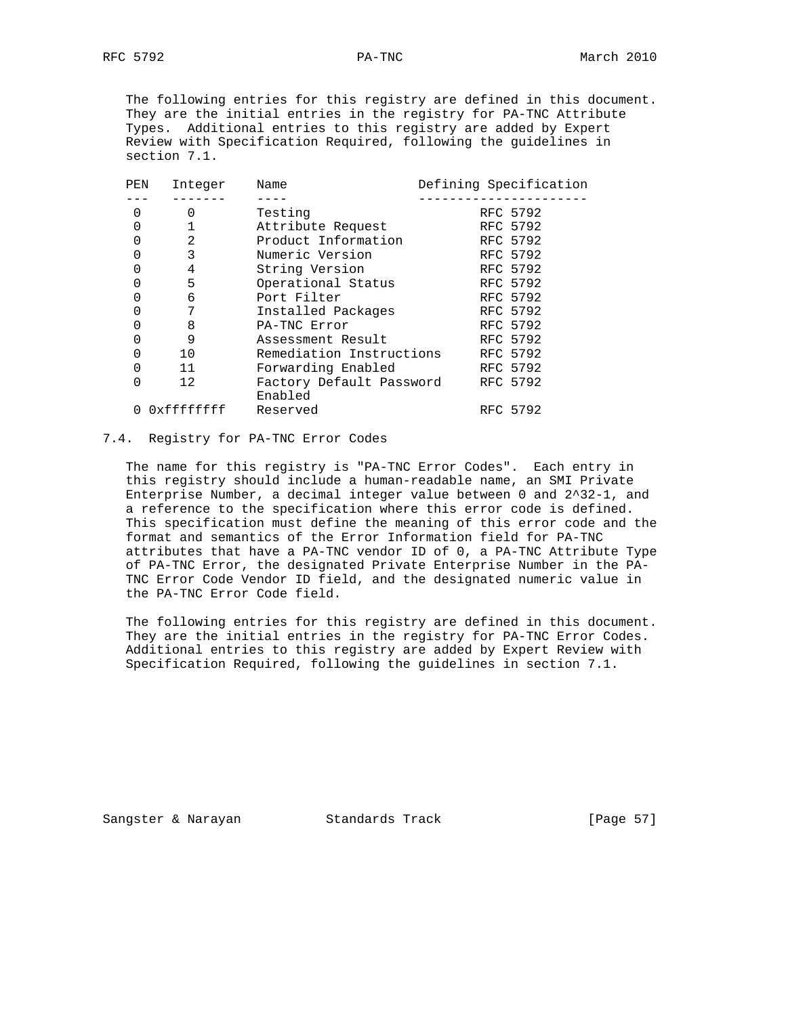The following entries for this registry are defined in this document. They are the initial entries in the registry for PA-TNC Attribute Types. Additional entries to this registry are added by Expert Review with Specification Required, following the guidelines in section 7.1.

| PEN | Integer    | Name                                | Defining Specification |
|-----|------------|-------------------------------------|------------------------|
|     |            |                                     |                        |
| 0   | 0          | Testing                             | RFC 5792               |
| 0   |            | Attribute Request                   | RFC 5792               |
| 0   | 2          | Product Information                 | RFC 5792               |
| 0   | 3          | Numeric Version                     | RFC 5792               |
| 0   | 4          | String Version                      | RFC 5792               |
| 0   | 5          | Operational Status                  | RFC 5792               |
| 0   | 6          | Port Filter                         | RFC 5792               |
| 0   | 7          | Installed Packages                  | RFC 5792               |
| 0   | 8          | PA-TNC Error                        | RFC 5792               |
| 0   | 9          | Assessment Result                   | RFC 5792               |
| 0   | 10         | Remediation Instructions            | RFC 5792               |
| 0   | 11         | Forwarding Enabled                  | RFC 5792               |
| 0   | 12         | Factory Default Password<br>Enabled | RFC 5792               |
|     | 0xffffffff | Reserved                            | RFC 5792               |
|     |            |                                     |                        |

# 7.4. Registry for PA-TNC Error Codes

 The name for this registry is "PA-TNC Error Codes". Each entry in this registry should include a human-readable name, an SMI Private Enterprise Number, a decimal integer value between 0 and 2^32-1, and a reference to the specification where this error code is defined. This specification must define the meaning of this error code and the format and semantics of the Error Information field for PA-TNC attributes that have a PA-TNC vendor ID of 0, a PA-TNC Attribute Type of PA-TNC Error, the designated Private Enterprise Number in the PA- TNC Error Code Vendor ID field, and the designated numeric value in the PA-TNC Error Code field.

 The following entries for this registry are defined in this document. They are the initial entries in the registry for PA-TNC Error Codes. Additional entries to this registry are added by Expert Review with Specification Required, following the guidelines in section 7.1.

Sangster & Narayan Standards Track [Page 57]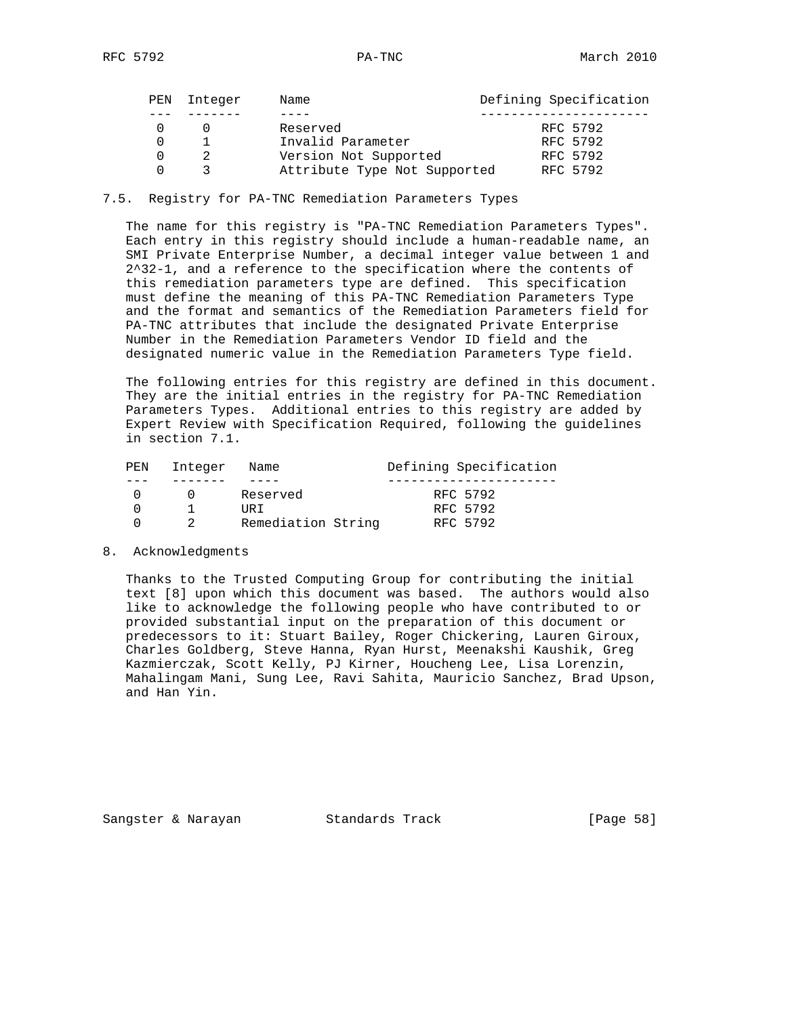| PEN | Integer | Name                         | Defining Specification |
|-----|---------|------------------------------|------------------------|
|     |         | Reserved                     | RFC 5792               |
|     |         | Invalid Parameter            | RFC 5792               |
|     |         | Version Not Supported        | RFC 5792               |
|     |         | Attribute Type Not Supported | RFC 5792               |

7.5. Registry for PA-TNC Remediation Parameters Types

 The name for this registry is "PA-TNC Remediation Parameters Types". Each entry in this registry should include a human-readable name, an SMI Private Enterprise Number, a decimal integer value between 1 and 2^32-1, and a reference to the specification where the contents of this remediation parameters type are defined. This specification must define the meaning of this PA-TNC Remediation Parameters Type and the format and semantics of the Remediation Parameters field for PA-TNC attributes that include the designated Private Enterprise Number in the Remediation Parameters Vendor ID field and the designated numeric value in the Remediation Parameters Type field.

 The following entries for this registry are defined in this document. They are the initial entries in the registry for PA-TNC Remediation Parameters Types. Additional entries to this registry are added by Expert Review with Specification Required, following the guidelines in section 7.1.

| PEN | Integer | Name               | Defining Specification |
|-----|---------|--------------------|------------------------|
|     |         |                    |                        |
|     |         | Reserved           | RFC 5792               |
|     |         | TJR T              | RFC 5792               |
|     |         | Remediation String | RFC 5792               |

#### 8. Acknowledgments

 Thanks to the Trusted Computing Group for contributing the initial text [8] upon which this document was based. The authors would also like to acknowledge the following people who have contributed to or provided substantial input on the preparation of this document or predecessors to it: Stuart Bailey, Roger Chickering, Lauren Giroux, Charles Goldberg, Steve Hanna, Ryan Hurst, Meenakshi Kaushik, Greg Kazmierczak, Scott Kelly, PJ Kirner, Houcheng Lee, Lisa Lorenzin, Mahalingam Mani, Sung Lee, Ravi Sahita, Mauricio Sanchez, Brad Upson, and Han Yin.

Sangster & Narayan Standards Track [Page 58]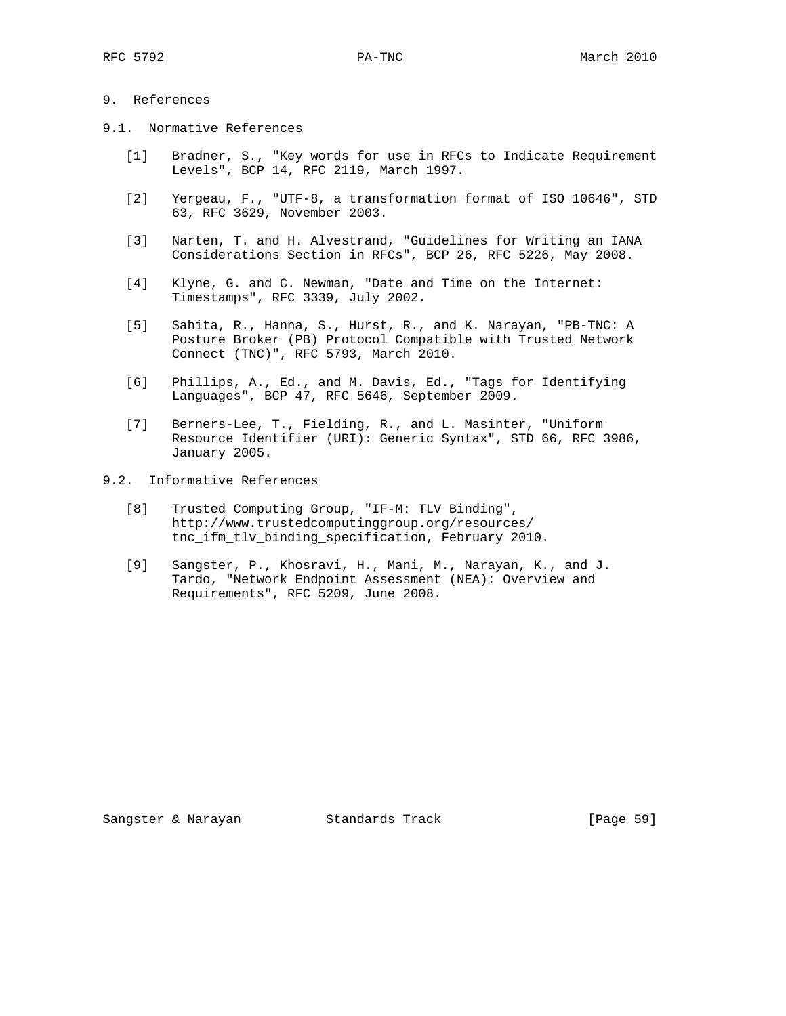## 9. References

- 9.1. Normative References
	- [1] Bradner, S., "Key words for use in RFCs to Indicate Requirement Levels", BCP 14, RFC 2119, March 1997.
	- [2] Yergeau, F., "UTF-8, a transformation format of ISO 10646", STD 63, RFC 3629, November 2003.
	- [3] Narten, T. and H. Alvestrand, "Guidelines for Writing an IANA Considerations Section in RFCs", BCP 26, RFC 5226, May 2008.
	- [4] Klyne, G. and C. Newman, "Date and Time on the Internet: Timestamps", RFC 3339, July 2002.
	- [5] Sahita, R., Hanna, S., Hurst, R., and K. Narayan, "PB-TNC: A Posture Broker (PB) Protocol Compatible with Trusted Network Connect (TNC)", RFC 5793, March 2010.
	- [6] Phillips, A., Ed., and M. Davis, Ed., "Tags for Identifying Languages", BCP 47, RFC 5646, September 2009.
	- [7] Berners-Lee, T., Fielding, R., and L. Masinter, "Uniform Resource Identifier (URI): Generic Syntax", STD 66, RFC 3986, January 2005.
- 9.2. Informative References
	- [8] Trusted Computing Group, "IF-M: TLV Binding", http://www.trustedcomputinggroup.org/resources/ tnc\_ifm\_tlv\_binding\_specification, February 2010.
	- [9] Sangster, P., Khosravi, H., Mani, M., Narayan, K., and J. Tardo, "Network Endpoint Assessment (NEA): Overview and Requirements", RFC 5209, June 2008.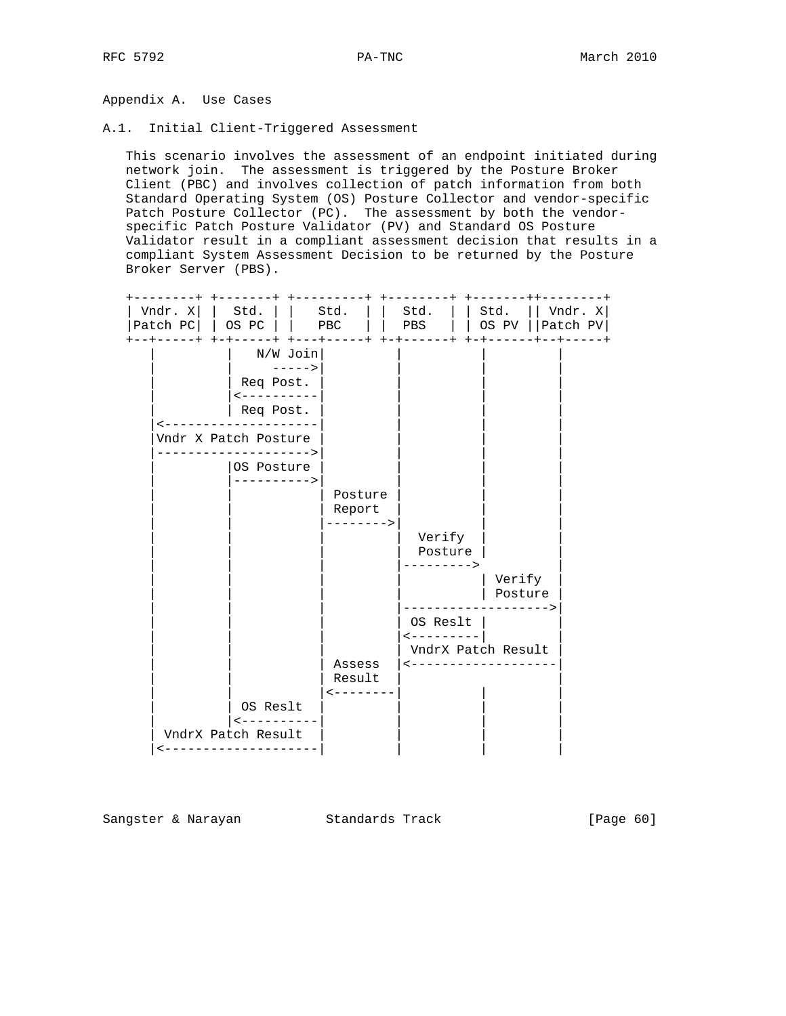Appendix A. Use Cases

A.1. Initial Client-Triggered Assessment

 This scenario involves the assessment of an endpoint initiated during network join. The assessment is triggered by the Posture Broker Client (PBC) and involves collection of patch information from both Standard Operating System (OS) Posture Collector and vendor-specific Patch Posture Collector (PC). The assessment by both the vendor specific Patch Posture Validator (PV) and Standard OS Posture Validator result in a compliant assessment decision that results in a compliant System Assessment Decision to be returned by the Posture Broker Server (PBS).



Sangster & Narayan Standards Track [Page 60]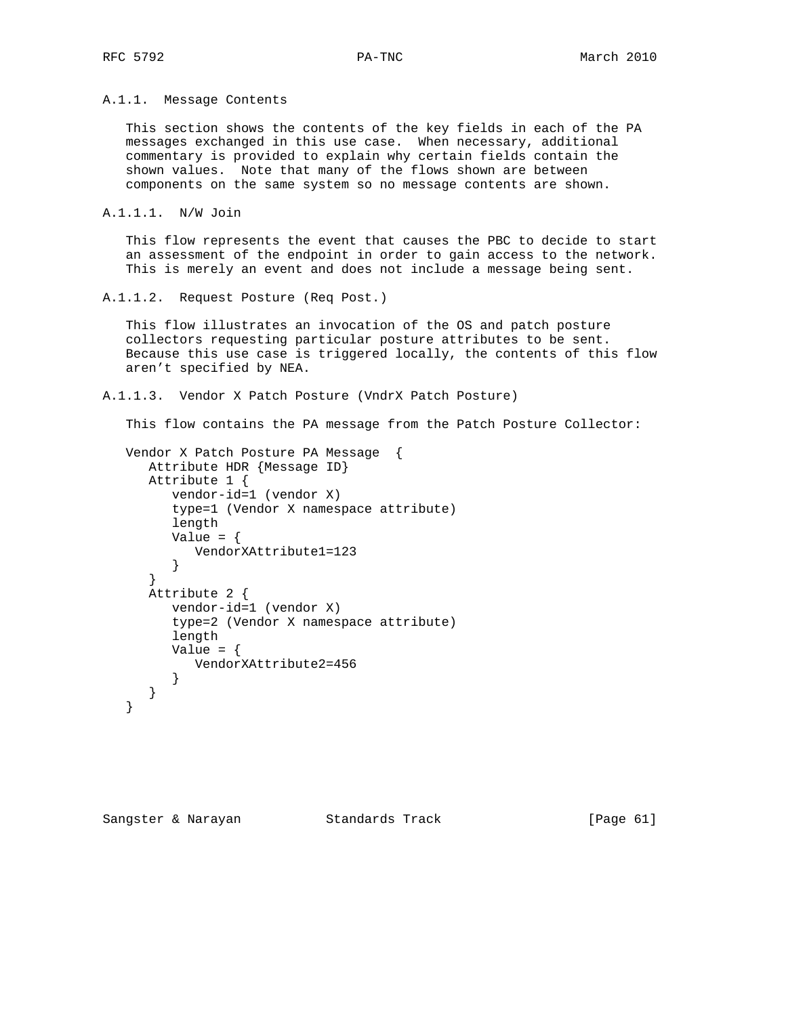A.1.1. Message Contents

 This section shows the contents of the key fields in each of the PA messages exchanged in this use case. When necessary, additional commentary is provided to explain why certain fields contain the shown values. Note that many of the flows shown are between components on the same system so no message contents are shown.

```
A.1.1.1. N/W Join
```
 This flow represents the event that causes the PBC to decide to start an assessment of the endpoint in order to gain access to the network. This is merely an event and does not include a message being sent.

```
A.1.1.2. Request Posture (Req Post.)
```
 This flow illustrates an invocation of the OS and patch posture collectors requesting particular posture attributes to be sent. Because this use case is triggered locally, the contents of this flow aren't specified by NEA.

A.1.1.3. Vendor X Patch Posture (VndrX Patch Posture)

This flow contains the PA message from the Patch Posture Collector:

```
 Vendor X Patch Posture PA Message {
   Attribute HDR {Message ID}
    Attribute 1 {
       vendor-id=1 (vendor X)
       type=1 (Vendor X namespace attribute)
       length
      Value = \{ VendorXAttribute1=123
       }
    }
    Attribute 2 {
       vendor-id=1 (vendor X)
       type=2 (Vendor X namespace attribute)
       length
      Value = {
         VendorXAttribute2=456
      }
   }
 }
```
Sangster & Narayan Standards Track [Page 61]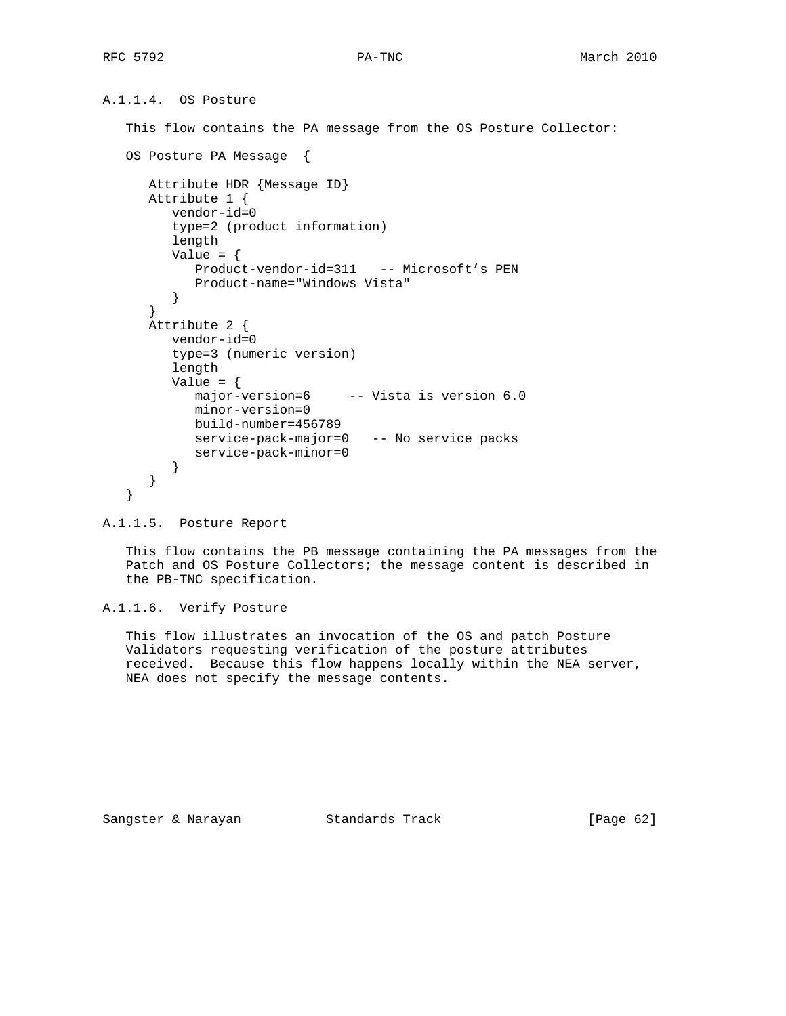```
A.1.1.4. OS Posture
```
This flow contains the PA message from the OS Posture Collector:

```
 OS Posture PA Message {
   Attribute HDR {Message ID}
   Attribute 1 {
      vendor-id=0
      type=2 (product information)
      length
     Value = \{ Product-vendor-id=311 -- Microsoft's PEN
          Product-name="Windows Vista"
       }
    }
   Attribute 2 {
      vendor-id=0
      type=3 (numeric version)
       length
      Value = \{major-version=6 -- Vista is version 6.0
         minor-version=0
         build-number=456789
         service-pack-major=0 -- No service packs
         service-pack-minor=0
       }
    }
 }
```

```
A.1.1.5. Posture Report
```
 This flow contains the PB message containing the PA messages from the Patch and OS Posture Collectors; the message content is described in the PB-TNC specification.

A.1.1.6. Verify Posture

 This flow illustrates an invocation of the OS and patch Posture Validators requesting verification of the posture attributes received. Because this flow happens locally within the NEA server, NEA does not specify the message contents.

Sangster & Narayan Standards Track [Page 62]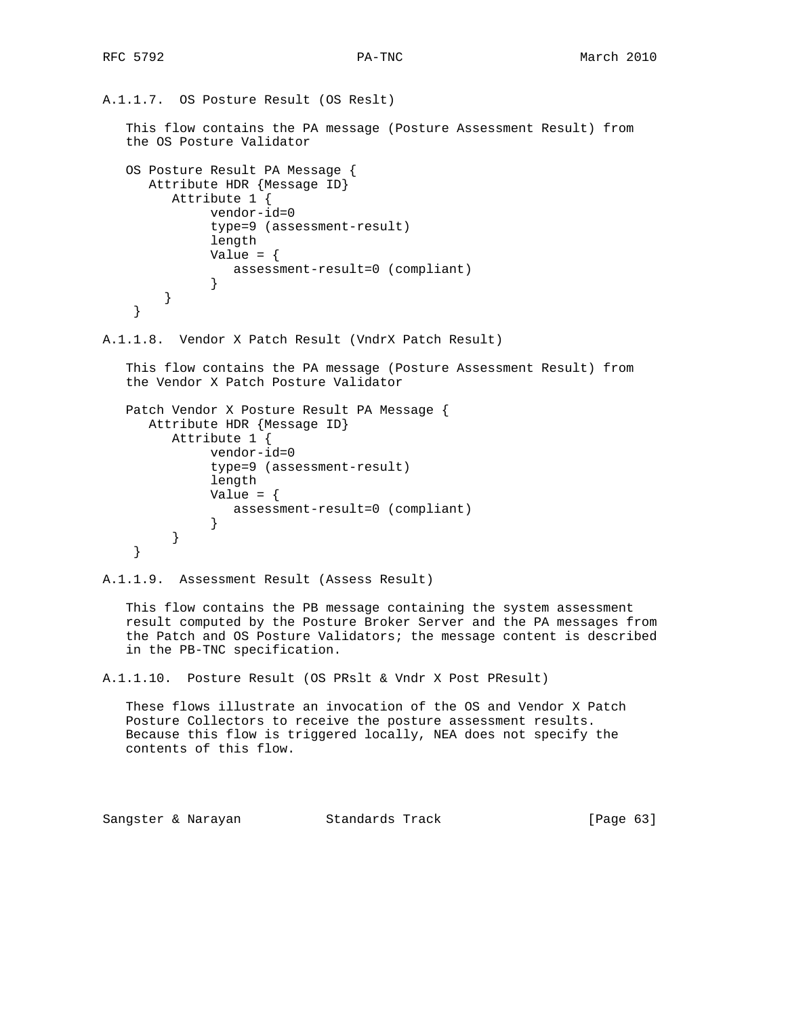```
A.1.1.7. OS Posture Result (OS Reslt)
    This flow contains the PA message (Posture Assessment Result) from
    the OS Posture Validator
    OS Posture Result PA Message {
      Attribute HDR {Message ID}
         Attribute 1 {
               vendor-id=0
               type=9 (assessment-result)
               length
              Value = \{ assessment-result=0 (compliant)
 }
        }
     }
A.1.1.8. Vendor X Patch Result (VndrX Patch Result)
    This flow contains the PA message (Posture Assessment Result) from
    the Vendor X Patch Posture Validator
   Patch Vendor X Posture Result PA Message {
      Attribute HDR {Message ID}
          Attribute 1 {
               vendor-id=0
               type=9 (assessment-result)
               length
              Value = \{ assessment-result=0 (compliant)
 }
          }
     }
A.1.1.9. Assessment Result (Assess Result)
    This flow contains the PB message containing the system assessment
    result computed by the Posture Broker Server and the PA messages from
    the Patch and OS Posture Validators; the message content is described
    in the PB-TNC specification.
A.1.1.10. Posture Result (OS PRslt & Vndr X Post PResult)
    These flows illustrate an invocation of the OS and Vendor X Patch
```
 Posture Collectors to receive the posture assessment results. Because this flow is triggered locally, NEA does not specify the contents of this flow.

Sangster & Narayan Standards Track [Page 63]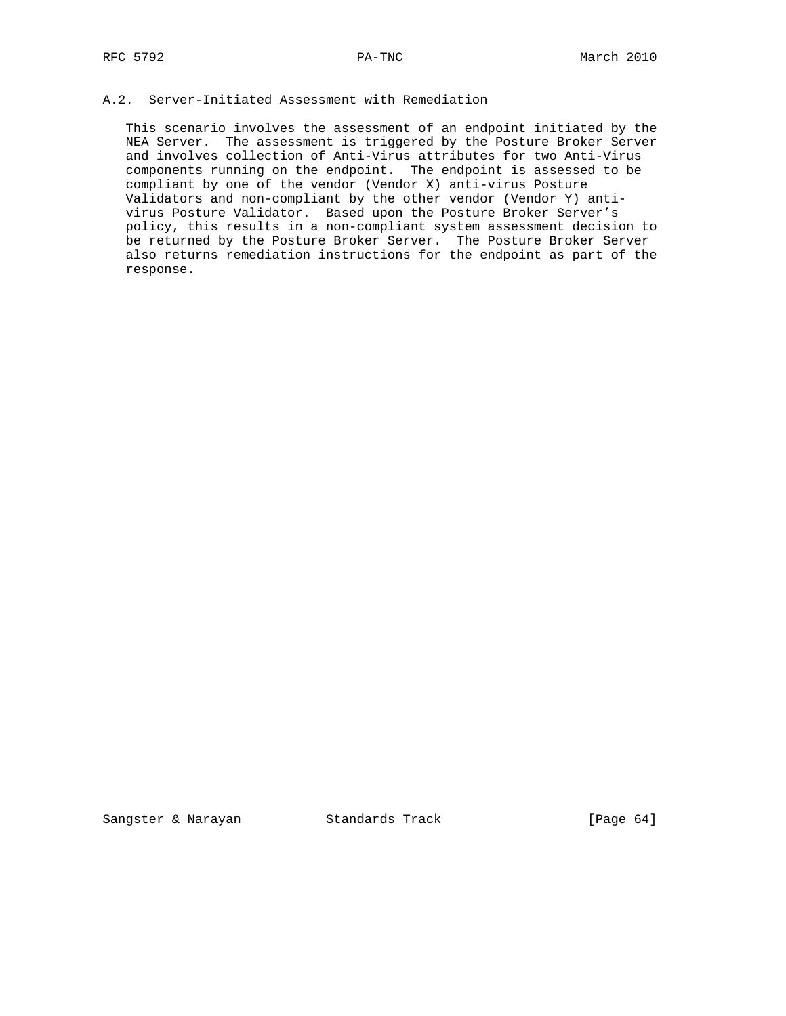# A.2. Server-Initiated Assessment with Remediation

 This scenario involves the assessment of an endpoint initiated by the NEA Server. The assessment is triggered by the Posture Broker Server and involves collection of Anti-Virus attributes for two Anti-Virus components running on the endpoint. The endpoint is assessed to be compliant by one of the vendor (Vendor X) anti-virus Posture Validators and non-compliant by the other vendor (Vendor Y) anti virus Posture Validator. Based upon the Posture Broker Server's policy, this results in a non-compliant system assessment decision to be returned by the Posture Broker Server. The Posture Broker Server also returns remediation instructions for the endpoint as part of the response.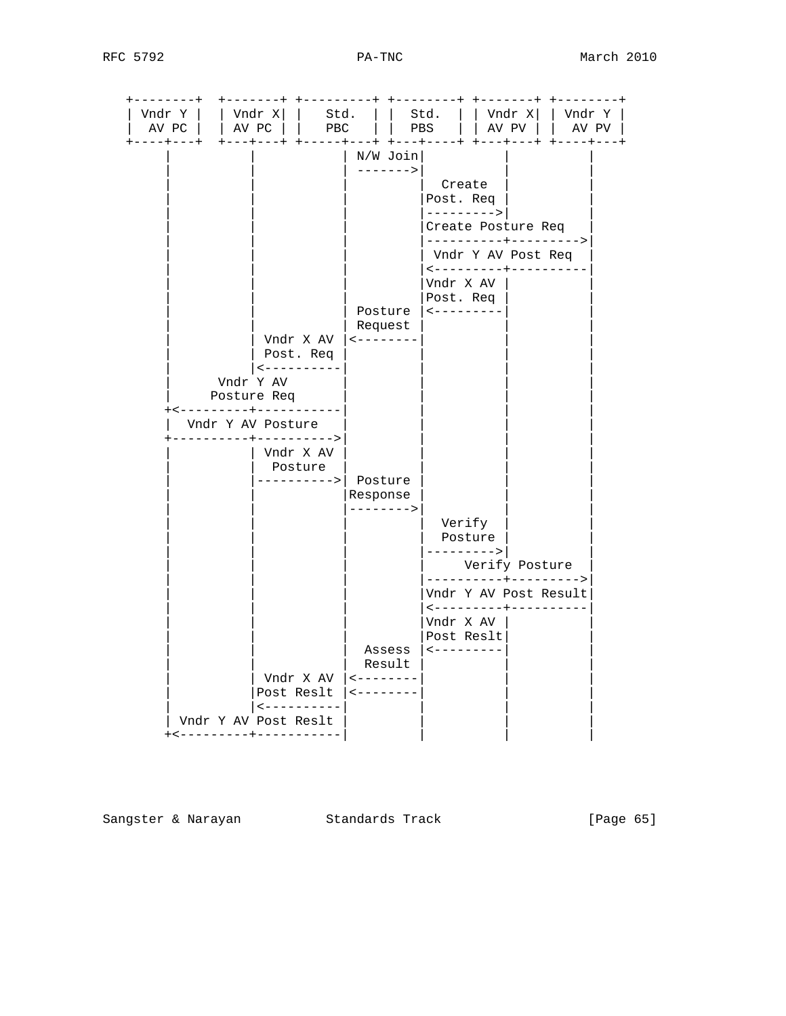| $+ - - - +$<br>$- - - +$<br>N/W Join<br>$------>$<br>Create<br>Post. Req<br>---------> <br>Create Posture Req<br>----------+---------><br>Vndr Y AV Post Req<br>$\leftarrow$ - - - - - - - - + - - - - -<br>Vndr X AV  <br>Post. Req<br>Posture<br>$- - - - - - - - - -$<br>Request<br>Vndr X AV<br>$- - - - - - - - - - - -$<br>Post. Req<br>$- - - - - - - - - - -$<br>Vndr Y AV<br>Posture Req<br>+<---------+-----------<br>Vndr Y AV Posture<br>-----+----------><br>Vndr X AV<br>Posture<br>Posture<br>---------><br>Response<br>--------><br>Verify<br>Posture<br>---------><br>Verify Posture<br>---------+---------><br>Vndr Y AV Post Result<br><---------+----------<br>Vndr X AV<br>Post Reslt<br>Assess<br>$- - - - - - - - - - -$<br>Result<br>Vndr X AV<br>$- - - - - - - - -$<br>Post Reslt<br>$\leftarrow$ - - - - - - - | Vndr Y  <br>AV PC   | Vndr X <br>$\vert$ AV PC $\vert$ | Std.<br>PBC |  | Std.  <br>PBS | Vndr X <br>AV PV | Vndr Y  <br>$AV$ $PV$ |
|-------------------------------------------------------------------------------------------------------------------------------------------------------------------------------------------------------------------------------------------------------------------------------------------------------------------------------------------------------------------------------------------------------------------------------------------------------------------------------------------------------------------------------------------------------------------------------------------------------------------------------------------------------------------------------------------------------------------------------------------------------------------------------------------------------------------------------------------|---------------------|----------------------------------|-------------|--|---------------|------------------|-----------------------|
|                                                                                                                                                                                                                                                                                                                                                                                                                                                                                                                                                                                                                                                                                                                                                                                                                                           | $-- +$<br>$- - - +$ |                                  |             |  |               |                  |                       |
|                                                                                                                                                                                                                                                                                                                                                                                                                                                                                                                                                                                                                                                                                                                                                                                                                                           |                     |                                  |             |  |               |                  |                       |
|                                                                                                                                                                                                                                                                                                                                                                                                                                                                                                                                                                                                                                                                                                                                                                                                                                           |                     |                                  |             |  |               |                  |                       |
| $- - - - - - - - - - - -$                                                                                                                                                                                                                                                                                                                                                                                                                                                                                                                                                                                                                                                                                                                                                                                                                 |                     |                                  |             |  |               |                  |                       |

Sangster & Narayan Standards Track (Page 65)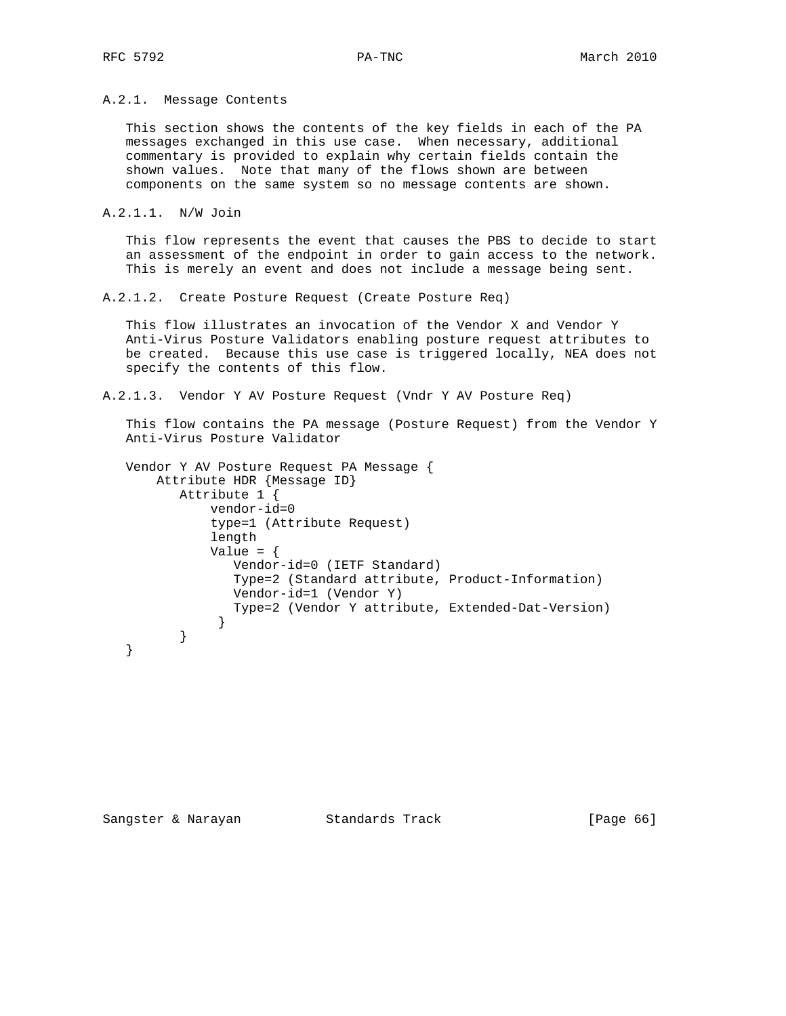A.2.1. Message Contents

 This section shows the contents of the key fields in each of the PA messages exchanged in this use case. When necessary, additional commentary is provided to explain why certain fields contain the shown values. Note that many of the flows shown are between components on the same system so no message contents are shown.

```
A.2.1.1. N/W Join
```
 This flow represents the event that causes the PBS to decide to start an assessment of the endpoint in order to gain access to the network. This is merely an event and does not include a message being sent.

A.2.1.2. Create Posture Request (Create Posture Req)

 This flow illustrates an invocation of the Vendor X and Vendor Y Anti-Virus Posture Validators enabling posture request attributes to be created. Because this use case is triggered locally, NEA does not specify the contents of this flow.

A.2.1.3. Vendor Y AV Posture Request (Vndr Y AV Posture Req)

 This flow contains the PA message (Posture Request) from the Vendor Y Anti-Virus Posture Validator

```
 Vendor Y AV Posture Request PA Message {
       Attribute HDR {Message ID}
          Attribute 1 {
              vendor-id=0
              type=1 (Attribute Request)
              length
             Value = \{ Vendor-id=0 (IETF Standard)
                 Type=2 (Standard attribute, Product-Information)
                 Vendor-id=1 (Vendor Y)
                 Type=2 (Vendor Y attribute, Extended-Dat-Version)
 }
          }
   }
```
Sangster & Narayan Standards Track [Page 66]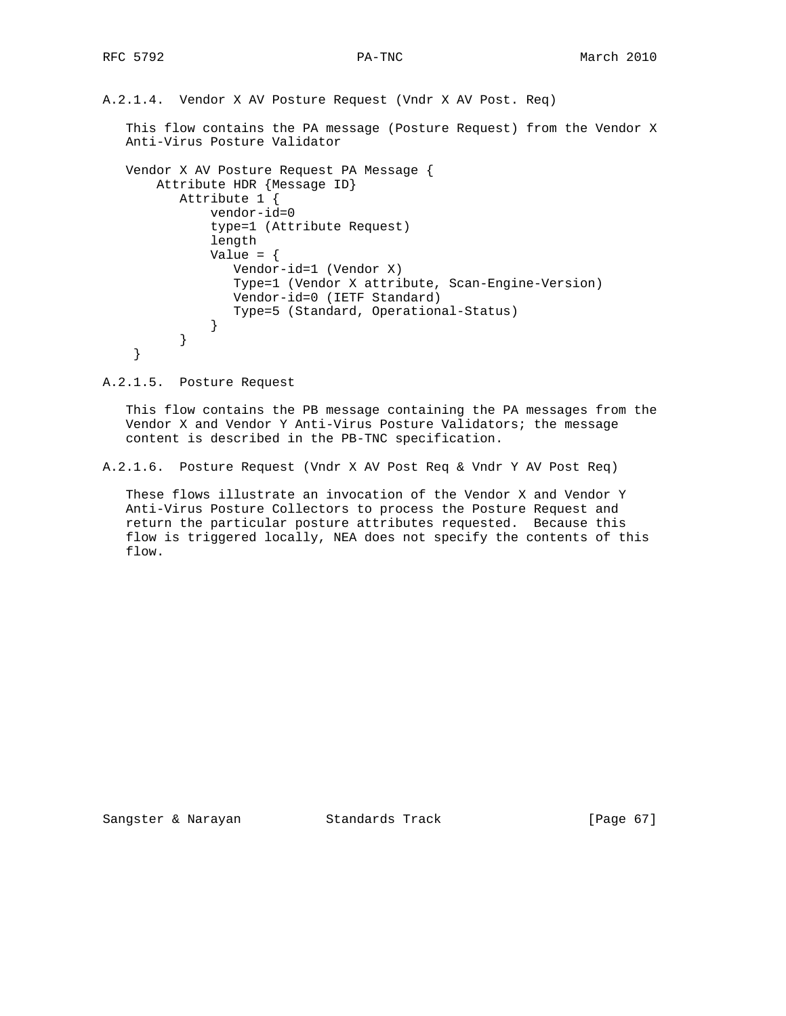A.2.1.4. Vendor X AV Posture Request (Vndr X AV Post. Req)

 This flow contains the PA message (Posture Request) from the Vendor X Anti-Virus Posture Validator

```
 Vendor X AV Posture Request PA Message {
       Attribute HDR {Message ID}
          Attribute 1 {
              vendor-id=0
              type=1 (Attribute Request)
              length
             Value = \{ Vendor-id=1 (Vendor X)
                 Type=1 (Vendor X attribute, Scan-Engine-Version)
                 Vendor-id=0 (IETF Standard)
                 Type=5 (Standard, Operational-Status)
 }
          }
    }
```
A.2.1.5. Posture Request

 This flow contains the PB message containing the PA messages from the Vendor X and Vendor Y Anti-Virus Posture Validators; the message content is described in the PB-TNC specification.

A.2.1.6. Posture Request (Vndr X AV Post Req & Vndr Y AV Post Req)

 These flows illustrate an invocation of the Vendor X and Vendor Y Anti-Virus Posture Collectors to process the Posture Request and return the particular posture attributes requested. Because this flow is triggered locally, NEA does not specify the contents of this flow.

Sangster & Narayan Standards Track [Page 67]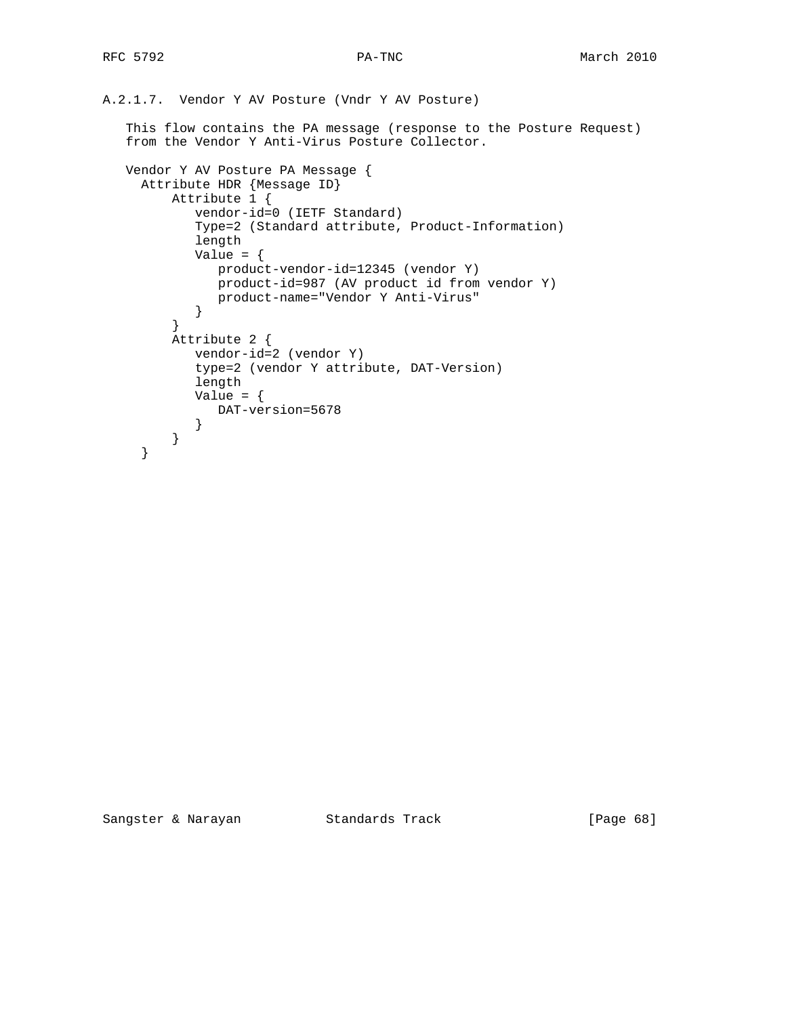```
A.2.1.7. Vendor Y AV Posture (Vndr Y AV Posture)
    This flow contains the PA message (response to the Posture Request)
    from the Vendor Y Anti-Virus Posture Collector.
    Vendor Y AV Posture PA Message {
      Attribute HDR {Message ID}
          Attribute 1 {
             vendor-id=0 (IETF Standard)
             Type=2 (Standard attribute, Product-Information)
             length
            Value = \{ product-vendor-id=12345 (vendor Y)
                product-id=987 (AV product id from vendor Y)
                product-name="Vendor Y Anti-Virus"
             }
          }
          Attribute 2 {
            vendor-id=2 (vendor Y)
             type=2 (vendor Y attribute, DAT-Version)
             length
            Value = {
                DAT-version=5678
             }
         }
      }
```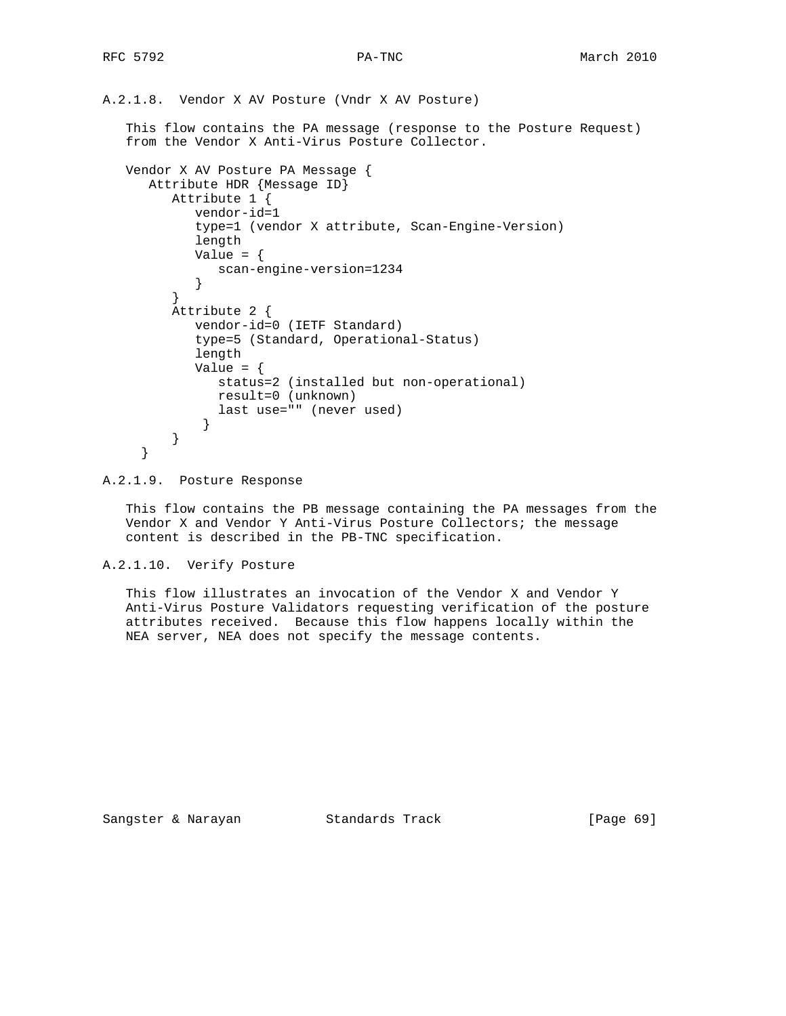A.2.1.8. Vendor X AV Posture (Vndr X AV Posture) This flow contains the PA message (response to the Posture Request) from the Vendor X Anti-Virus Posture Collector. Vendor X AV Posture PA Message { Attribute HDR {Message ID} Attribute 1 { vendor-id=1

```
 type=1 (vendor X attribute, Scan-Engine-Version)
             length
            Value = \{ scan-engine-version=1234
         \begin{matrix} \end{matrix} }
          Attribute 2 {
             vendor-id=0 (IETF Standard)
             type=5 (Standard, Operational-Status)
             length
            Value = \{ status=2 (installed but non-operational)
                result=0 (unknown)
             last use="" (never used)<br>}
 }
          }
      }
```
A.2.1.9. Posture Response

 This flow contains the PB message containing the PA messages from the Vendor X and Vendor Y Anti-Virus Posture Collectors; the message content is described in the PB-TNC specification.

A.2.1.10. Verify Posture

 This flow illustrates an invocation of the Vendor X and Vendor Y Anti-Virus Posture Validators requesting verification of the posture attributes received. Because this flow happens locally within the NEA server, NEA does not specify the message contents.

Sangster & Narayan Standards Track [Page 69]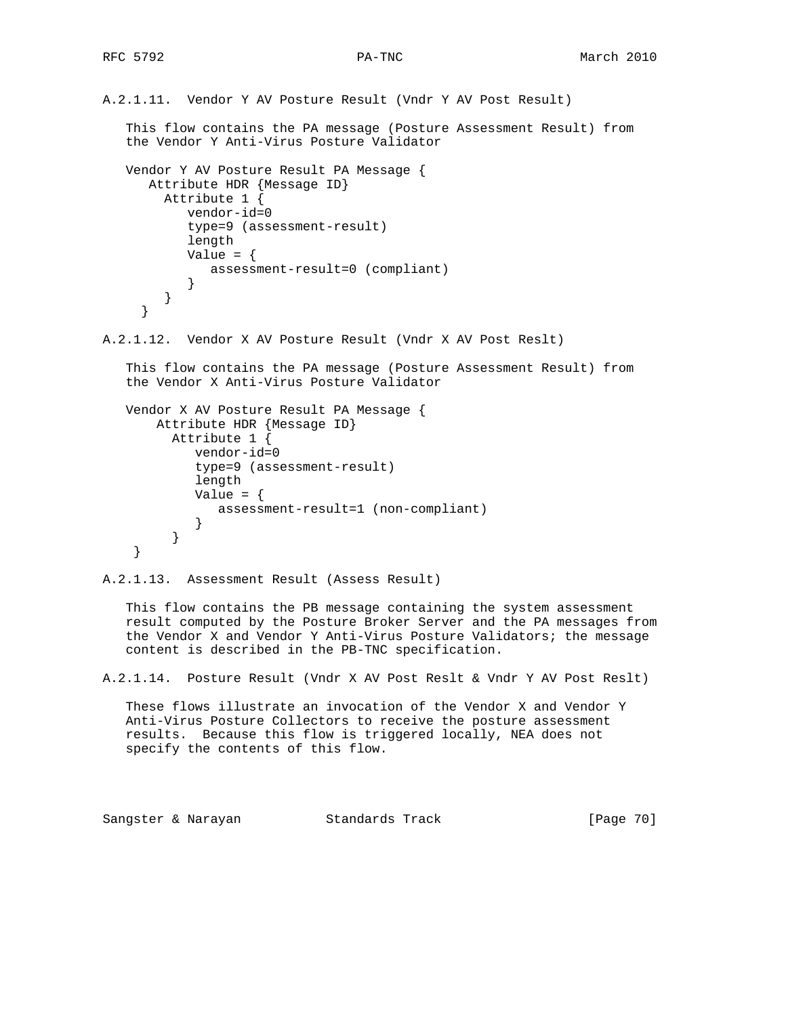```
A.2.1.11. Vendor Y AV Posture Result (Vndr Y AV Post Result)
    This flow contains the PA message (Posture Assessment Result) from
    the Vendor Y Anti-Virus Posture Validator
   Vendor Y AV Posture Result PA Message {
      Attribute HDR {Message ID}
         Attribute 1 {
            vendor-id=0
            type=9 (assessment-result)
            length
           Value = \{ assessment-result=0 (compliant)
 }
         }
      }
A.2.1.12. Vendor X AV Posture Result (Vndr X AV Post Reslt)
    This flow contains the PA message (Posture Assessment Result) from
    the Vendor X Anti-Virus Posture Validator
   Vendor X AV Posture Result PA Message {
       Attribute HDR {Message ID}
          Attribute 1 {
             vendor-id=0
             type=9 (assessment-result)
             length
            Value = \{ assessment-result=1 (non-compliant)
 }
          }
     }
A.2.1.13. Assessment Result (Assess Result)
    This flow contains the PB message containing the system assessment
    result computed by the Posture Broker Server and the PA messages from
    the Vendor X and Vendor Y Anti-Virus Posture Validators; the message
    content is described in the PB-TNC specification.
A.2.1.14. Posture Result (Vndr X AV Post Reslt & Vndr Y AV Post Reslt)
    These flows illustrate an invocation of the Vendor X and Vendor Y
   Anti-Virus Posture Collectors to receive the posture assessment
   results. Because this flow is triggered locally, NEA does not
```
Sangster & Narayan Standards Track [Page 70]

specify the contents of this flow.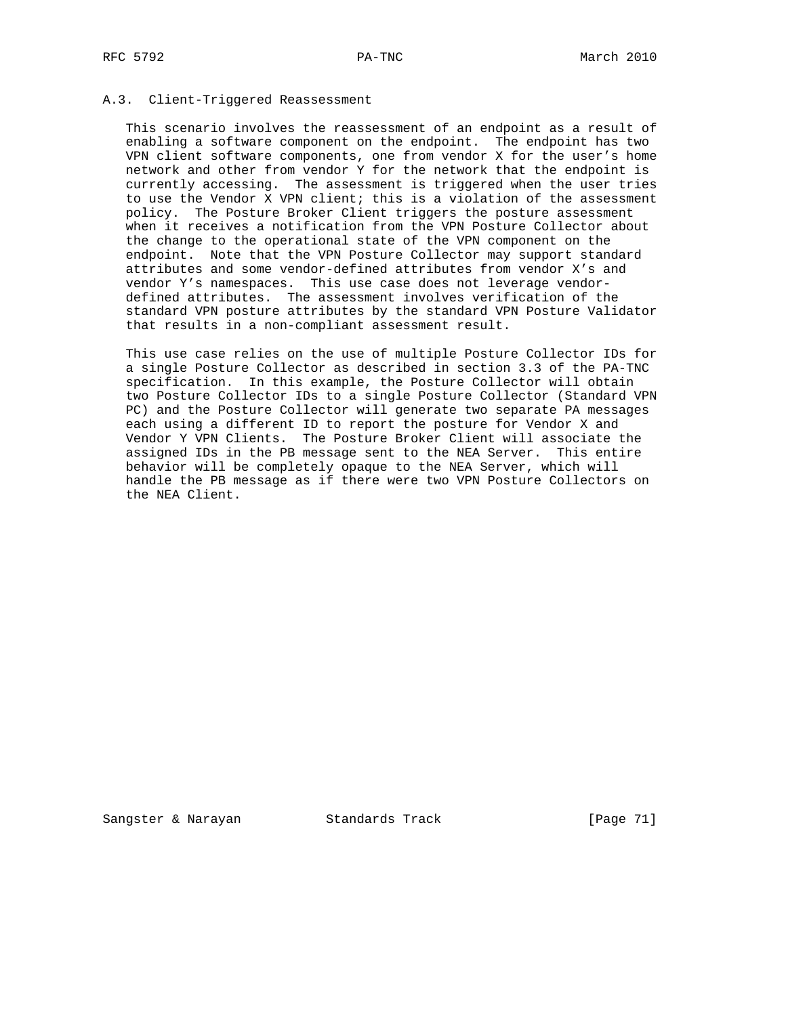## A.3. Client-Triggered Reassessment

 This scenario involves the reassessment of an endpoint as a result of enabling a software component on the endpoint. The endpoint has two VPN client software components, one from vendor X for the user's home network and other from vendor Y for the network that the endpoint is currently accessing. The assessment is triggered when the user tries to use the Vendor X VPN client; this is a violation of the assessment policy. The Posture Broker Client triggers the posture assessment when it receives a notification from the VPN Posture Collector about the change to the operational state of the VPN component on the endpoint. Note that the VPN Posture Collector may support standard attributes and some vendor-defined attributes from vendor X's and vendor Y's namespaces. This use case does not leverage vendor defined attributes. The assessment involves verification of the standard VPN posture attributes by the standard VPN Posture Validator that results in a non-compliant assessment result.

 This use case relies on the use of multiple Posture Collector IDs for a single Posture Collector as described in section 3.3 of the PA-TNC specification. In this example, the Posture Collector will obtain two Posture Collector IDs to a single Posture Collector (Standard VPN PC) and the Posture Collector will generate two separate PA messages each using a different ID to report the posture for Vendor X and Vendor Y VPN Clients. The Posture Broker Client will associate the assigned IDs in the PB message sent to the NEA Server. This entire behavior will be completely opaque to the NEA Server, which will handle the PB message as if there were two VPN Posture Collectors on the NEA Client.

Sangster & Narayan Standards Track (Page 71)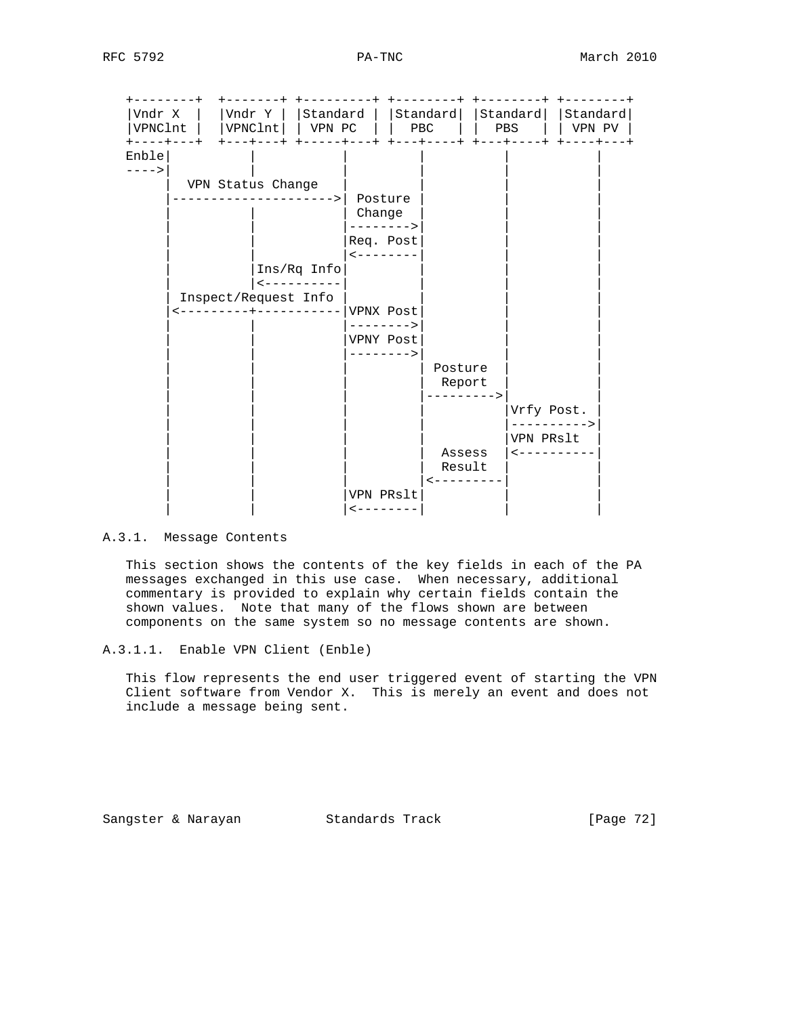| Vndr X                        |  |                      |                                                 | $VPNClnt$   $ VPNClnt $   $VPNPC$     $PBC$                  |  |           |                                | Vndr Y    Standard    Standard   Standard   Standard |  | PBS        |  |                                         | VPN PV |
|-------------------------------|--|----------------------|-------------------------------------------------|--------------------------------------------------------------|--|-----------|--------------------------------|------------------------------------------------------|--|------------|--|-----------------------------------------|--------|
| +----+---+<br>Enble<br>$---2$ |  | VPN Status Change    | ------------><br>$Ins/Rq$ Info                  | Posture<br>Change<br>Req. Post<br>$\leftarrow$ - - - - - - - |  | ------->  |                                |                                                      |  |            |  |                                         |        |
|                               |  | Inspect/Request Info | $- - - - - - - - - - -$<br>--------+----------- | VPNX Post<br>--------><br>VPNY Post                          |  | --------> |                                |                                                      |  |            |  |                                         |        |
|                               |  |                      |                                                 |                                                              |  |           | Posture<br>Report<br>--------> |                                                      |  | Vrfy Post. |  |                                         |        |
|                               |  |                      |                                                 |                                                              |  |           | Assess<br>Result               |                                                      |  | VPN PRslt  |  | -----------><br>$- - - - - - - - - - -$ |        |
|                               |  |                      |                                                 | VPN PRslt<br>$- - - - - - - -$                               |  |           |                                |                                                      |  |            |  |                                         |        |

## A.3.1. Message Contents

 This section shows the contents of the key fields in each of the PA messages exchanged in this use case. When necessary, additional commentary is provided to explain why certain fields contain the shown values. Note that many of the flows shown are between components on the same system so no message contents are shown.

 This flow represents the end user triggered event of starting the VPN Client software from Vendor X. This is merely an event and does not include a message being sent.

Sangster & Narayan Standards Track [Page 72]

A.3.1.1. Enable VPN Client (Enble)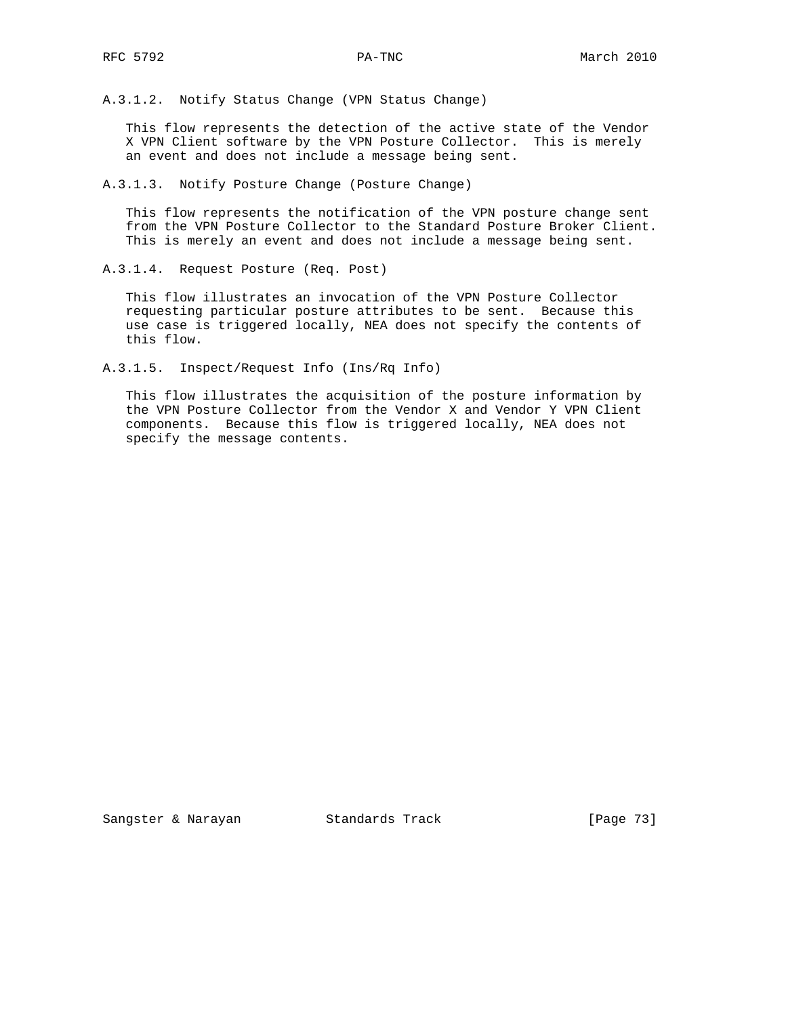A.3.1.2. Notify Status Change (VPN Status Change)

 This flow represents the detection of the active state of the Vendor X VPN Client software by the VPN Posture Collector. This is merely an event and does not include a message being sent.

A.3.1.3. Notify Posture Change (Posture Change)

 This flow represents the notification of the VPN posture change sent from the VPN Posture Collector to the Standard Posture Broker Client. This is merely an event and does not include a message being sent.

A.3.1.4. Request Posture (Req. Post)

 This flow illustrates an invocation of the VPN Posture Collector requesting particular posture attributes to be sent. Because this use case is triggered locally, NEA does not specify the contents of this flow.

A.3.1.5. Inspect/Request Info (Ins/Rq Info)

 This flow illustrates the acquisition of the posture information by the VPN Posture Collector from the Vendor X and Vendor Y VPN Client components. Because this flow is triggered locally, NEA does not specify the message contents.

Sangster & Narayan Standards Track [Page 73]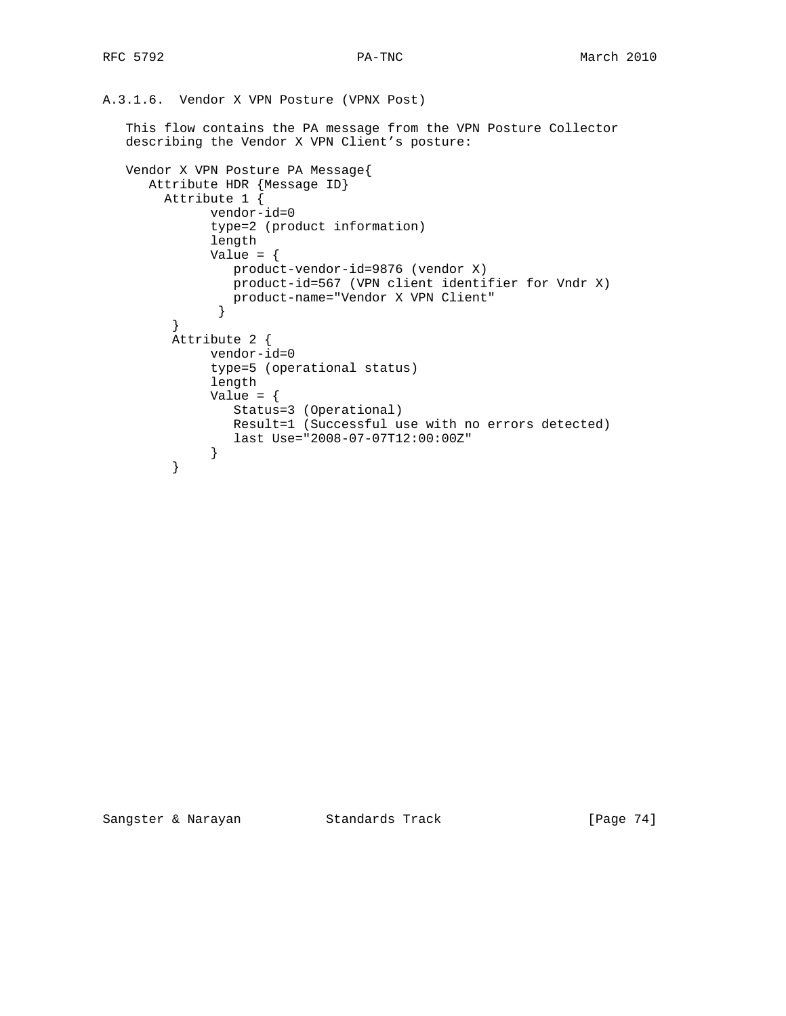A.3.1.6. Vendor X VPN Posture (VPNX Post)

 This flow contains the PA message from the VPN Posture Collector describing the Vendor X VPN Client's posture:

```
 Vendor X VPN Posture PA Message{
     Attribute HDR {Message ID}
       Attribute 1 {
             vendor-id=0
             type=2 (product information)
             length
            Value = \{ product-vendor-id=9876 (vendor X)
               product-id=567 (VPN client identifier for Vndr X)
              product-name="Vendor X VPN Client"
}
        }
        Attribute 2 {
             vendor-id=0
             type=5 (operational status)
             length
            Value = \{ Status=3 (Operational)
               Result=1 (Successful use with no errors detected)
             last Use="2008-07-07T12:00:00Z"
}
}
```
Sangster & Narayan Standards Track [Page 74]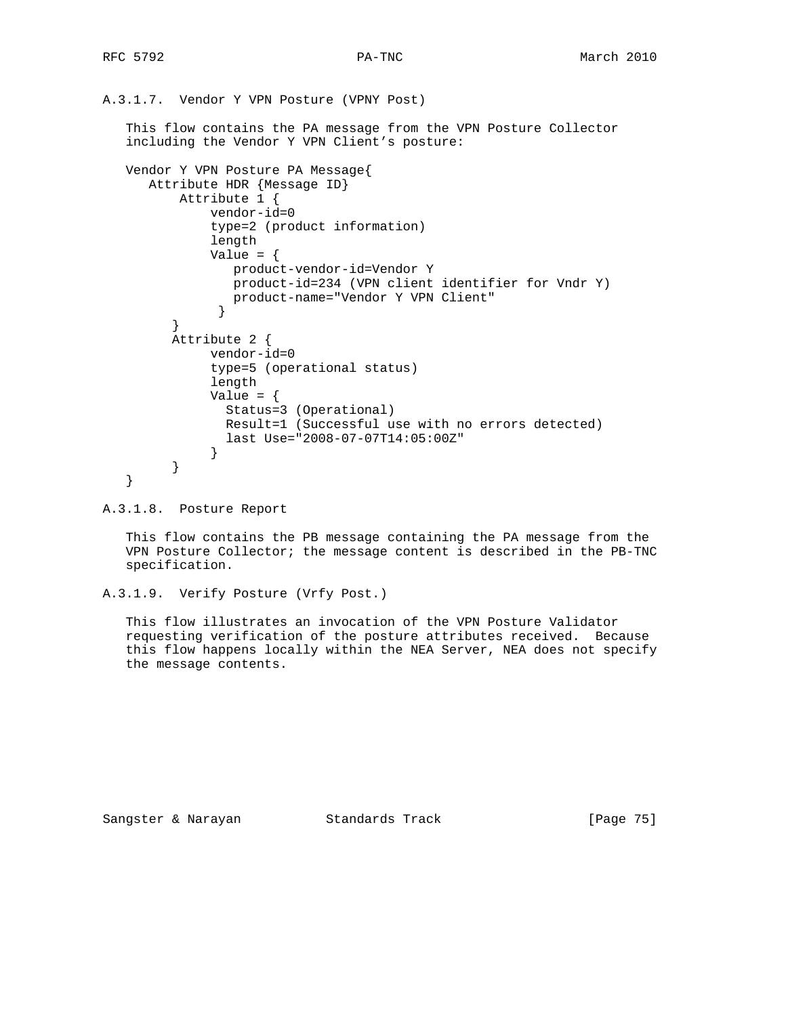A.3.1.7. Vendor Y VPN Posture (VPNY Post)

 This flow contains the PA message from the VPN Posture Collector including the Vendor Y VPN Client's posture:

```
 Vendor Y VPN Posture PA Message{
     Attribute HDR {Message ID}
         Attribute 1 {
             vendor-id=0
             type=2 (product information)
             length
            Value = \{ product-vendor-id=Vendor Y
                product-id=234 (VPN client identifier for Vndr Y)
                product-name="Vendor Y VPN Client"
}
}
        Attribute 2 {
             vendor-id=0
             type=5 (operational status)
             length
            Value = \{ Status=3 (Operational)
              Result=1 (Successful use with no errors detected)
              last Use="2008-07-07T14:05:00Z"
}
}
  }
```
A.3.1.8. Posture Report

 This flow contains the PB message containing the PA message from the VPN Posture Collector; the message content is described in the PB-TNC specification.

```
A.3.1.9. Verify Posture (Vrfy Post.)
```
 This flow illustrates an invocation of the VPN Posture Validator requesting verification of the posture attributes received. Because this flow happens locally within the NEA Server, NEA does not specify the message contents.

Sangster & Narayan Standards Track [Page 75]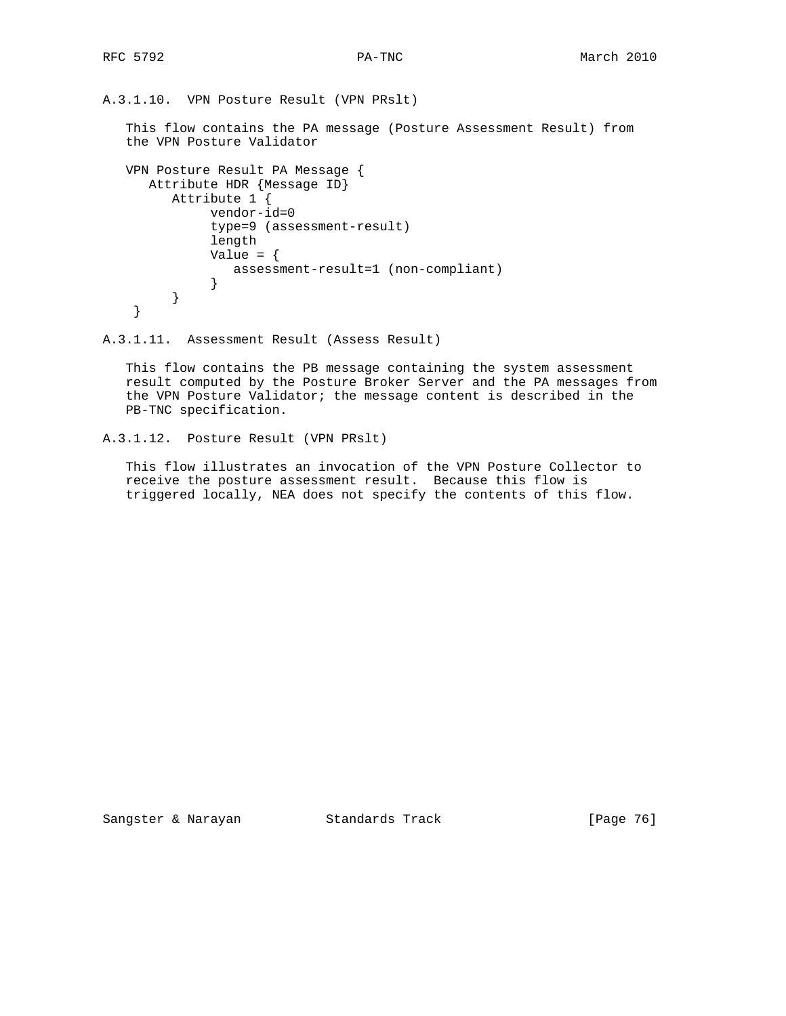A.3.1.10. VPN Posture Result (VPN PRslt)

 This flow contains the PA message (Posture Assessment Result) from the VPN Posture Validator

```
 VPN Posture Result PA Message {
     Attribute HDR {Message ID}
        Attribute 1 {
             vendor-id=0
             type=9 (assessment-result)
             length
            Value = \{ assessment-result=1 (non-compliant)
}
        }
   }
```

```
A.3.1.11. Assessment Result (Assess Result)
```
 This flow contains the PB message containing the system assessment result computed by the Posture Broker Server and the PA messages from the VPN Posture Validator; the message content is described in the PB-TNC specification.

```
A.3.1.12. Posture Result (VPN PRslt)
```
 This flow illustrates an invocation of the VPN Posture Collector to receive the posture assessment result. Because this flow is triggered locally, NEA does not specify the contents of this flow.

Sangster & Narayan Standards Track [Page 76]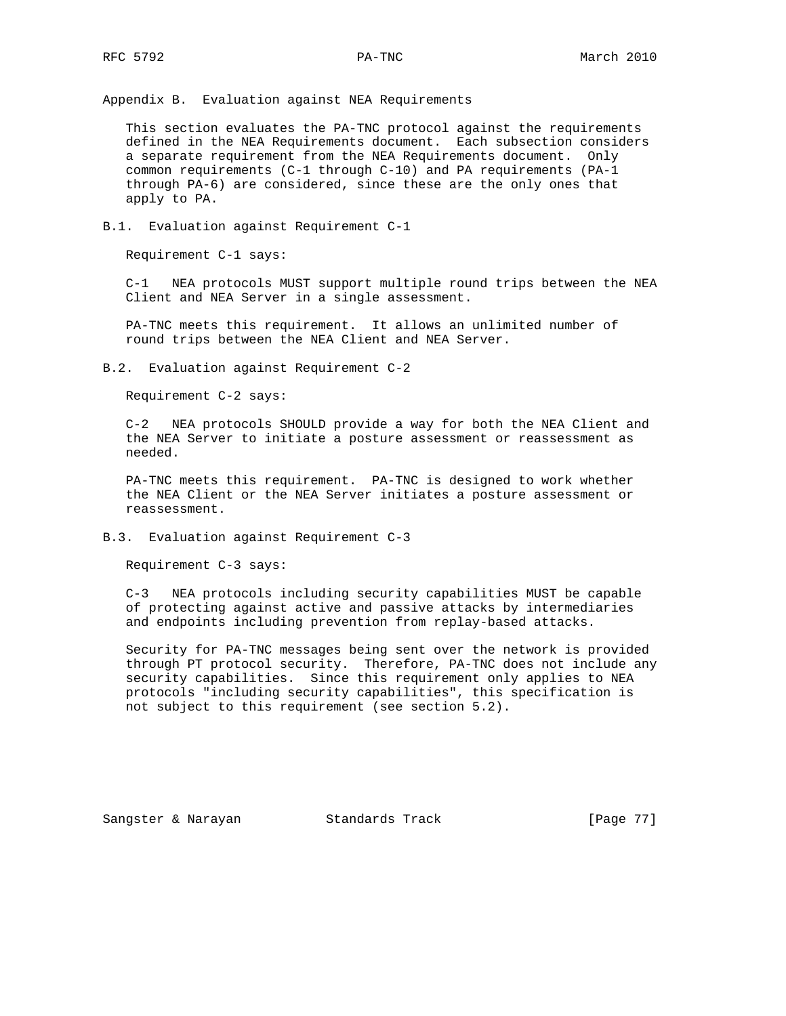Appendix B. Evaluation against NEA Requirements

 This section evaluates the PA-TNC protocol against the requirements defined in the NEA Requirements document. Each subsection considers a separate requirement from the NEA Requirements document. Only common requirements (C-1 through C-10) and PA requirements (PA-1 through PA-6) are considered, since these are the only ones that apply to PA.

B.1. Evaluation against Requirement C-1

Requirement C-1 says:

 C-1 NEA protocols MUST support multiple round trips between the NEA Client and NEA Server in a single assessment.

 PA-TNC meets this requirement. It allows an unlimited number of round trips between the NEA Client and NEA Server.

B.2. Evaluation against Requirement C-2

Requirement C-2 says:

 C-2 NEA protocols SHOULD provide a way for both the NEA Client and the NEA Server to initiate a posture assessment or reassessment as needed.

 PA-TNC meets this requirement. PA-TNC is designed to work whether the NEA Client or the NEA Server initiates a posture assessment or reassessment.

B.3. Evaluation against Requirement C-3

Requirement C-3 says:

 C-3 NEA protocols including security capabilities MUST be capable of protecting against active and passive attacks by intermediaries and endpoints including prevention from replay-based attacks.

 Security for PA-TNC messages being sent over the network is provided through PT protocol security. Therefore, PA-TNC does not include any security capabilities. Since this requirement only applies to NEA protocols "including security capabilities", this specification is not subject to this requirement (see section 5.2).

Sangster & Narayan Standards Track [Page 77]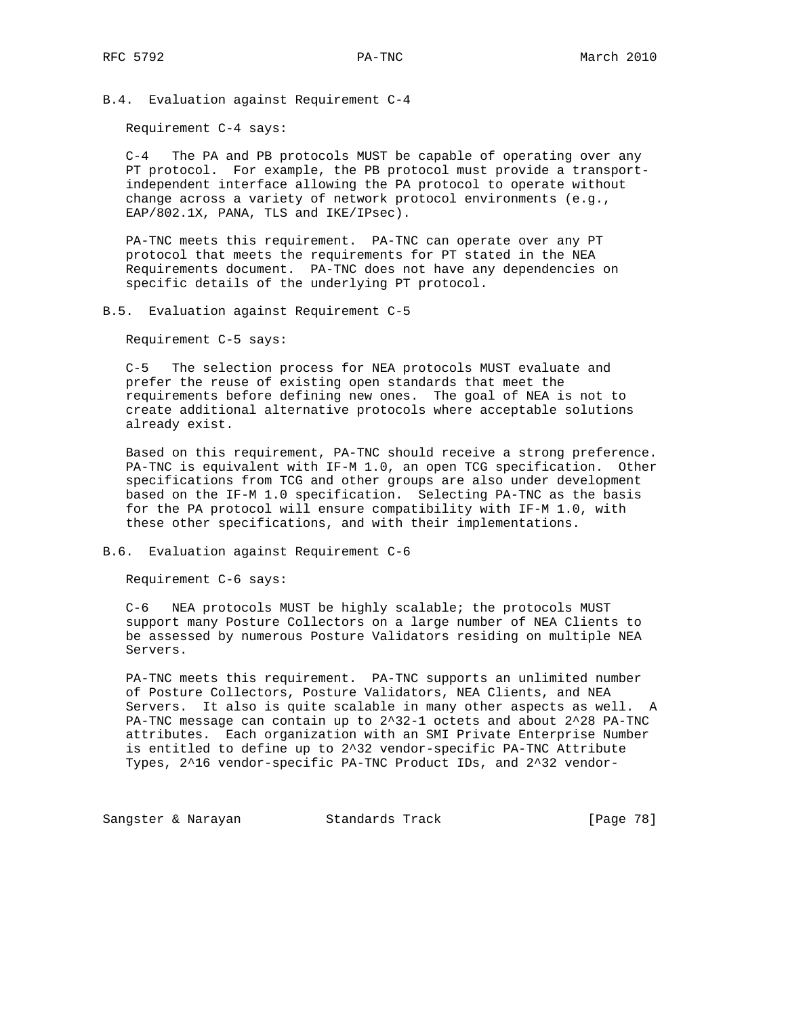B.4. Evaluation against Requirement C-4

Requirement C-4 says:

 C-4 The PA and PB protocols MUST be capable of operating over any PT protocol. For example, the PB protocol must provide a transport independent interface allowing the PA protocol to operate without change across a variety of network protocol environments (e.g., EAP/802.1X, PANA, TLS and IKE/IPsec).

 PA-TNC meets this requirement. PA-TNC can operate over any PT protocol that meets the requirements for PT stated in the NEA Requirements document. PA-TNC does not have any dependencies on specific details of the underlying PT protocol.

## B.5. Evaluation against Requirement C-5

Requirement C-5 says:

 C-5 The selection process for NEA protocols MUST evaluate and prefer the reuse of existing open standards that meet the requirements before defining new ones. The goal of NEA is not to create additional alternative protocols where acceptable solutions already exist.

 Based on this requirement, PA-TNC should receive a strong preference. PA-TNC is equivalent with IF-M 1.0, an open TCG specification. Other specifications from TCG and other groups are also under development based on the IF-M 1.0 specification. Selecting PA-TNC as the basis for the PA protocol will ensure compatibility with IF-M 1.0, with these other specifications, and with their implementations.

B.6. Evaluation against Requirement C-6

Requirement C-6 says:

 C-6 NEA protocols MUST be highly scalable; the protocols MUST support many Posture Collectors on a large number of NEA Clients to be assessed by numerous Posture Validators residing on multiple NEA Servers.

 PA-TNC meets this requirement. PA-TNC supports an unlimited number of Posture Collectors, Posture Validators, NEA Clients, and NEA Servers. It also is quite scalable in many other aspects as well. A PA-TNC message can contain up to 2^32-1 octets and about 2^28 PA-TNC attributes. Each organization with an SMI Private Enterprise Number is entitled to define up to 2^32 vendor-specific PA-TNC Attribute Types, 2^16 vendor-specific PA-TNC Product IDs, and 2^32 vendor-

Sangster & Narayan Standards Track [Page 78]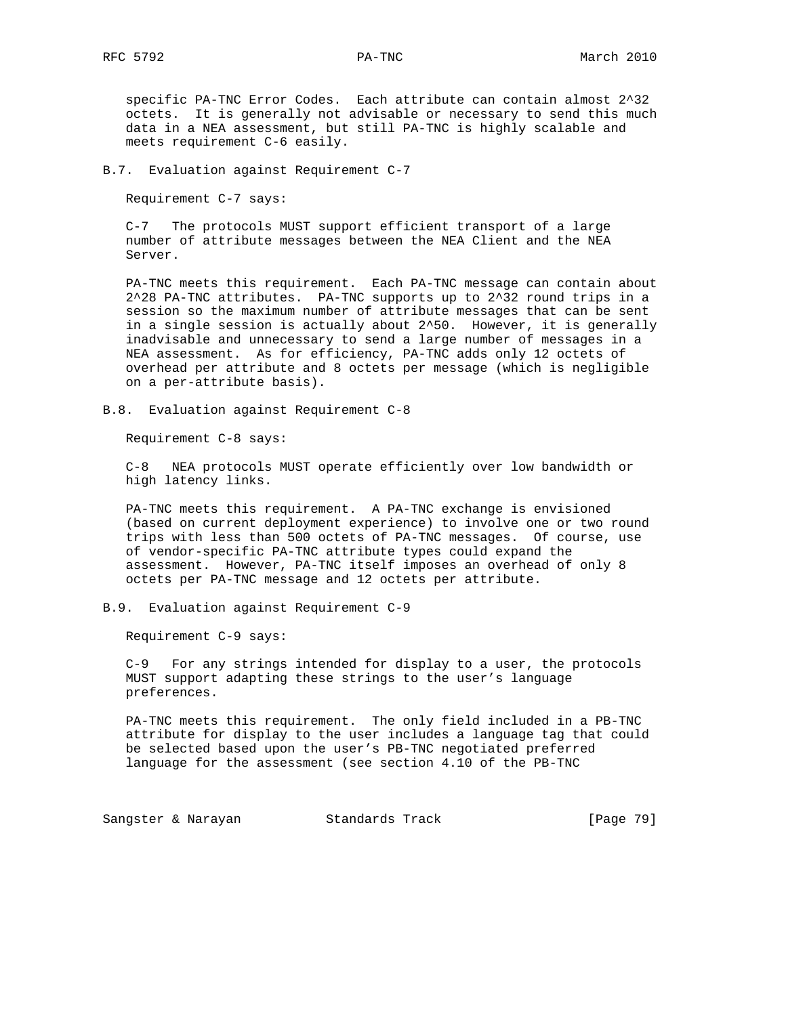specific PA-TNC Error Codes. Each attribute can contain almost 2^32 octets. It is generally not advisable or necessary to send this much data in a NEA assessment, but still PA-TNC is highly scalable and meets requirement C-6 easily.

B.7. Evaluation against Requirement C-7

Requirement C-7 says:

 C-7 The protocols MUST support efficient transport of a large number of attribute messages between the NEA Client and the NEA Server.

 PA-TNC meets this requirement. Each PA-TNC message can contain about 2^28 PA-TNC attributes. PA-TNC supports up to 2^32 round trips in a session so the maximum number of attribute messages that can be sent in a single session is actually about 2^50. However, it is generally inadvisable and unnecessary to send a large number of messages in a NEA assessment. As for efficiency, PA-TNC adds only 12 octets of overhead per attribute and 8 octets per message (which is negligible on a per-attribute basis).

B.8. Evaluation against Requirement C-8

Requirement C-8 says:

 C-8 NEA protocols MUST operate efficiently over low bandwidth or high latency links.

 PA-TNC meets this requirement. A PA-TNC exchange is envisioned (based on current deployment experience) to involve one or two round trips with less than 500 octets of PA-TNC messages. Of course, use of vendor-specific PA-TNC attribute types could expand the assessment. However, PA-TNC itself imposes an overhead of only 8 octets per PA-TNC message and 12 octets per attribute.

B.9. Evaluation against Requirement C-9

Requirement C-9 says:

 C-9 For any strings intended for display to a user, the protocols MUST support adapting these strings to the user's language preferences.

 PA-TNC meets this requirement. The only field included in a PB-TNC attribute for display to the user includes a language tag that could be selected based upon the user's PB-TNC negotiated preferred language for the assessment (see section 4.10 of the PB-TNC

Sangster & Narayan Standards Track [Page 79]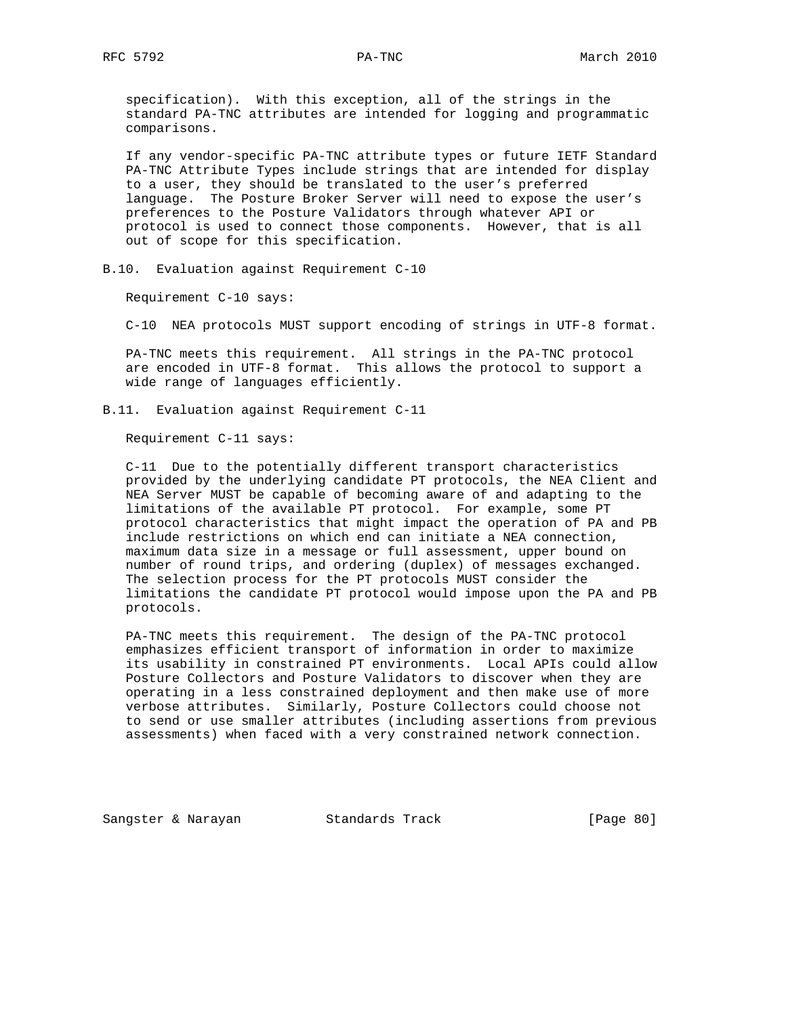specification). With this exception, all of the strings in the standard PA-TNC attributes are intended for logging and programmatic comparisons.

 If any vendor-specific PA-TNC attribute types or future IETF Standard PA-TNC Attribute Types include strings that are intended for display to a user, they should be translated to the user's preferred language. The Posture Broker Server will need to expose the user's preferences to the Posture Validators through whatever API or protocol is used to connect those components. However, that is all out of scope for this specification.

B.10. Evaluation against Requirement C-10

Requirement C-10 says:

C-10 NEA protocols MUST support encoding of strings in UTF-8 format.

 PA-TNC meets this requirement. All strings in the PA-TNC protocol are encoded in UTF-8 format. This allows the protocol to support a wide range of languages efficiently.

B.11. Evaluation against Requirement C-11

Requirement C-11 says:

 C-11 Due to the potentially different transport characteristics provided by the underlying candidate PT protocols, the NEA Client and NEA Server MUST be capable of becoming aware of and adapting to the limitations of the available PT protocol. For example, some PT protocol characteristics that might impact the operation of PA and PB include restrictions on which end can initiate a NEA connection, maximum data size in a message or full assessment, upper bound on number of round trips, and ordering (duplex) of messages exchanged. The selection process for the PT protocols MUST consider the limitations the candidate PT protocol would impose upon the PA and PB protocols.

 PA-TNC meets this requirement. The design of the PA-TNC protocol emphasizes efficient transport of information in order to maximize its usability in constrained PT environments. Local APIs could allow Posture Collectors and Posture Validators to discover when they are operating in a less constrained deployment and then make use of more verbose attributes. Similarly, Posture Collectors could choose not to send or use smaller attributes (including assertions from previous assessments) when faced with a very constrained network connection.

Sangster & Narayan Standards Track [Page 80]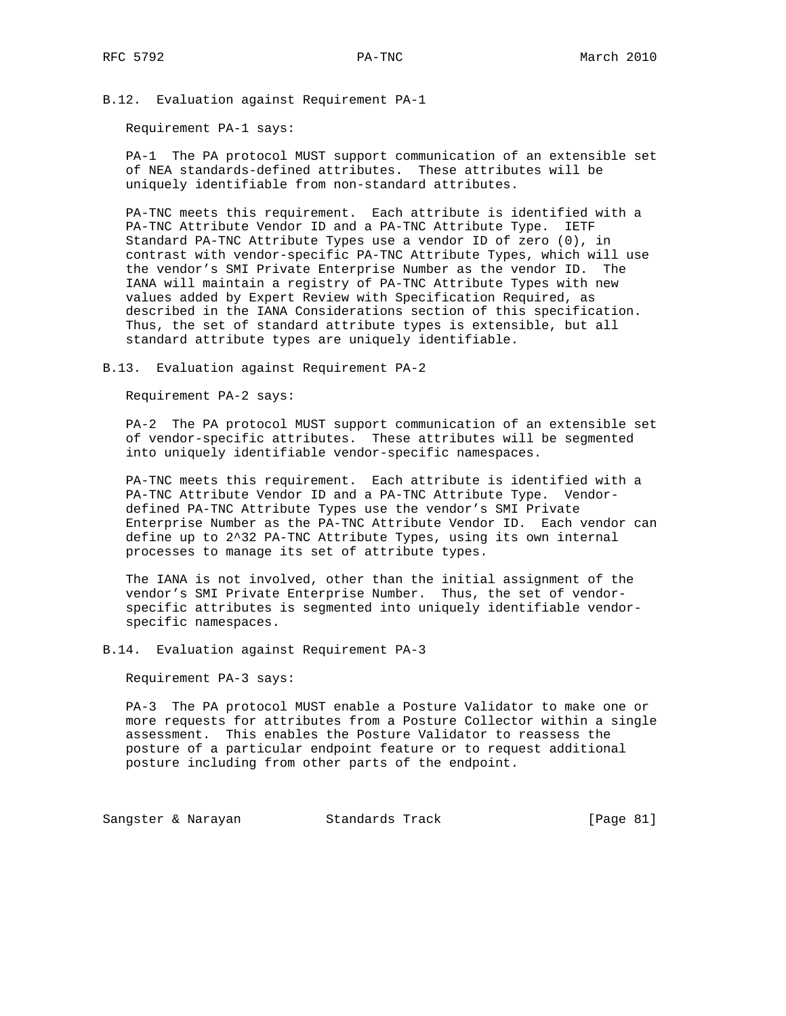B.12. Evaluation against Requirement PA-1

Requirement PA-1 says:

 PA-1 The PA protocol MUST support communication of an extensible set of NEA standards-defined attributes. These attributes will be uniquely identifiable from non-standard attributes.

 PA-TNC meets this requirement. Each attribute is identified with a PA-TNC Attribute Vendor ID and a PA-TNC Attribute Type. IETF Standard PA-TNC Attribute Types use a vendor ID of zero (0), in contrast with vendor-specific PA-TNC Attribute Types, which will use the vendor's SMI Private Enterprise Number as the vendor ID. The IANA will maintain a registry of PA-TNC Attribute Types with new values added by Expert Review with Specification Required, as described in the IANA Considerations section of this specification. Thus, the set of standard attribute types is extensible, but all standard attribute types are uniquely identifiable.

B.13. Evaluation against Requirement PA-2

Requirement PA-2 says:

 PA-2 The PA protocol MUST support communication of an extensible set of vendor-specific attributes. These attributes will be segmented into uniquely identifiable vendor-specific namespaces.

 PA-TNC meets this requirement. Each attribute is identified with a PA-TNC Attribute Vendor ID and a PA-TNC Attribute Type. Vendor defined PA-TNC Attribute Types use the vendor's SMI Private Enterprise Number as the PA-TNC Attribute Vendor ID. Each vendor can define up to 2^32 PA-TNC Attribute Types, using its own internal processes to manage its set of attribute types.

 The IANA is not involved, other than the initial assignment of the vendor's SMI Private Enterprise Number. Thus, the set of vendor specific attributes is segmented into uniquely identifiable vendor specific namespaces.

B.14. Evaluation against Requirement PA-3

Requirement PA-3 says:

 PA-3 The PA protocol MUST enable a Posture Validator to make one or more requests for attributes from a Posture Collector within a single assessment. This enables the Posture Validator to reassess the posture of a particular endpoint feature or to request additional posture including from other parts of the endpoint.

Sangster & Narayan Standards Track [Page 81]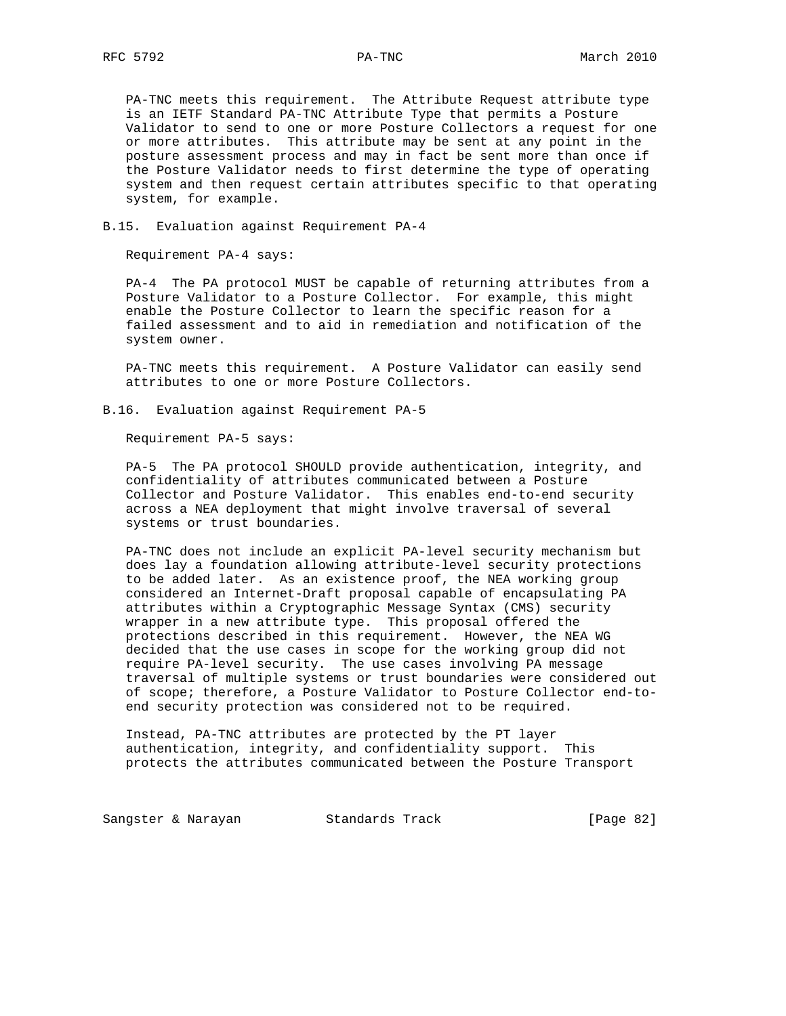PA-TNC meets this requirement. The Attribute Request attribute type is an IETF Standard PA-TNC Attribute Type that permits a Posture Validator to send to one or more Posture Collectors a request for one or more attributes. This attribute may be sent at any point in the posture assessment process and may in fact be sent more than once if the Posture Validator needs to first determine the type of operating system and then request certain attributes specific to that operating system, for example.

## B.15. Evaluation against Requirement PA-4

Requirement PA-4 says:

 PA-4 The PA protocol MUST be capable of returning attributes from a Posture Validator to a Posture Collector. For example, this might enable the Posture Collector to learn the specific reason for a failed assessment and to aid in remediation and notification of the system owner.

 PA-TNC meets this requirement. A Posture Validator can easily send attributes to one or more Posture Collectors.

B.16. Evaluation against Requirement PA-5

Requirement PA-5 says:

 PA-5 The PA protocol SHOULD provide authentication, integrity, and confidentiality of attributes communicated between a Posture Collector and Posture Validator. This enables end-to-end security across a NEA deployment that might involve traversal of several systems or trust boundaries.

 PA-TNC does not include an explicit PA-level security mechanism but does lay a foundation allowing attribute-level security protections to be added later. As an existence proof, the NEA working group considered an Internet-Draft proposal capable of encapsulating PA attributes within a Cryptographic Message Syntax (CMS) security wrapper in a new attribute type. This proposal offered the protections described in this requirement. However, the NEA WG decided that the use cases in scope for the working group did not require PA-level security. The use cases involving PA message traversal of multiple systems or trust boundaries were considered out of scope; therefore, a Posture Validator to Posture Collector end-to end security protection was considered not to be required.

 Instead, PA-TNC attributes are protected by the PT layer authentication, integrity, and confidentiality support. This protects the attributes communicated between the Posture Transport

Sangster & Narayan Standards Track [Page 82]